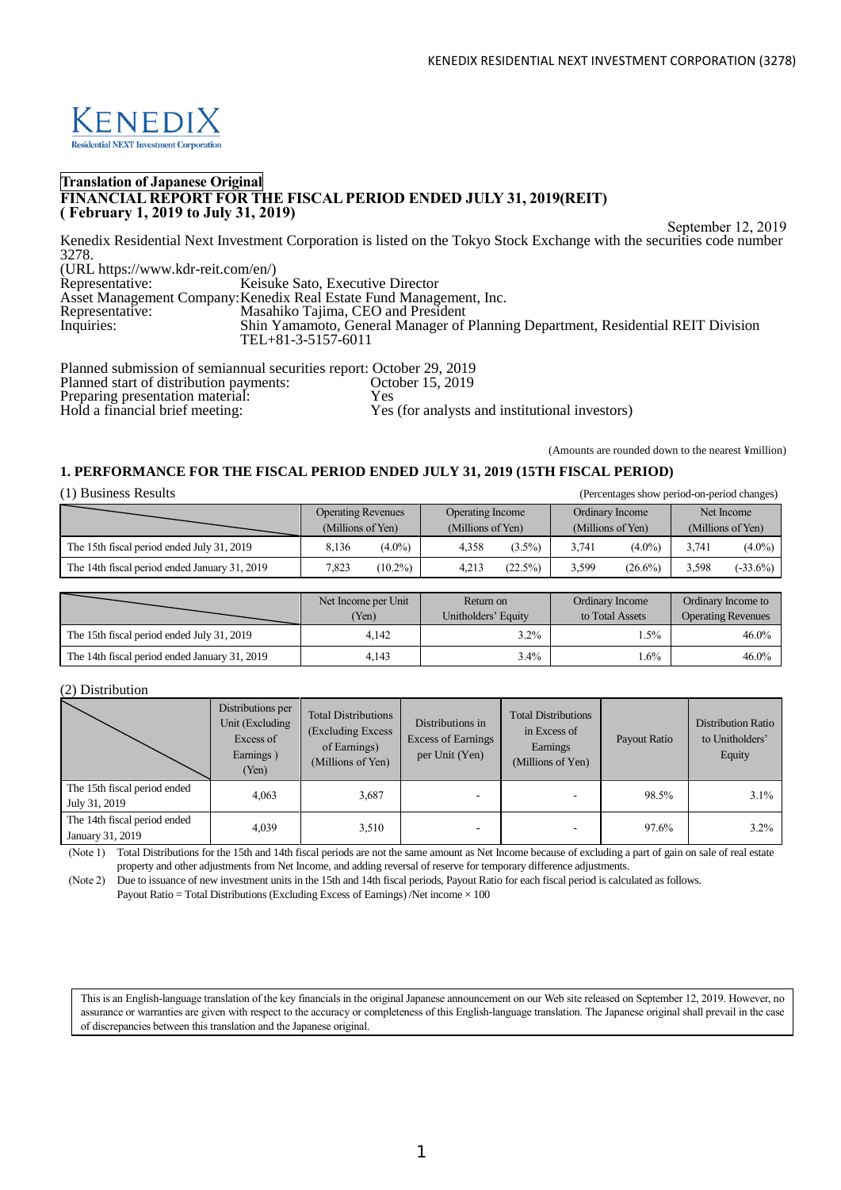

## **Translation of Japanese Original FINANCIAL REPORT FOR THE FISCAL PERIOD ENDED JULY 31, 2019(REIT) ( February 1, 2019 to July 31, 2019)**

September 12, 2019

Kenedix Residential Next Investment Corporation is listed on the Tokyo Stock Exchange with the securities code number 3278. (URL https://www.kdr-reit.com/en/) Keisuke Sato, Executive Director

Asset Management Company:Kenedix Real Estate Fund Management, Inc. Representative: Masahiko Tajima, CEO and President<br>Inquiries: Shin Yamamoto, General Manager of Inquiries: Shin Yamamoto, General Manager of Planning Department, Residential REIT Division TEL+81-3-5157-6011

Planned submission of semiannual securities report: October 29, 2019 Planned start of distribution payments: Conservation material: Ves Preparing presentation material:<br>Hold a financial brief meeting: Yes (for analysts and institutional investors)

(Amounts are rounded down to the nearest ¥million)

## **1. PERFORMANCE FOR THE FISCAL PERIOD ENDED JULY 31, 2019 (15TH FISCAL PERIOD)**

| (1) Business Results<br>(Percentages show period-on-period changes) |                                                |            |                                       |           |                                      |            |                                 |             |
|---------------------------------------------------------------------|------------------------------------------------|------------|---------------------------------------|-----------|--------------------------------------|------------|---------------------------------|-------------|
|                                                                     | <b>Operating Revenues</b><br>(Millions of Yen) |            | Operating Income<br>(Millions of Yen) |           | Ordinary Income<br>(Millions of Yen) |            | Net Income<br>(Millions of Yen) |             |
|                                                                     |                                                |            |                                       |           |                                      |            |                                 |             |
| The 15th fiscal period ended July 31, 2019                          | 8.136                                          | $(4.0\%)$  | 4.358                                 | $(3.5\%)$ | 3.741                                | $(4.0\%)$  | 3.741                           | $(4.0\%)$   |
| The 14th fiscal period ended January 31, 2019                       | 7,823                                          | $(10.2\%)$ | 4.213                                 | (22.5%)   | 3,599                                | $(26.6\%)$ | 3,598                           | $(-33.6\%)$ |

|                                               | Net Income per Unit<br>(Yen) | Return on<br>Unitholders' Equity | Ordinary Income<br>to Total Assets | Ordinary Income to<br><b>Operating Revenues</b> |
|-----------------------------------------------|------------------------------|----------------------------------|------------------------------------|-------------------------------------------------|
| The 15th fiscal period ended July 31, 2019    | 4.142                        | 3.2%                             | $.5\%$                             | 46.0%                                           |
| The 14th fiscal period ended January 31, 2019 | 4.143                        | 3.4%                             | $.6\%$                             | 46.0%                                           |

### (2) Distribution

|                                                  | Distributions per<br>Unit (Excluding<br>Excess of<br>Earnings)<br>(Yen) | <b>Total Distributions</b><br>(Excluding Excess)<br>of Earnings)<br>(Millions of Yen) | Distributions in<br><b>Excess of Earnings</b><br>per Unit (Yen) | <b>Total Distributions</b><br>in Excess of<br>Earnings<br>(Millions of Yen) | Payout Ratio | Distribution Ratio<br>to Unitholders'<br>Equity |
|--------------------------------------------------|-------------------------------------------------------------------------|---------------------------------------------------------------------------------------|-----------------------------------------------------------------|-----------------------------------------------------------------------------|--------------|-------------------------------------------------|
| The 15th fiscal period ended<br>July 31, 2019    | 4.063                                                                   | 3,687                                                                                 |                                                                 |                                                                             | 98.5%        | 3.1%                                            |
| The 14th fiscal period ended<br>January 31, 2019 | 4,039                                                                   | 3,510                                                                                 |                                                                 |                                                                             | 97.6%        | $3.2\%$                                         |

(Note 1) Total Distributions for the 15th and 14th fiscal periods are not the same amount as Net Income because of excluding a part of gain on sale of real estate property and other adjustments from Net Income, and adding reversal of reserve for temporary difference adjustments.

(Note 2) Due to issuance of new investment units in the 15th and 14th fiscal periods, Payout Ratio for each fiscal period is calculated as follows. Payout Ratio = Total Distributions (Excluding Excess of Earnings) /Net income  $\times 100$ 

This is an English-language translation of the key financials in the original Japanese announcement on our Web site released on September 12, 2019. However, no assurance or warranties are given with respect to the accuracy or completeness of this English-language translation. The Japanese original shall prevail in the case of discrepancies between this translation and the Japanese original.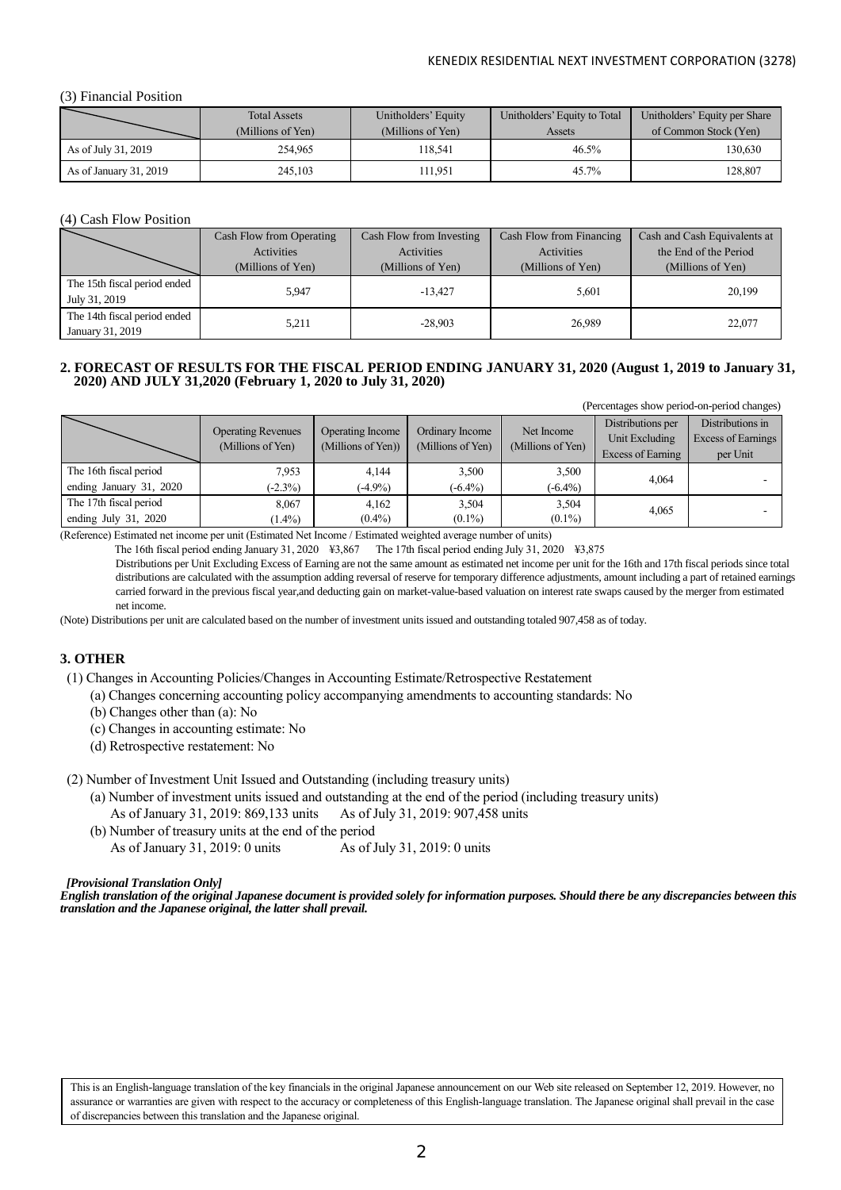## (3) Financial Position

|                        | <b>Total Assets</b> | Unitholders' Equity | Unitholders' Equity to Total | Unitholders' Equity per Share |
|------------------------|---------------------|---------------------|------------------------------|-------------------------------|
|                        | (Millions of Yen)   | (Millions of Yen)   | Assets                       | of Common Stock (Yen)         |
| As of July 31, 2019    | 254,965             | 118.541             | $46.5\%$                     | 130.630                       |
| As of January 31, 2019 | 245,103             | 11.951              | $45.7\%$                     | 128,807                       |

## (4) Cash Flow Position

|                              | Cash Flow from Operating | Cash Flow from Investing | Cash Flow from Financing | Cash and Cash Equivalents at |
|------------------------------|--------------------------|--------------------------|--------------------------|------------------------------|
|                              | Activities               | Activities               | Activities               | the End of the Period        |
|                              | (Millions of Yen)        | (Millions of Yen)        | (Millions of Yen)        | (Millions of Yen)            |
| The 15th fiscal period ended | 5.947                    | $-13.427$                | 5,601                    | 20,199                       |
| July 31, 2019                |                          |                          |                          |                              |
| The 14th fiscal period ended | 5.211                    | $-28.903$                | 26.989                   | 22,077                       |
| January 31, 2019             |                          |                          |                          |                              |

# **2. FORECAST OF RESULTS FOR THE FISCAL PERIOD ENDING JANUARY 31, 2020 (August 1, 2019 to January 31, 2020) AND JULY 31,2020 (February 1, 2020 to July 31, 2020)**

(Percentages show period-on-period changes)

|                         | <b>Operating Revenues</b><br>(Millions of Yen) | Operating Income<br>(Millions of Yen)) | Ordinary Income<br>(Millions of Yen) | Net Income<br>(Millions of Yen) | Distributions per<br>Unit Excluding<br>Excess of Earning | Distributions in<br>Excess of Earnings<br>per Unit |
|-------------------------|------------------------------------------------|----------------------------------------|--------------------------------------|---------------------------------|----------------------------------------------------------|----------------------------------------------------|
| The 16th fiscal period  | 7.953                                          | 4.144                                  | 3,500                                | 3,500                           |                                                          |                                                    |
| ending January 31, 2020 | $(-2.3\%)$                                     | $(-4.9\%)$                             | $(-6.4\%)$                           | $(-6.4\%)$                      | 4,064                                                    |                                                    |
| The 17th fiscal period  | 8,067                                          | 4.162                                  | 3,504                                | 3,504                           | 4,065                                                    |                                                    |
| ending July $31, 2020$  | $(1.4\%)$                                      | $(0.4\%)$                              | $(0.1\%)$                            | $(0.1\%)$                       |                                                          |                                                    |

(Reference) Estimated net income per unit (Estimated Net Income / Estimated weighted average number of units)

The 16th fiscal period ending January 31, 2020 ¥3,867 The 17th fiscal period ending July 31, 2020 ¥3,875

Distributions per Unit Excluding Excess of Earning are not the same amount as estimated net income per unit for the 16th and 17th fiscal periods since total distributions are calculated with the assumption adding reversal of reserve for temporary difference adjustments, amount including a part of retained earnings carried forward in the previous fiscal year,and deducting gain on market-value-based valuation on interest rate swaps caused by the merger from estimated net income.

(Note) Distributions per unit are calculated based on the number of investment units issued and outstanding totaled 907,458 as of today.

## **3. OTHER**

(1) Changes in Accounting Policies/Changes in Accounting Estimate/Retrospective Restatement

(a) Changes concerning accounting policy accompanying amendments to accounting standards: No

- (b) Changes other than (a): No
- (c) Changes in accounting estimate: No
- (d) Retrospective restatement: No

(2) Number of Investment Unit Issued and Outstanding (including treasury units)

(a) Number of investment units issued and outstanding at the end of the period (including treasury units)

As of January 31, 2019: 869,133 units As of July 31, 2019: 907,458 units

(b) Number of treasury units at the end of the period

As of January 31, 2019: 0 units As of July 31, 2019: 0 units

### *[Provisional Translation Only]*

*English translation of the original Japanese document is provided solely for information purposes. Should there be any discrepancies between this translation and the Japanese original, the latter shall prevail.*

This is an English-language translation of the key financials in the original Japanese announcement on our Web site released on September 12, 2019. However, no assurance or warranties are given with respect to the accuracy or completeness of this English-language translation. The Japanese original shall prevail in the case of discrepancies between this translation and the Japanese original.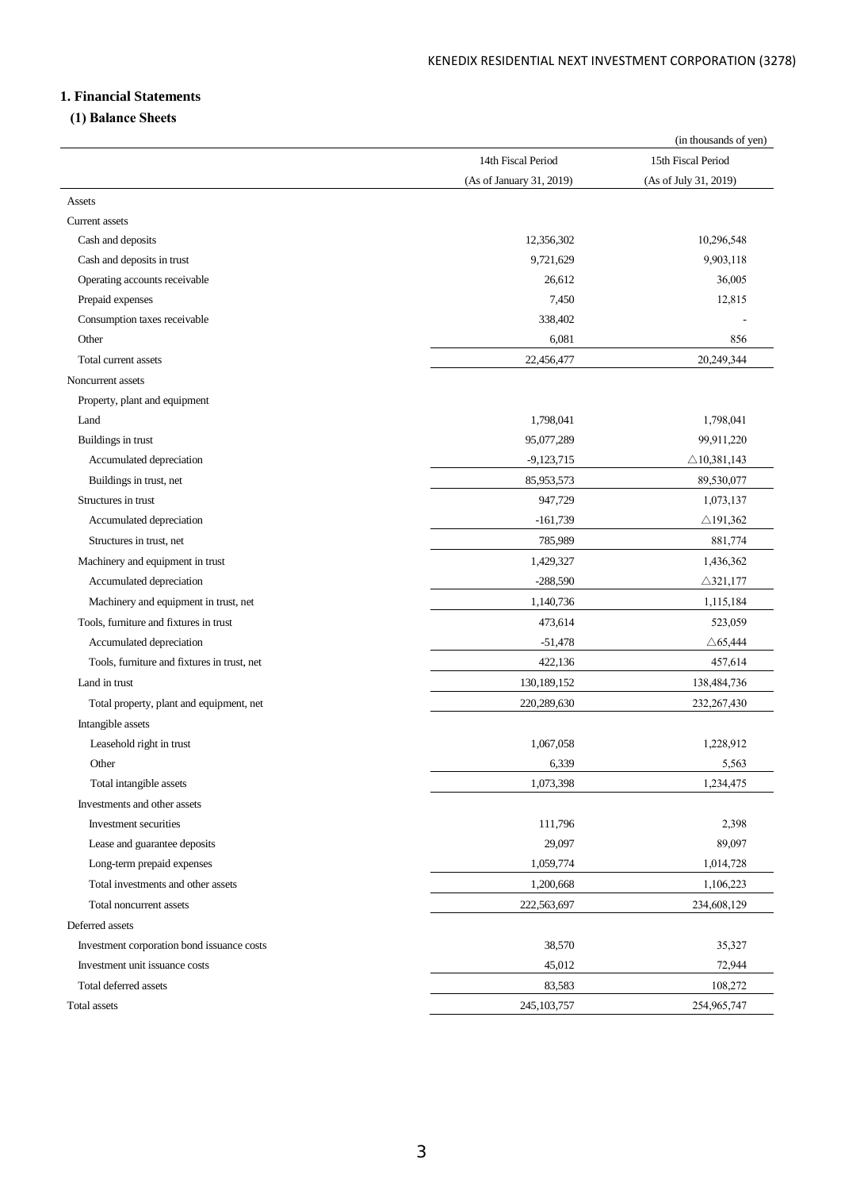# **1. Financial Statements**

# **(1) Balance Sheets**

|                                             |                          | (in thousands of yen)  |
|---------------------------------------------|--------------------------|------------------------|
|                                             | 14th Fiscal Period       | 15th Fiscal Period     |
|                                             | (As of January 31, 2019) | (As of July 31, 2019)  |
| Assets                                      |                          |                        |
| Current assets                              |                          |                        |
| Cash and deposits                           | 12,356,302               | 10,296,548             |
| Cash and deposits in trust                  | 9,721,629                | 9,903,118              |
| Operating accounts receivable               | 26,612                   | 36,005                 |
| Prepaid expenses                            | 7,450                    | 12,815                 |
| Consumption taxes receivable                | 338,402                  |                        |
| Other                                       | 6,081                    | 856                    |
| Total current assets                        | 22,456,477               | 20,249,344             |
| Noncurrent assets                           |                          |                        |
| Property, plant and equipment               |                          |                        |
| Land                                        | 1,798,041                | 1,798,041              |
| Buildings in trust                          | 95,077,289               | 99,911,220             |
| Accumulated depreciation                    | $-9,123,715$             | $\triangle$ 10,381,143 |
| Buildings in trust, net                     | 85,953,573               | 89,530,077             |
| Structures in trust                         | 947,729                  | 1,073,137              |
| Accumulated depreciation                    | $-161,739$               | $\triangle$ 191,362    |
| Structures in trust, net                    | 785,989                  | 881,774                |
| Machinery and equipment in trust            | 1,429,327                | 1,436,362              |
| Accumulated depreciation                    | $-288,590$               | $\triangle$ 321,177    |
| Machinery and equipment in trust, net       | 1,140,736                | 1,115,184              |
| Tools, furniture and fixtures in trust      | 473,614                  | 523,059                |
| Accumulated depreciation                    | $-51,478$                | $\triangle 65,444$     |
| Tools, furniture and fixtures in trust, net | 422,136                  | 457,614                |
| Land in trust                               | 130,189,152              | 138,484,736            |
| Total property, plant and equipment, net    | 220,289,630              | 232, 267, 430          |
| Intangible assets                           |                          |                        |
| Leasehold right in trust                    | 1,067,058                | 1,228,912              |
| Other                                       | 6,339                    | 5,563                  |
| Total intangible assets                     | 1,073,398                | 1,234,475              |
| Investments and other assets                |                          |                        |
| Investment securities                       | 111,796                  | 2,398                  |
| Lease and guarantee deposits                | 29,097                   | 89,097                 |
| Long-term prepaid expenses                  | 1,059,774                | 1,014,728              |
| Total investments and other assets          | 1,200,668                | 1,106,223              |
| Total noncurrent assets                     | 222,563,697              | 234,608,129            |
| Deferred assets                             |                          |                        |
| Investment corporation bond issuance costs  | 38,570                   | 35,327                 |
| Investment unit issuance costs              | 45,012                   | 72,944                 |
| Total deferred assets                       | 83,583                   | 108,272                |
| Total assets                                | 245, 103, 757            | 254,965,747            |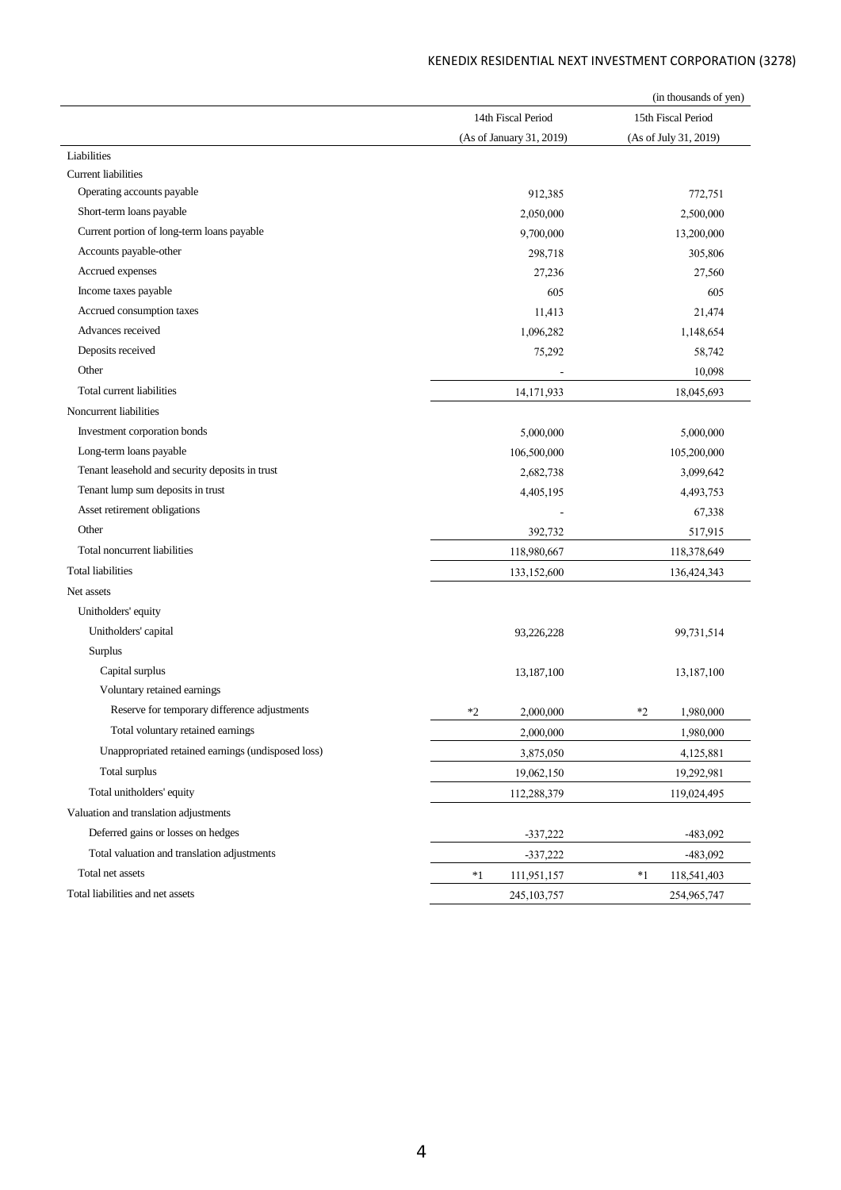|                                                    |                          |      | (in thousands of yen) |
|----------------------------------------------------|--------------------------|------|-----------------------|
|                                                    | 14th Fiscal Period       |      | 15th Fiscal Period    |
|                                                    | (As of January 31, 2019) |      | (As of July 31, 2019) |
| Liabilities                                        |                          |      |                       |
| <b>Current liabilities</b>                         |                          |      |                       |
| Operating accounts payable                         | 912,385                  |      | 772,751               |
| Short-term loans payable                           | 2,050,000                |      | 2,500,000             |
| Current portion of long-term loans payable         | 9,700,000                |      | 13,200,000            |
| Accounts payable-other                             | 298,718                  |      | 305,806               |
| Accrued expenses                                   | 27,236                   |      | 27,560                |
| Income taxes payable                               | 605                      |      | 605                   |
| Accrued consumption taxes                          | 11,413                   |      | 21,474                |
| Advances received                                  | 1,096,282                |      | 1,148,654             |
| Deposits received                                  | 75,292                   |      | 58,742                |
| Other                                              |                          |      | 10,098                |
| Total current liabilities                          | 14,171,933               |      | 18,045,693            |
| Noncurrent liabilities                             |                          |      |                       |
| Investment corporation bonds                       | 5,000,000                |      | 5,000,000             |
| Long-term loans payable                            | 106,500,000              |      | 105,200,000           |
| Tenant leasehold and security deposits in trust    | 2,682,738                |      | 3,099,642             |
| Tenant lump sum deposits in trust                  | 4,405,195                |      | 4,493,753             |
| Asset retirement obligations                       |                          |      | 67,338                |
| Other                                              | 392,732                  |      | 517,915               |
| Total noncurrent liabilities                       | 118,980,667              |      | 118,378,649           |
| <b>Total liabilities</b>                           | 133,152,600              |      | 136,424,343           |
| Net assets                                         |                          |      |                       |
| Unitholders' equity                                |                          |      |                       |
| Unitholders' capital                               | 93,226,228               |      | 99,731,514            |
| Surplus                                            |                          |      |                       |
| Capital surplus                                    | 13,187,100               |      | 13,187,100            |
| Voluntary retained earnings                        |                          |      |                       |
| Reserve for temporary difference adjustments       | $*2$<br>2,000,000        | *2   | 1,980,000             |
| Total voluntary retained earnings                  | 2,000,000                |      | 1,980,000             |
| Unappropriated retained earnings (undisposed loss) | 3,875,050                |      | 4,125,881             |
| Total surplus                                      | 19,062,150               |      | 19,292,981            |
| Total unitholders' equity                          | 112,288,379              |      | 119,024,495           |
| Valuation and translation adjustments              |                          |      |                       |
| Deferred gains or losses on hedges                 | $-337,222$               |      | $-483,092$            |
| Total valuation and translation adjustments        | $-337,222$               |      | $-483,092$            |
| Total net assets                                   | *1<br>111,951,157        | $*1$ | 118,541,403           |
| Total liabilities and net assets                   |                          |      |                       |
|                                                    | 245, 103, 757            |      | 254,965,747           |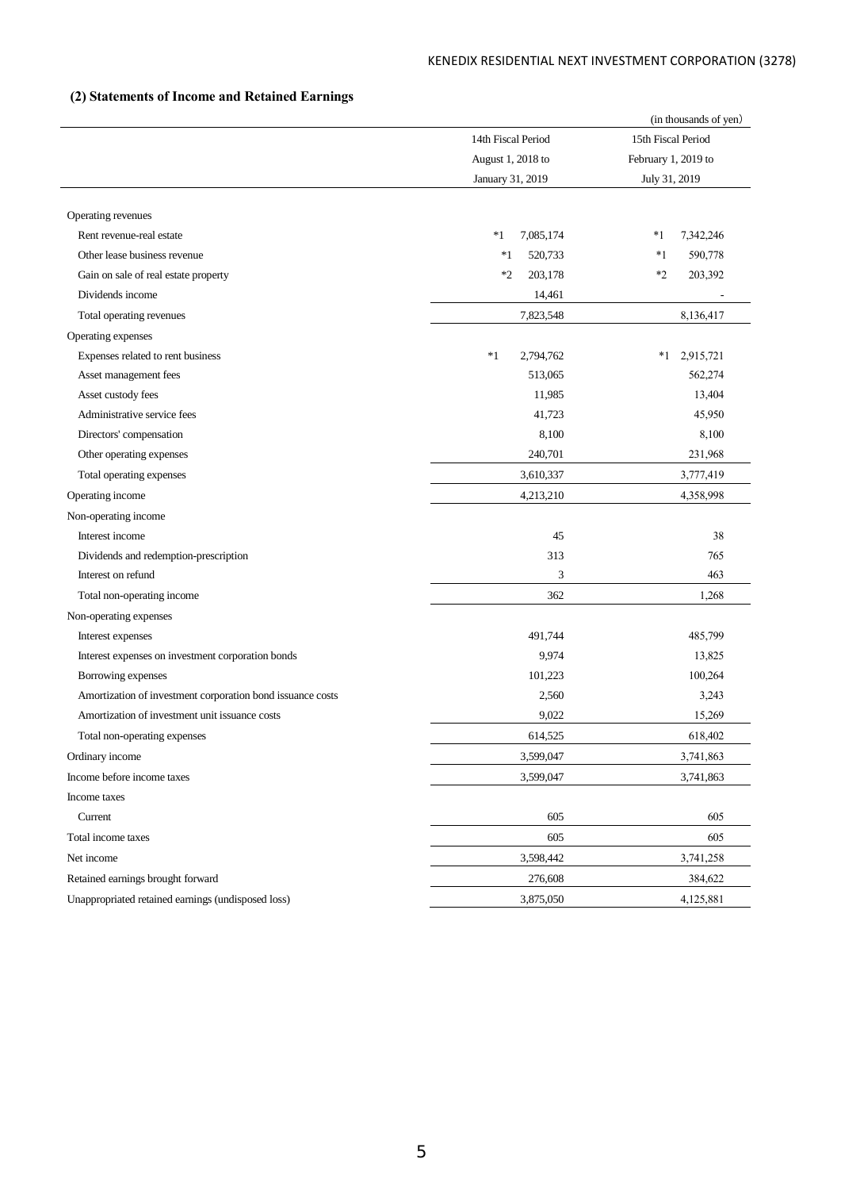# **(2) Statements of Income and Retained Earnings**

|                                                            |                    | (in thousands of yen) |
|------------------------------------------------------------|--------------------|-----------------------|
|                                                            | 14th Fiscal Period | 15th Fiscal Period    |
|                                                            | August 1, 2018 to  | February 1, 2019 to   |
|                                                            | January 31, 2019   | July 31, 2019         |
|                                                            |                    |                       |
| Operating revenues                                         |                    |                       |
| Rent revenue-real estate                                   | *1<br>7,085,174    | *1<br>7,342,246       |
| Other lease business revenue                               | $*1$<br>520,733    | $*1$<br>590,778       |
| Gain on sale of real estate property                       | $*2$<br>203,178    | $*2$<br>203,392       |
| Dividends income                                           | 14,461             |                       |
| Total operating revenues                                   | 7,823,548          | 8,136,417             |
| Operating expenses                                         |                    |                       |
| Expenses related to rent business                          | $*1$<br>2,794,762  | $*1$<br>2,915,721     |
| Asset management fees                                      | 513,065            | 562,274               |
| Asset custody fees                                         | 11,985             | 13,404                |
| Administrative service fees                                | 41,723             | 45,950                |
| Directors' compensation                                    | 8,100              | 8,100                 |
| Other operating expenses                                   | 240,701            | 231,968               |
| Total operating expenses                                   | 3,610,337          | 3,777,419             |
| Operating income                                           | 4,213,210          | 4,358,998             |
| Non-operating income                                       |                    |                       |
| Interest income                                            | 45                 | 38                    |
| Dividends and redemption-prescription                      | 313                | 765                   |
| Interest on refund                                         | 3                  | 463                   |
| Total non-operating income                                 | 362                | 1,268                 |
| Non-operating expenses                                     |                    |                       |
| Interest expenses                                          | 491,744            | 485,799               |
| Interest expenses on investment corporation bonds          | 9,974              | 13,825                |
| Borrowing expenses                                         | 101,223            | 100,264               |
| Amortization of investment corporation bond issuance costs | 2,560              | 3,243                 |
| Amortization of investment unit issuance costs             | 9,022              | 15,269                |
| Total non-operating expenses                               | 614,525            | 618,402               |
| Ordinary income                                            | 3,599,047          | 3,741,863             |
| Income before income taxes                                 | 3,599,047          | 3,741,863             |
| Income taxes                                               |                    |                       |
| Current                                                    | 605                | 605                   |
| Total income taxes                                         | 605                | 605                   |
| Net income                                                 | 3,598,442          | 3,741,258             |
| Retained earnings brought forward                          | 276,608            | 384,622               |
| Unappropriated retained earnings (undisposed loss)         | 3,875,050          | 4,125,881             |
|                                                            |                    |                       |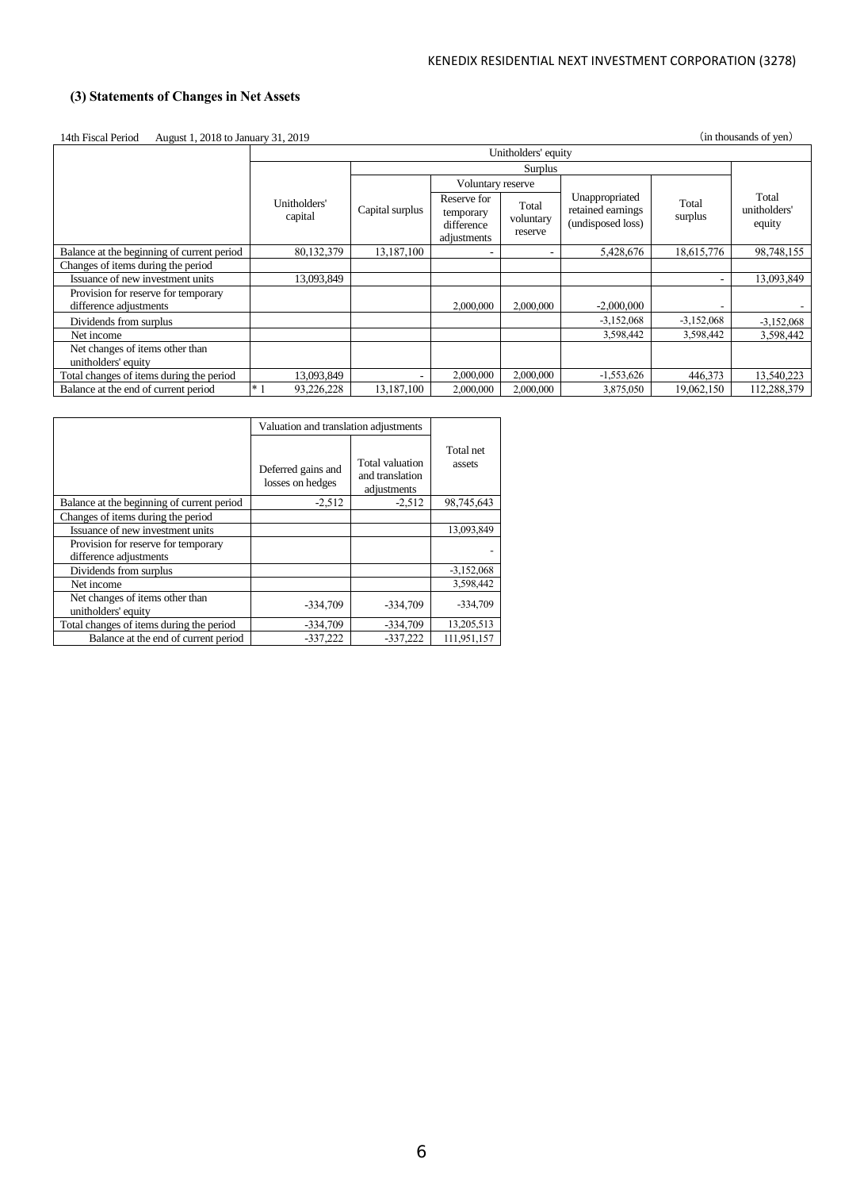# **(3) Statements of Changes in Net Assets**

| August 1, 2018 to January 31, 2019<br>14th Fiscal Period |  |
|----------------------------------------------------------|--|
|----------------------------------------------------------|--|

(in thousands of yen)

|                                                               |                         | Unitholders' equity |                                                       |                               |                                                          |                  |                                 |  |
|---------------------------------------------------------------|-------------------------|---------------------|-------------------------------------------------------|-------------------------------|----------------------------------------------------------|------------------|---------------------------------|--|
|                                                               |                         |                     |                                                       | Surplus                       |                                                          |                  |                                 |  |
|                                                               |                         |                     | Voluntary reserve                                     |                               |                                                          |                  |                                 |  |
|                                                               | Unitholders'<br>capital | Capital surplus     | Reserve for<br>temporary<br>difference<br>adjustments | Total<br>voluntary<br>reserve | Unappropriated<br>retained earnings<br>(undisposed loss) | Total<br>surplus | Total<br>unitholders'<br>equity |  |
| Balance at the beginning of current period                    | 80,132,379              | 13,187,100          |                                                       |                               | 5,428,676                                                | 18,615,776       | 98,748,155                      |  |
| Changes of items during the period                            |                         |                     |                                                       |                               |                                                          |                  |                                 |  |
| Issuance of new investment units                              | 13,093,849              |                     |                                                       |                               |                                                          |                  | 13,093,849                      |  |
| Provision for reserve for temporary<br>difference adjustments |                         |                     | 2,000,000                                             | 2,000,000                     | $-2,000,000$                                             |                  |                                 |  |
| Dividends from surplus                                        |                         |                     |                                                       |                               | $-3,152,068$                                             | $-3,152,068$     | $-3,152,068$                    |  |
| Net income                                                    |                         |                     |                                                       |                               | 3,598,442                                                | 3,598,442        | 3.598.442                       |  |
| Net changes of items other than<br>unitholders' equity        |                         |                     |                                                       |                               |                                                          |                  |                                 |  |
| Total changes of items during the period                      | 13,093,849              | ۰                   | 2,000,000                                             | 2,000,000                     | $-1,553,626$                                             | 446,373          | 13,540,223                      |  |
| Balance at the end of current period                          | $*$<br>93.226.228       | 13,187,100          | 2,000,000                                             | 2,000,000                     | 3,875,050                                                | 19,062,150       | 112.288.379                     |  |

|                                                               | Valuation and translation adjustments  |                                                   |                     |
|---------------------------------------------------------------|----------------------------------------|---------------------------------------------------|---------------------|
|                                                               | Deferred gains and<br>losses on hedges | Total valuation<br>and translation<br>adjustments | Total net<br>assets |
| Balance at the beginning of current period                    | $-2,512$                               | $-2,512$                                          | 98,745,643          |
| Changes of items during the period                            |                                        |                                                   |                     |
| Issuance of new investment units                              |                                        |                                                   | 13,093,849          |
| Provision for reserve for temporary<br>difference adjustments |                                        |                                                   |                     |
| Dividends from surplus                                        |                                        |                                                   | $-3,152,068$        |
| Net income                                                    |                                        |                                                   | 3,598,442           |
| Net changes of items other than<br>unitholders' equity        | $-334,709$                             | $-334,709$                                        | $-334,709$          |
| Total changes of items during the period                      | $-334,709$                             | $-334,709$                                        | 13,205,513          |
| Balance at the end of current period                          | $-337,222$                             | $-337,222$                                        | 111.951.157         |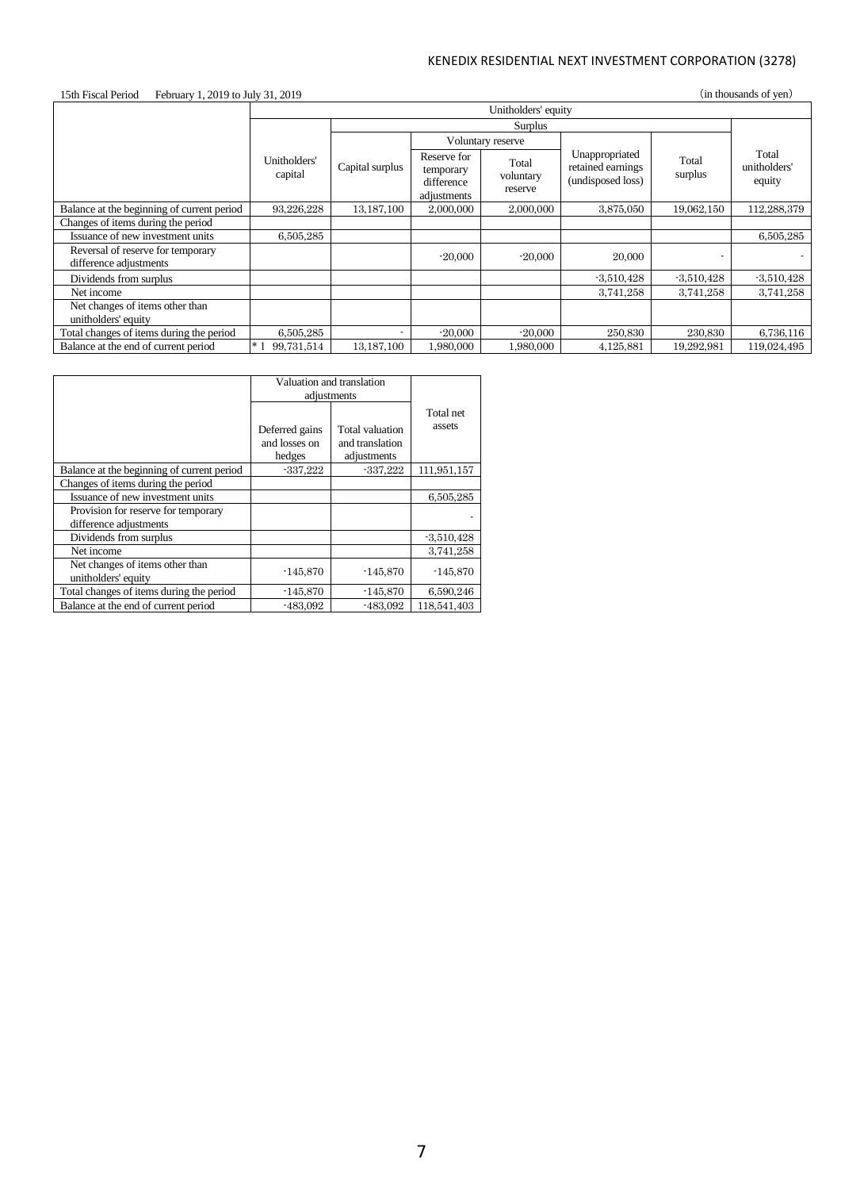# 15th Fiscal Period February 1, 2019 to July 31, 2019 (in thousands of yen)

|                                                             | Unitholders' equity     |                          |                                                       |                               |                                                          |                  |                                 |
|-------------------------------------------------------------|-------------------------|--------------------------|-------------------------------------------------------|-------------------------------|----------------------------------------------------------|------------------|---------------------------------|
|                                                             |                         |                          |                                                       |                               |                                                          |                  |                                 |
|                                                             |                         |                          |                                                       | Voluntary reserve             |                                                          |                  |                                 |
|                                                             | Unitholders'<br>capital | Capital surplus          | Reserve for<br>temporary<br>difference<br>adjustments | Total<br>voluntary<br>reserve | Unappropriated<br>retained earnings<br>(undisposed loss) | Total<br>surplus | Total<br>unitholders'<br>equity |
| Balance at the beginning of current period                  | 93,226,228              | 13, 187, 100             | 2,000,000                                             | 2,000,000                     | 3,875,050                                                | 19,062,150       | 112,288,379                     |
| Changes of items during the period                          |                         |                          |                                                       |                               |                                                          |                  |                                 |
| Issuance of new investment units                            | 6.505.285               |                          |                                                       |                               |                                                          |                  | 6.505.285                       |
| Reversal of reserve for temporary<br>difference adjustments |                         |                          | $-20,000$                                             | $-20,000$                     | 20,000                                                   |                  |                                 |
| Dividends from surplus                                      |                         |                          |                                                       |                               | $-3,510,428$                                             | $-3,510,428$     | $-3,510,428$                    |
| Net income                                                  |                         |                          |                                                       |                               | 3,741,258                                                | 3,741,258        | 3,741,258                       |
| Net changes of items other than<br>unitholders' equity      |                         |                          |                                                       |                               |                                                          |                  |                                 |
| Total changes of items during the period                    | 6,505,285               | $\overline{\phantom{a}}$ | $-20,000$                                             | $-20,000$                     | 250,830                                                  | 230,830          | 6,736,116                       |
| Balance at the end of current period                        | $*1$<br>99,731,514      | 13,187,100               | 1,980,000                                             | 1,980,000                     | 4,125,881                                                | 19,292,981       | 119,024,495                     |

|                                                               | Valuation and translation<br>adjustments  |                                                   |                     |
|---------------------------------------------------------------|-------------------------------------------|---------------------------------------------------|---------------------|
|                                                               | Deferred gains<br>and losses on<br>hedges | Total valuation<br>and translation<br>adjustments | Total net<br>assets |
| Balance at the beginning of current period                    | $-337,222$                                | $-337,222$                                        | 111,951,157         |
| Changes of items during the period                            |                                           |                                                   |                     |
| Issuance of new investment units                              |                                           |                                                   | 6,505,285           |
| Provision for reserve for temporary<br>difference adjustments |                                           |                                                   |                     |
| Dividends from surplus                                        |                                           |                                                   | $-3,510,428$        |
| Net income                                                    |                                           |                                                   | 3,741,258           |
| Net changes of items other than<br>unitholders' equity        | $-145,870$                                | $-145,870$                                        | $-145,870$          |
| Total changes of items during the period                      | $-145,870$                                | $-145,870$                                        | 6,590,246           |
| Balance at the end of current period                          | -483.092                                  | $-483.092$                                        | 118,541,403         |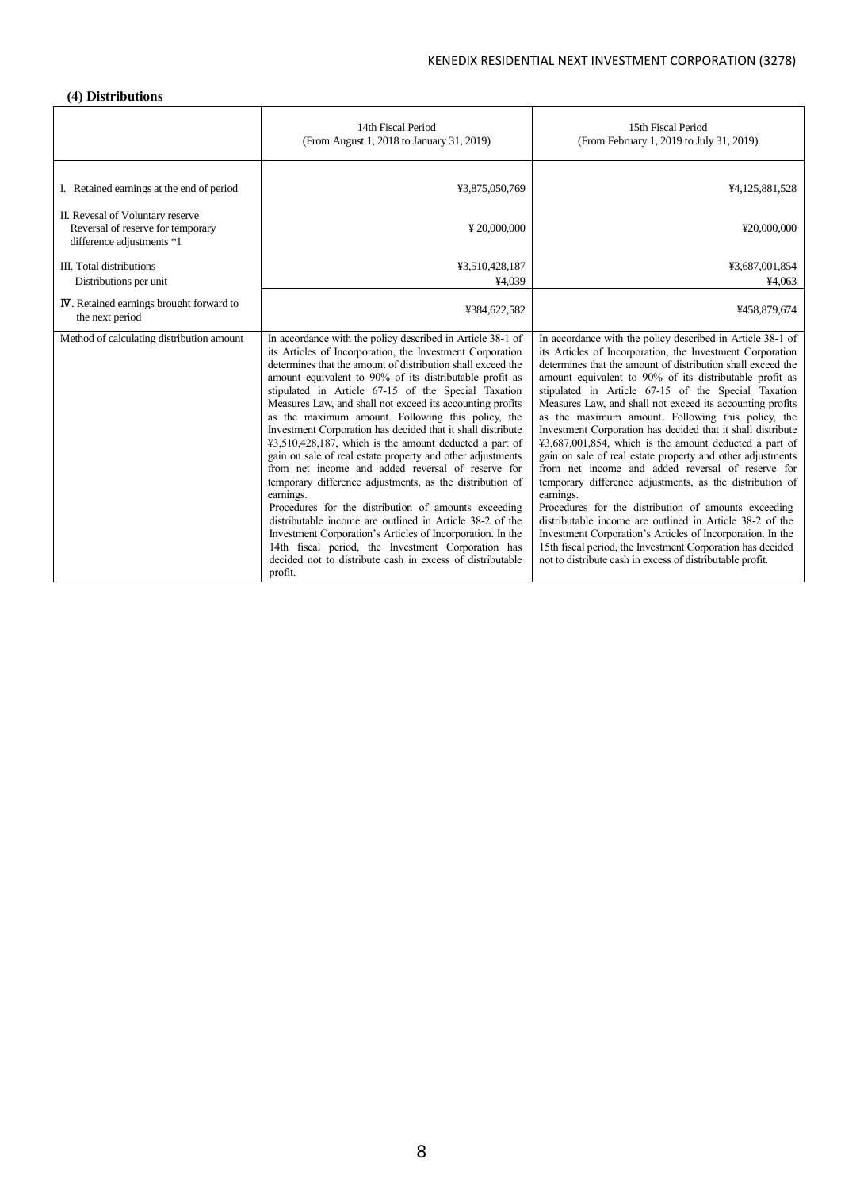# **(4) Distributions**

|                                                                                                    | 14th Fiscal Period<br>(From August 1, 2018 to January 31, 2019)                                                                                                                                                                                                                                                                                                                                                                                                                                                                                                                                                                                                                                                                                                                                                                                                                                                                                                                                                                                                    | 15th Fiscal Period<br>(From February 1, 2019 to July 31, 2019)                                                                                                                                                                                                                                                                                                                                                                                                                                                                                                                                                                                                                                                                                                                                                                                                                                                                                                                                                                                                  |
|----------------------------------------------------------------------------------------------------|--------------------------------------------------------------------------------------------------------------------------------------------------------------------------------------------------------------------------------------------------------------------------------------------------------------------------------------------------------------------------------------------------------------------------------------------------------------------------------------------------------------------------------------------------------------------------------------------------------------------------------------------------------------------------------------------------------------------------------------------------------------------------------------------------------------------------------------------------------------------------------------------------------------------------------------------------------------------------------------------------------------------------------------------------------------------|-----------------------------------------------------------------------------------------------------------------------------------------------------------------------------------------------------------------------------------------------------------------------------------------------------------------------------------------------------------------------------------------------------------------------------------------------------------------------------------------------------------------------------------------------------------------------------------------------------------------------------------------------------------------------------------------------------------------------------------------------------------------------------------------------------------------------------------------------------------------------------------------------------------------------------------------------------------------------------------------------------------------------------------------------------------------|
| I. Retained earnings at the end of period                                                          | ¥3,875,050,769                                                                                                                                                                                                                                                                                                                                                                                                                                                                                                                                                                                                                                                                                                                                                                                                                                                                                                                                                                                                                                                     | ¥4,125,881,528                                                                                                                                                                                                                                                                                                                                                                                                                                                                                                                                                                                                                                                                                                                                                                                                                                                                                                                                                                                                                                                  |
| II. Revesal of Voluntary reserve<br>Reversal of reserve for temporary<br>difference adjustments *1 | ¥20,000,000                                                                                                                                                                                                                                                                                                                                                                                                                                                                                                                                                                                                                                                                                                                                                                                                                                                                                                                                                                                                                                                        | ¥20,000,000                                                                                                                                                                                                                                                                                                                                                                                                                                                                                                                                                                                                                                                                                                                                                                                                                                                                                                                                                                                                                                                     |
| <b>III.</b> Total distributions                                                                    | ¥3,510,428,187                                                                                                                                                                                                                                                                                                                                                                                                                                                                                                                                                                                                                                                                                                                                                                                                                                                                                                                                                                                                                                                     | ¥3,687,001,854                                                                                                                                                                                                                                                                                                                                                                                                                                                                                                                                                                                                                                                                                                                                                                                                                                                                                                                                                                                                                                                  |
| Distributions per unit                                                                             | ¥4,039                                                                                                                                                                                                                                                                                                                                                                                                                                                                                                                                                                                                                                                                                                                                                                                                                                                                                                                                                                                                                                                             | ¥4,063                                                                                                                                                                                                                                                                                                                                                                                                                                                                                                                                                                                                                                                                                                                                                                                                                                                                                                                                                                                                                                                          |
| <b>IV</b> . Retained earnings brought forward to<br>the next period                                | ¥384,622,582                                                                                                                                                                                                                                                                                                                                                                                                                                                                                                                                                                                                                                                                                                                                                                                                                                                                                                                                                                                                                                                       | ¥458,879,674                                                                                                                                                                                                                                                                                                                                                                                                                                                                                                                                                                                                                                                                                                                                                                                                                                                                                                                                                                                                                                                    |
| Method of calculating distribution amount                                                          | In accordance with the policy described in Article 38-1 of<br>its Articles of Incorporation, the Investment Corporation<br>determines that the amount of distribution shall exceed the<br>amount equivalent to 90% of its distributable profit as<br>stipulated in Article 67-15 of the Special Taxation<br>Measures Law, and shall not exceed its accounting profits<br>as the maximum amount. Following this policy, the<br>Investment Corporation has decided that it shall distribute<br>$43,510,428,187$ , which is the amount deducted a part of<br>gain on sale of real estate property and other adjustments<br>from net income and added reversal of reserve for<br>temporary difference adjustments, as the distribution of<br>earnings.<br>Procedures for the distribution of amounts exceeding<br>distributable income are outlined in Article 38-2 of the<br>Investment Corporation's Articles of Incorporation. In the<br>14th fiscal period, the Investment Corporation has<br>decided not to distribute cash in excess of distributable<br>profit. | In accordance with the policy described in Article 38-1 of<br>its Articles of Incorporation, the Investment Corporation<br>determines that the amount of distribution shall exceed the<br>amount equivalent to 90% of its distributable profit as<br>stipulated in Article 67-15 of the Special Taxation<br>Measures Law, and shall not exceed its accounting profits<br>as the maximum amount. Following this policy, the<br>Investment Corporation has decided that it shall distribute<br>$43,687,001,854$ , which is the amount deducted a part of<br>gain on sale of real estate property and other adjustments<br>from net income and added reversal of reserve for<br>temporary difference adjustments, as the distribution of<br>earnings.<br>Procedures for the distribution of amounts exceeding<br>distributable income are outlined in Article 38-2 of the<br>Investment Corporation's Articles of Incorporation. In the<br>15th fiscal period, the Investment Corporation has decided<br>not to distribute cash in excess of distributable profit. |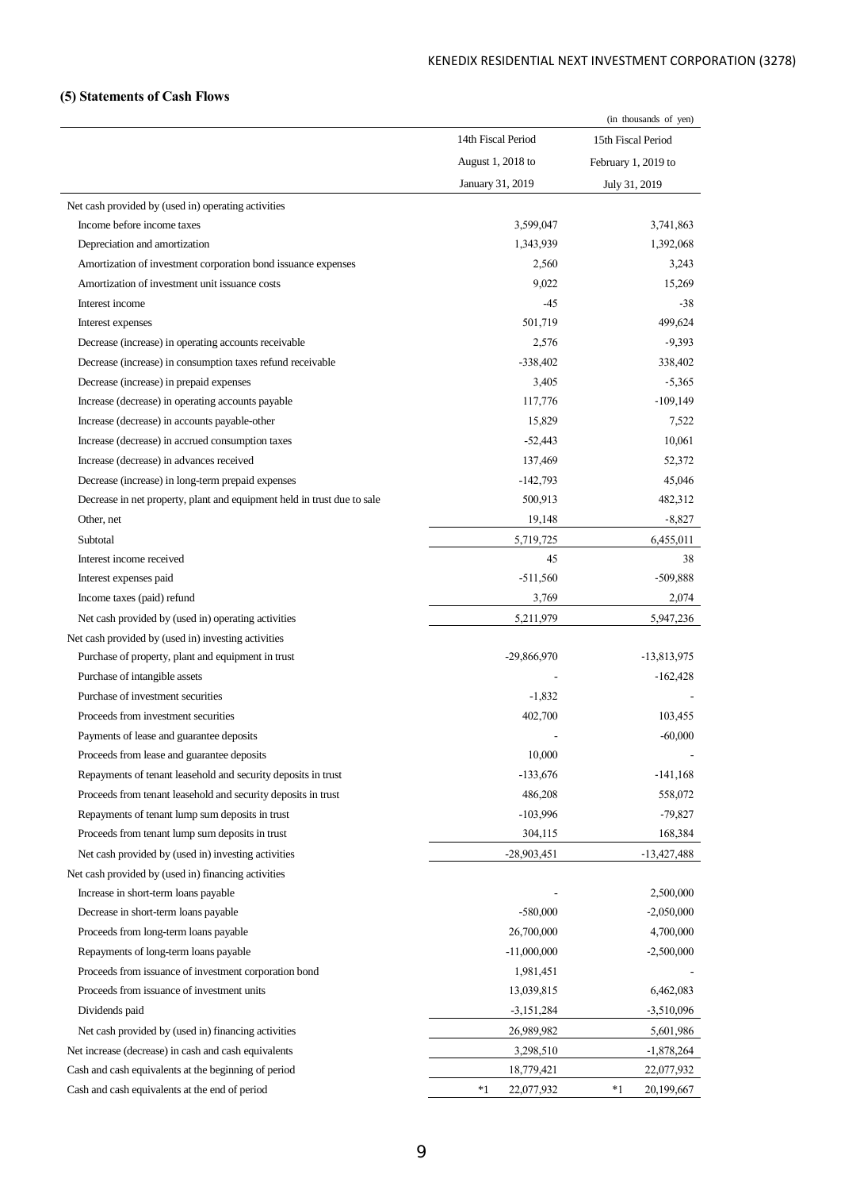# **(5) Statements of Cash Flows**

|                                                                         |                    | (in thousands of yen) |
|-------------------------------------------------------------------------|--------------------|-----------------------|
|                                                                         | 14th Fiscal Period | 15th Fiscal Period    |
|                                                                         | August 1, 2018 to  | February 1, 2019 to   |
|                                                                         | January 31, 2019   | July 31, 2019         |
| Net cash provided by (used in) operating activities                     |                    |                       |
| Income before income taxes                                              | 3,599,047          | 3,741,863             |
| Depreciation and amortization                                           | 1,343,939          | 1,392,068             |
| Amortization of investment corporation bond issuance expenses           | 2,560              | 3,243                 |
| Amortization of investment unit issuance costs                          | 9,022              | 15,269                |
| Interest income                                                         | -45                | $-38$                 |
| Interest expenses                                                       | 501,719            | 499,624               |
| Decrease (increase) in operating accounts receivable                    | 2,576              | $-9,393$              |
| Decrease (increase) in consumption taxes refund receivable              | $-338,402$         | 338,402               |
| Decrease (increase) in prepaid expenses                                 | 3,405              | $-5,365$              |
| Increase (decrease) in operating accounts payable                       | 117,776            | $-109,149$            |
| Increase (decrease) in accounts payable-other                           | 15,829             | 7,522                 |
| Increase (decrease) in accrued consumption taxes                        | $-52,443$          | 10,061                |
| Increase (decrease) in advances received                                | 137,469            | 52,372                |
| Decrease (increase) in long-term prepaid expenses                       | $-142,793$         | 45,046                |
| Decrease in net property, plant and equipment held in trust due to sale | 500,913            | 482,312               |
| Other, net                                                              | 19,148             | $-8,827$              |
| Subtotal                                                                | 5,719,725          | 6,455,011             |
| Interest income received                                                | 45                 | 38                    |
| Interest expenses paid                                                  | $-511,560$         | $-509,888$            |
| Income taxes (paid) refund                                              | 3,769              | 2,074                 |
| Net cash provided by (used in) operating activities                     | 5,211,979          | 5,947,236             |
| Net cash provided by (used in) investing activities                     |                    |                       |
| Purchase of property, plant and equipment in trust                      | $-29,866,970$      | $-13,813,975$         |
| Purchase of intangible assets                                           |                    | $-162,428$            |
| Purchase of investment securities                                       | $-1,832$           |                       |
| Proceeds from investment securities                                     | 402,700            | 103,455               |
| Payments of lease and guarantee deposits                                |                    | $-60,000$             |
| Proceeds from lease and guarantee deposits                              | 10,000             |                       |
| Repayments of tenant leasehold and security deposits in trust           | $-133,676$         | $-141,168$            |
| Proceeds from tenant leasehold and security deposits in trust           | 486,208            | 558,072               |
| Repayments of tenant lump sum deposits in trust                         | $-103,996$         | $-79,827$             |
| Proceeds from tenant lump sum deposits in trust                         | 304,115            | 168,384               |
| Net cash provided by (used in) investing activities                     | $-28,903,451$      | $-13,427,488$         |
| Net cash provided by (used in) financing activities                     |                    |                       |
| Increase in short-term loans payable                                    |                    | 2,500,000             |
| Decrease in short-term loans payable                                    | $-580,000$         | $-2,050,000$          |
| Proceeds from long-term loans payable                                   | 26,700,000         | 4,700,000             |
| Repayments of long-term loans payable                                   | $-11,000,000$      | $-2,500,000$          |
| Proceeds from issuance of investment corporation bond                   | 1,981,451          |                       |
| Proceeds from issuance of investment units                              | 13,039,815         | 6,462,083             |
| Dividends paid                                                          | $-3,151,284$       | $-3,510,096$          |
| Net cash provided by (used in) financing activities                     | 26,989,982         | 5,601,986             |
| Net increase (decrease) in cash and cash equivalents                    | 3,298,510          | $-1,878,264$          |
| Cash and cash equivalents at the beginning of period                    | 18,779,421         | 22,077,932            |
| Cash and cash equivalents at the end of period                          | $*1$<br>22,077,932 | *1<br>20,199,667      |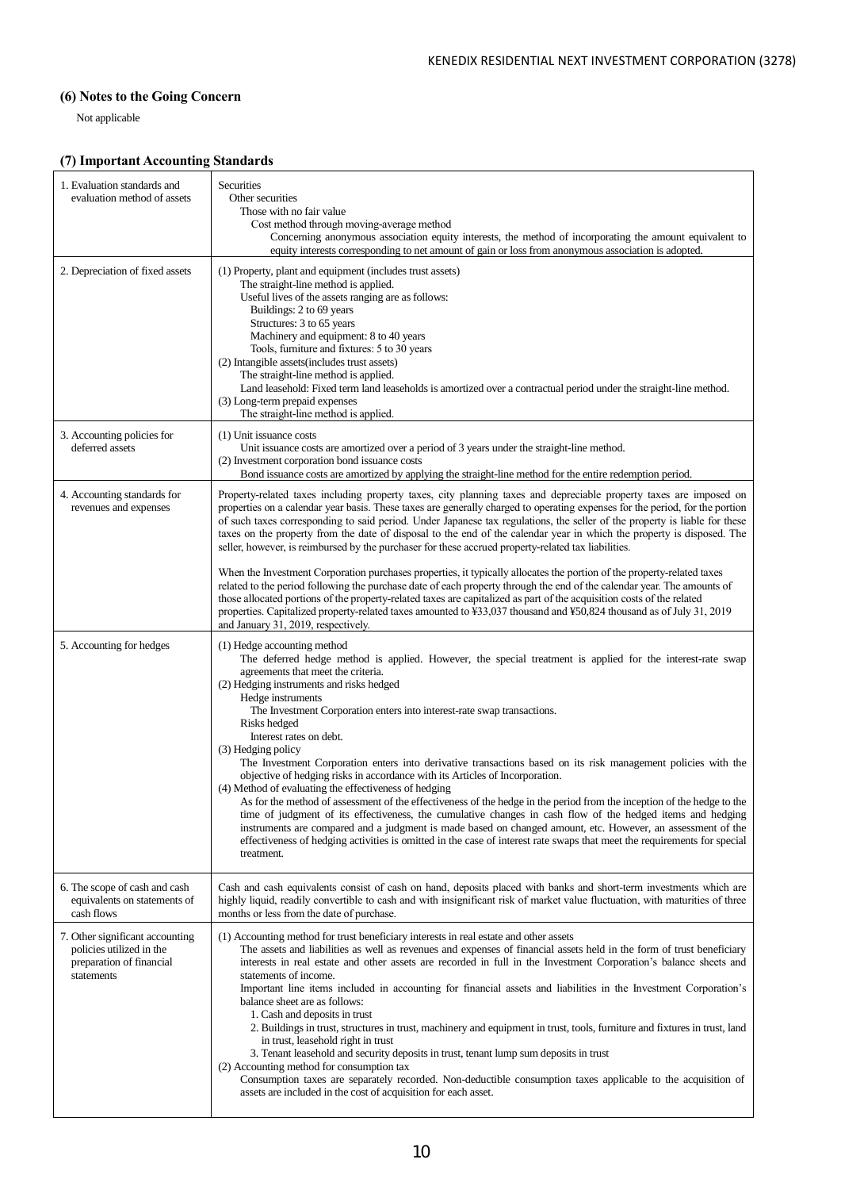# **(6) Notes to the Going Concern**

Not applicable

# **(7) Important Accounting Standards**

| 1. Evaluation standards and<br>evaluation method of assets                                            | Securities<br>Other securities<br>Those with no fair value<br>Cost method through moving-average method<br>Concerning anonymous association equity interests, the method of incorporating the amount equivalent to<br>equity interests corresponding to net amount of gain or loss from anonymous association is adopted.                                                                                                                                                                                                                                                                                                                                                                                                                                                                                                                                                                                                                                                                                                                                                                                                                               |
|-------------------------------------------------------------------------------------------------------|---------------------------------------------------------------------------------------------------------------------------------------------------------------------------------------------------------------------------------------------------------------------------------------------------------------------------------------------------------------------------------------------------------------------------------------------------------------------------------------------------------------------------------------------------------------------------------------------------------------------------------------------------------------------------------------------------------------------------------------------------------------------------------------------------------------------------------------------------------------------------------------------------------------------------------------------------------------------------------------------------------------------------------------------------------------------------------------------------------------------------------------------------------|
| 2. Depreciation of fixed assets                                                                       | (1) Property, plant and equipment (includes trust assets)<br>The straight-line method is applied.<br>Useful lives of the assets ranging are as follows:<br>Buildings: 2 to 69 years<br>Structures: 3 to 65 years<br>Machinery and equipment: 8 to 40 years<br>Tools, furniture and fixtures: 5 to 30 years<br>(2) Intangible assets (includes trust assets)<br>The straight-line method is applied.<br>Land leasehold: Fixed term land leaseholds is amortized over a contractual period under the straight-line method.<br>(3) Long-term prepaid expenses<br>The straight-line method is applied.                                                                                                                                                                                                                                                                                                                                                                                                                                                                                                                                                      |
| 3. Accounting policies for<br>deferred assets                                                         | (1) Unit issuance costs<br>Unit issuance costs are amortized over a period of 3 years under the straight-line method.<br>(2) Investment corporation bond issuance costs<br>Bond issuance costs are amortized by applying the straight-line method for the entire redemption period.                                                                                                                                                                                                                                                                                                                                                                                                                                                                                                                                                                                                                                                                                                                                                                                                                                                                     |
| 4. Accounting standards for<br>revenues and expenses                                                  | Property-related taxes including property taxes, city planning taxes and depreciable property taxes are imposed on<br>properties on a calendar year basis. These taxes are generally charged to operating expenses for the period, for the portion<br>of such taxes corresponding to said period. Under Japanese tax regulations, the seller of the property is liable for these<br>taxes on the property from the date of disposal to the end of the calendar year in which the property is disposed. The<br>seller, however, is reimbursed by the purchaser for these accrued property-related tax liabilities.                                                                                                                                                                                                                                                                                                                                                                                                                                                                                                                                       |
|                                                                                                       | When the Investment Corporation purchases properties, it typically allocates the portion of the property-related taxes<br>related to the period following the purchase date of each property through the end of the calendar year. The amounts of<br>those allocated portions of the property-related taxes are capitalized as part of the acquisition costs of the related<br>properties. Capitalized property-related taxes amounted to ¥33,037 thousand and ¥50,824 thousand as of July 31, 2019<br>and January 31, 2019, respectively.                                                                                                                                                                                                                                                                                                                                                                                                                                                                                                                                                                                                              |
| 5. Accounting for hedges                                                                              | (1) Hedge accounting method<br>The deferred hedge method is applied. However, the special treatment is applied for the interest-rate swap<br>agreements that meet the criteria.<br>(2) Hedging instruments and risks hedged<br>Hedge instruments<br>The Investment Corporation enters into interest-rate swap transactions.<br>Risks hedged<br>Interest rates on debt.<br>(3) Hedging policy<br>The Investment Corporation enters into derivative transactions based on its risk management policies with the<br>objective of hedging risks in accordance with its Articles of Incorporation.<br>(4) Method of evaluating the effectiveness of hedging<br>As for the method of assessment of the effectiveness of the hedge in the period from the inception of the hedge to the<br>time of judgment of its effectiveness, the cumulative changes in cash flow of the hedged items and hedging<br>instruments are compared and a judgment is made based on changed amount, etc. However, an assessment of the<br>effectiveness of hedging activities is omitted in the case of interest rate swaps that meet the requirements for special<br>treatment. |
| 6. The scope of cash and cash<br>equivalents on statements of<br>cash flows                           | Cash and cash equivalents consist of cash on hand, deposits placed with banks and short-term investments which are<br>highly liquid, readily convertible to cash and with insignificant risk of market value fluctuation, with maturities of three<br>months or less from the date of purchase.                                                                                                                                                                                                                                                                                                                                                                                                                                                                                                                                                                                                                                                                                                                                                                                                                                                         |
| 7. Other significant accounting<br>policies utilized in the<br>preparation of financial<br>statements | (1) Accounting method for trust beneficiary interests in real estate and other assets<br>The assets and liabilities as well as revenues and expenses of financial assets held in the form of trust beneficiary<br>interests in real estate and other assets are recorded in full in the Investment Corporation's balance sheets and<br>statements of income.<br>Important line items included in accounting for financial assets and liabilities in the Investment Corporation's<br>balance sheet are as follows:<br>1. Cash and deposits in trust<br>2. Buildings in trust, structures in trust, machinery and equipment in trust, tools, furniture and fixtures in trust, land<br>in trust, leasehold right in trust<br>3. Tenant leasehold and security deposits in trust, tenant lump sum deposits in trust<br>(2) Accounting method for consumption tax<br>Consumption taxes are separately recorded. Non-deductible consumption taxes applicable to the acquisition of<br>assets are included in the cost of acquisition for each asset.                                                                                                          |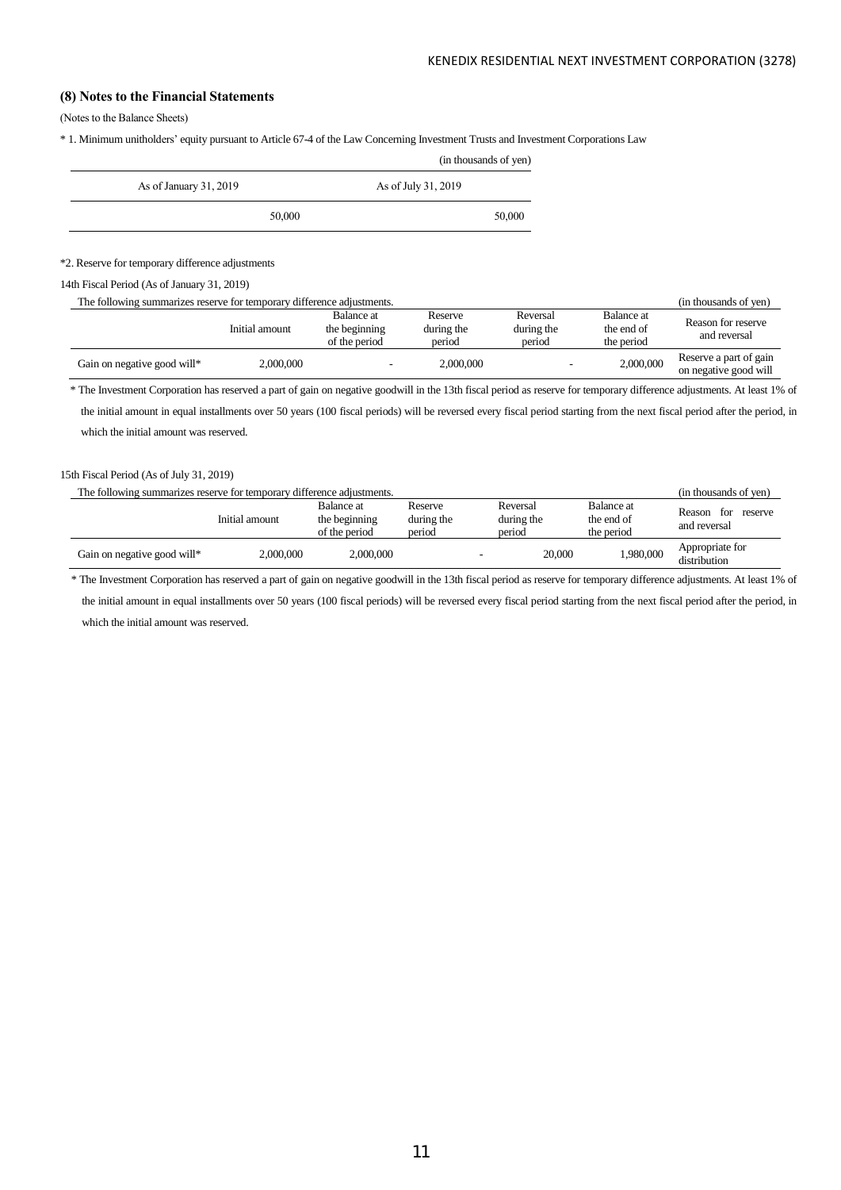# **(8) Notes to the Financial Statements**

(Notes to the Balance Sheets)

\* 1. Minimum unitholders' equity pursuant to Article 67-4 of the Law Concerning Investment Trusts and Investment Corporations Law

|                        |        | (in thousands of yen) |
|------------------------|--------|-----------------------|
| As of January 31, 2019 |        | As of July 31, 2019   |
|                        | 50,000 | 50,000                |

\*2. Reserve for temporary difference adjustments

14th Fiscal Period (As of January 31, 2019)

| The following summarizes reserve for temporary difference adjustments. |                |                                              |                                 |                                  | (in thousands of yen)                  |                                                 |
|------------------------------------------------------------------------|----------------|----------------------------------------------|---------------------------------|----------------------------------|----------------------------------------|-------------------------------------------------|
|                                                                        | Initial amount | Balance at<br>the beginning<br>of the period | Reserve<br>during the<br>period | Reversal<br>during the<br>period | Balance at<br>the end of<br>the period | Reason for reserve<br>and reversal              |
| Gain on negative good will*                                            | 2,000,000      |                                              | 2,000,000                       |                                  | 2,000,000                              | Reserve a part of gain<br>on negative good will |

\* The Investment Corporation has reserved a part of gain on negative goodwill in the 13th fiscal period as reserve for temporary difference adjustments. At least 1% of the initial amount in equal installments over 50 years (100 fiscal periods) will be reversed every fiscal period starting from the next fiscal period after the period, in which the initial amount was reserved.

15th Fiscal Period (As of July 31, 2019)

| The following summarizes reserve for temporary difference adjustments. |                |                                              |                                 |  |                                  | (in thousands of ven)                  |                                          |
|------------------------------------------------------------------------|----------------|----------------------------------------------|---------------------------------|--|----------------------------------|----------------------------------------|------------------------------------------|
|                                                                        | Initial amount | Balance at<br>the beginning<br>of the period | Reserve<br>during the<br>period |  | Reversal<br>during the<br>period | Balance at<br>the end of<br>the period | Reason<br>reserve<br>for<br>and reversal |
| Gain on negative good will*                                            | 2,000,000      | 2,000,000                                    |                                 |  | 20,000                           | 1,980,000                              | Appropriate for<br>distribution          |

\* The Investment Corporation has reserved a part of gain on negative goodwill in the 13th fiscal period as reserve for temporary difference adjustments. At least 1% of

the initial amount in equal installments over 50 years (100 fiscal periods) will be reversed every fiscal period starting from the next fiscal period after the period, in which the initial amount was reserved.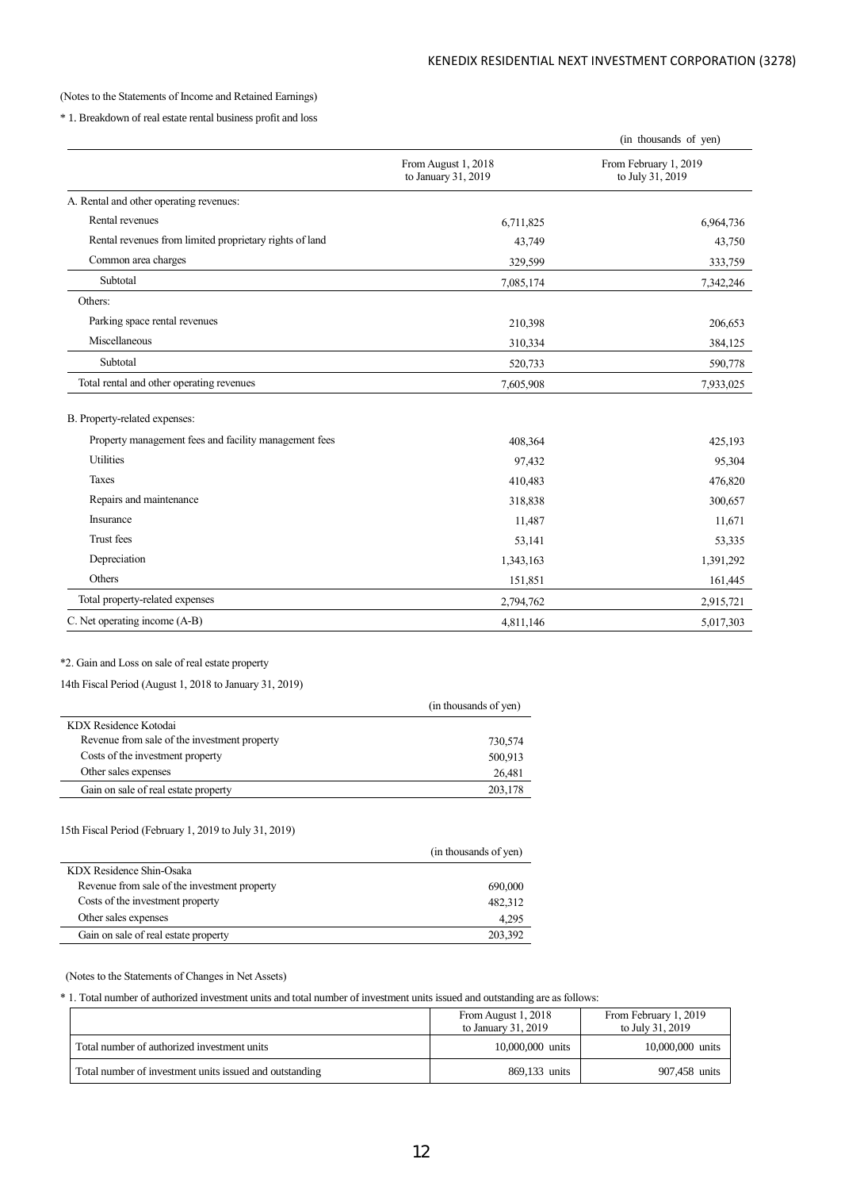## (Notes to the Statements of Income and Retained Earnings)

\* 1. Breakdown of real estate rental business profit and loss

|                                                         |                                            | (in thousands of yen) |
|---------------------------------------------------------|--------------------------------------------|-----------------------|
|                                                         | From August 1, 2018<br>to January 31, 2019 |                       |
| A. Rental and other operating revenues:                 |                                            |                       |
| Rental revenues                                         | 6,711,825                                  | 6,964,736             |
| Rental revenues from limited proprietary rights of land | 43,749                                     | 43,750                |
| Common area charges                                     | 329,599                                    | 333,759               |
| Subtotal                                                | 7,085,174                                  | 7,342,246             |
| Others:                                                 |                                            |                       |
| Parking space rental revenues                           | 210,398                                    | 206,653               |
| Miscellaneous                                           | 310,334                                    | 384,125               |
| Subtotal                                                | 520,733                                    | 590,778               |
| Total rental and other operating revenues               | 7,605,908                                  | 7,933,025             |
| B. Property-related expenses:                           |                                            |                       |
| Property management fees and facility management fees   | 408,364                                    | 425,193               |
| <b>Utilities</b>                                        | 97,432                                     | 95,304                |
| Taxes                                                   | 410,483                                    | 476,820               |
| Repairs and maintenance                                 | 318,838                                    | 300,657               |
| Insurance                                               | 11,487                                     | 11,671                |
| Trust fees                                              | 53,141                                     | 53,335                |
| Depreciation                                            | 1,343,163                                  | 1,391,292             |
| Others                                                  | 151,851                                    | 161,445               |
| Total property-related expenses                         | 2,794,762                                  | 2,915,721             |
| C. Net operating income (A-B)                           | 4,811,146                                  | 5,017,303             |

# \*2. Gain and Loss on sale of real estate property

14th Fiscal Period (August 1, 2018 to January 31, 2019)

|                                              | (in thousands of yen) |
|----------------------------------------------|-----------------------|
| KDX Residence Kotodai                        |                       |
| Revenue from sale of the investment property | 730,574               |
| Costs of the investment property             | 500,913               |
| Other sales expenses                         | 26.481                |
| Gain on sale of real estate property         | 203,178               |

# 15th Fiscal Period (February 1, 2019 to July 31, 2019)

l,

|                                              | (in thousands of yen) |
|----------------------------------------------|-----------------------|
| KDX Residence Shin-Osaka                     |                       |
| Revenue from sale of the investment property | 690,000               |
| Costs of the investment property             | 482,312               |
| Other sales expenses                         | 4.295                 |
| Gain on sale of real estate property         | 203,392               |

## (Notes to the Statements of Changes in Net Assets)

\* 1. Total number of authorized investment units and total number of investment units issued and outstanding are as follows:

|                                                         | From August 1, 2018<br>to January 31, 2019 | From February 1, 2019<br>to July 31, 2019 |
|---------------------------------------------------------|--------------------------------------------|-------------------------------------------|
| Total number of authorized investment units             | 10,000,000 units                           | 10,000,000 units                          |
| Total number of investment units issued and outstanding | 869.133 units                              | 907.458 units                             |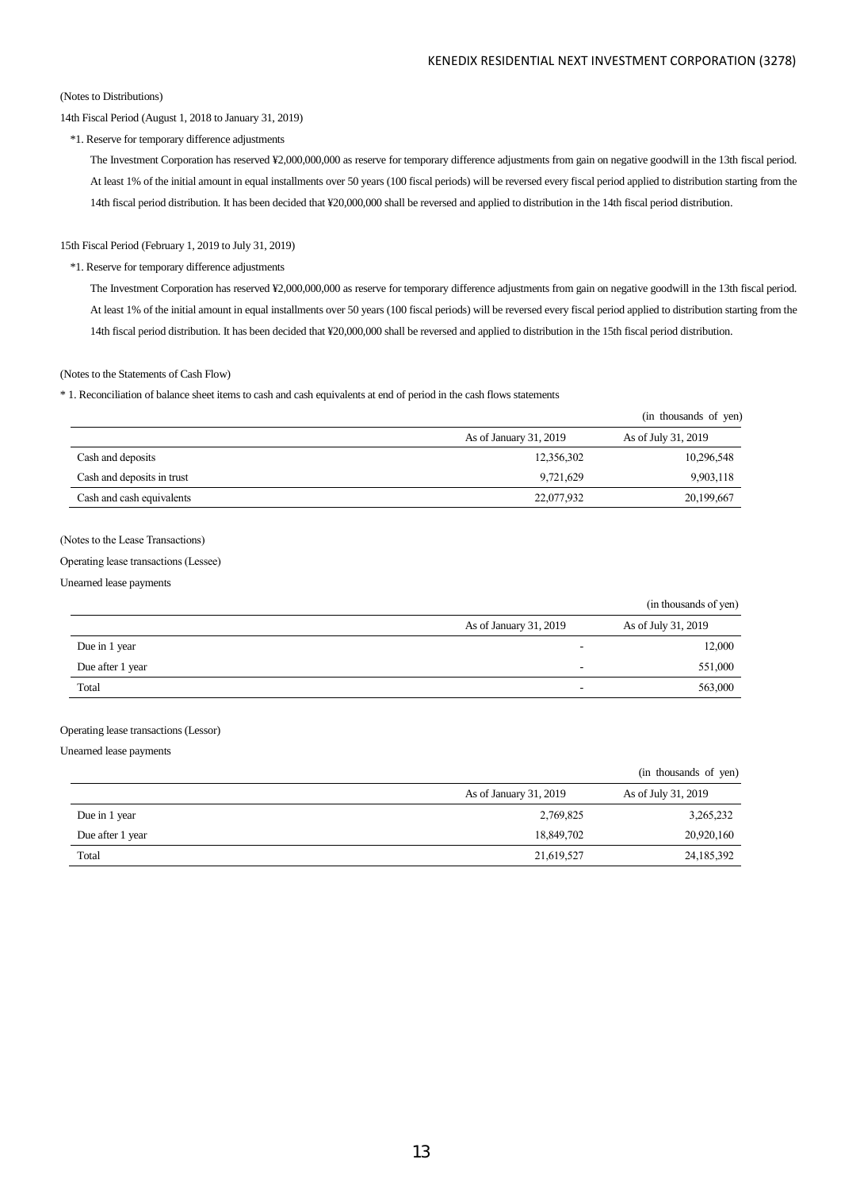(in thousands of yen)

### (Notes to Distributions)

## 14th Fiscal Period (August 1, 2018 to January 31, 2019)

\*1. Reserve for temporary difference adjustments

The Investment Corporation has reserved ¥2,000,000,000 as reserve for temporary difference adjustments from gain on negative goodwill in the 13th fiscal period. At least 1% of the initial amount in equal installments over 50 years (100 fiscal periods) will be reversed every fiscal period applied to distribution starting from the 14th fiscal period distribution. It has been decided that ¥20,000,000 shall be reversed and applied to distribution in the 14th fiscal period distribution.

#### 15th Fiscal Period (February 1, 2019 to July 31, 2019)

### \*1. Reserve for temporary difference adjustments

The Investment Corporation has reserved ¥2,000,000,000 as reserve for temporary difference adjustments from gain on negative goodwill in the 13th fiscal period. At least 1% of the initial amount in equal installments over 50 years (100 fiscal periods) will be reversed every fiscal period applied to distribution starting from the 14th fiscal period distribution. It has been decided that ¥20,000,000 shall be reversed and applied to distribution in the 15th fiscal period distribution.

### (Notes to the Statements of Cash Flow)

\* 1. Reconciliation of balance sheet items to cash and cash equivalents at end of period in the cash flows statements

|                            |                        | (in thousands of yen) |
|----------------------------|------------------------|-----------------------|
|                            | As of January 31, 2019 | As of July 31, 2019   |
| Cash and deposits          | 12,356,302             | 10,296,548            |
| Cash and deposits in trust | 9,721,629              | 9,903,118             |
| Cash and cash equivalents  | 22,077,932             | 20,199,667            |

## (Notes to the Lease Transactions)

#### Operating lease transactions (Lessee)

Unearned lease payments

|                  |                        | (in unousanus of year) |
|------------------|------------------------|------------------------|
|                  | As of January 31, 2019 | As of July 31, 2019    |
| Due in 1 year    | -                      | 12,000                 |
| Due after 1 year |                        | 551,000                |
| Total            | -                      | 563,000                |

### Operating lease transactions (Lessor)

Unearned lease payments

|                  |                        | (in thousands of yen) |
|------------------|------------------------|-----------------------|
|                  | As of January 31, 2019 | As of July 31, 2019   |
| Due in 1 year    | 2,769,825              | 3,265,232             |
| Due after 1 year | 18,849,702             | 20,920,160            |
| Total            | 21,619,527             | 24, 185, 392          |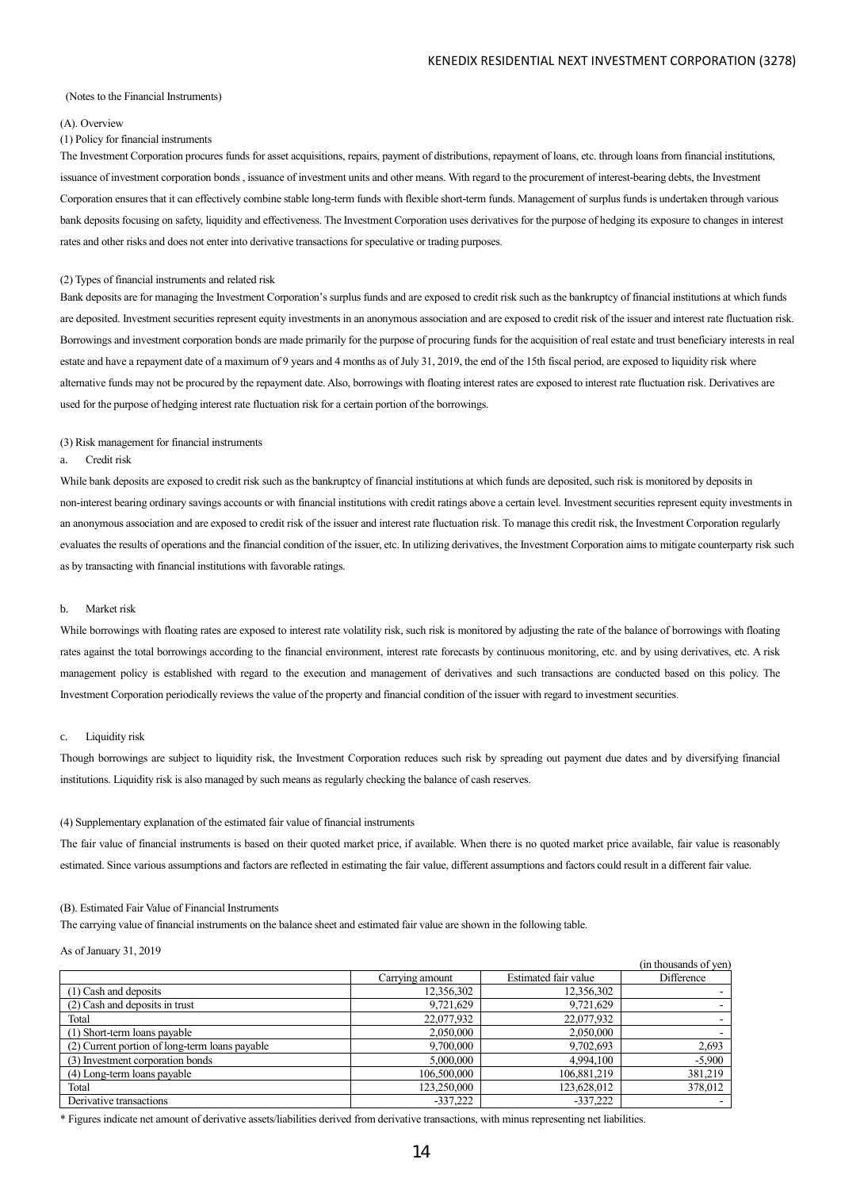#### (Notes to the Financial Instruments)

#### (A). Overview

### (1) Policy for financial instruments

The Investment Corporation procures funds for asset acquisitions, repairs, payment of distributions, repayment of loans, etc. through loans from financial institutions, issuance of investment corporation bonds , issuance of investment units and other means. With regard to the procurement of interest-bearing debts, the Investment Corporation ensures that it can effectively combine stable long-term funds with flexible short-term funds. Management of surplus funds is undertaken through various bank deposits focusing on safety, liquidity and effectiveness. The Investment Corporation uses derivatives for the purpose of hedging its exposure to changes in interest rates and other risks and does not enter into derivative transactions for speculative or trading purposes.

#### (2) Types of financial instruments and related risk

Bank deposits are for managing the Investment Corporation's surplus funds and are exposed to credit risk such as the bankruptcy of financial institutions at which funds are deposited. Investment securities represent equity investments in an anonymous association and are exposed to credit risk of the issuer and interest rate fluctuation risk. Borrowings and investment corporation bonds are made primarily for the purpose of procuring funds for the acquisition of real estate and trust beneficiary interests in real estate and have a repayment date of a maximum of 9 years and 4 months as of July 31, 2019, the end of the 15th fiscal period, are exposed to liquidity risk where alternative funds may not be procured by the repayment date. Also, borrowings with floating interest rates are exposed to interest rate fluctuation risk. Derivatives are used for the purpose of hedging interest rate fluctuation risk for a certain portion of the borrowings.

#### (3) Risk management for financial instruments

#### a. Credit risk

While bank deposits are exposed to credit risk such as the bankruptcy of financial institutions at which funds are deposited, such risk is monitored by deposits in non-interest bearing ordinary savings accounts or with financial institutions with credit ratings above a certain level. Investment securities represent equity investments in an anonymous association and are exposed to credit risk of the issuer and interest rate fluctuation risk. To manage this credit risk, the Investment Corporation regularly evaluates the results of operations and the financial condition of the issuer, etc. In utilizing derivatives, the Investment Corporation aims to mitigate counterparty risk such as by transacting with financial institutions with favorable ratings.

#### b. Market risk

While borrowings with floating rates are exposed to interest rate volatility risk, such risk is monitored by adjusting the rate of the balance of borrowings with floating rates against the total borrowings according to the financial environment, interest rate forecasts by continuous monitoring, etc. and by using derivatives, etc. A risk management policy is established with regard to the execution and management of derivatives and such transactions are conducted based on this policy. The Investment Corporation periodically reviews the value of the property and financial condition of the issuer with regard to investment securities.

#### c. Liquidity risk

Though borrowings are subject to liquidity risk, the Investment Corporation reduces such risk by spreading out payment due dates and by diversifying financial institutions. Liquidity risk is also managed by such means as regularly checking the balance of cash reserves.

#### (4) Supplementary explanation of the estimated fair value of financial instruments

The fair value of financial instruments is based on their quoted market price, if available. When there is no quoted market price available, fair value is reasonably estimated. Since various assumptions and factors are reflected in estimating the fair value, different assumptions and factors could result in a different fair value.

#### (B). Estimated Fair Value of Financial Instruments

The carrying value of financial instruments on the balance sheet and estimated fair value are shown in the following table.

#### As of January 31, 2019

|                                                |                 |                      | (in thousands of yen) |
|------------------------------------------------|-----------------|----------------------|-----------------------|
|                                                | Carrying amount | Estimated fair value | Difference            |
| (1) Cash and deposits                          | 12,356,302      | 12,356,302           |                       |
| (2) Cash and deposits in trust                 | 9,721,629       | 9,721,629            |                       |
| Total                                          | 22,077,932      | 22,077,932           | . .                   |
| (1) Short-term loans payable                   | 2,050,000       | 2,050,000            |                       |
| (2) Current portion of long-term loans payable | 9,700,000       | 9,702,693            | 2,693                 |
| (3) Investment corporation bonds               | 5,000,000       | 4,994,100            | $-5,900$              |
| (4) Long-term loans payable                    | 106,500,000     | 106,881,219          | 381,219               |
| Total                                          | 123,250,000     | 123,628,012          | 378,012               |
| Derivative transactions                        | $-337.222$      | $-337.222$           |                       |

\* Figures indicate net amount of derivative assets/liabilities derived from derivative transactions, with minus representing net liabilities.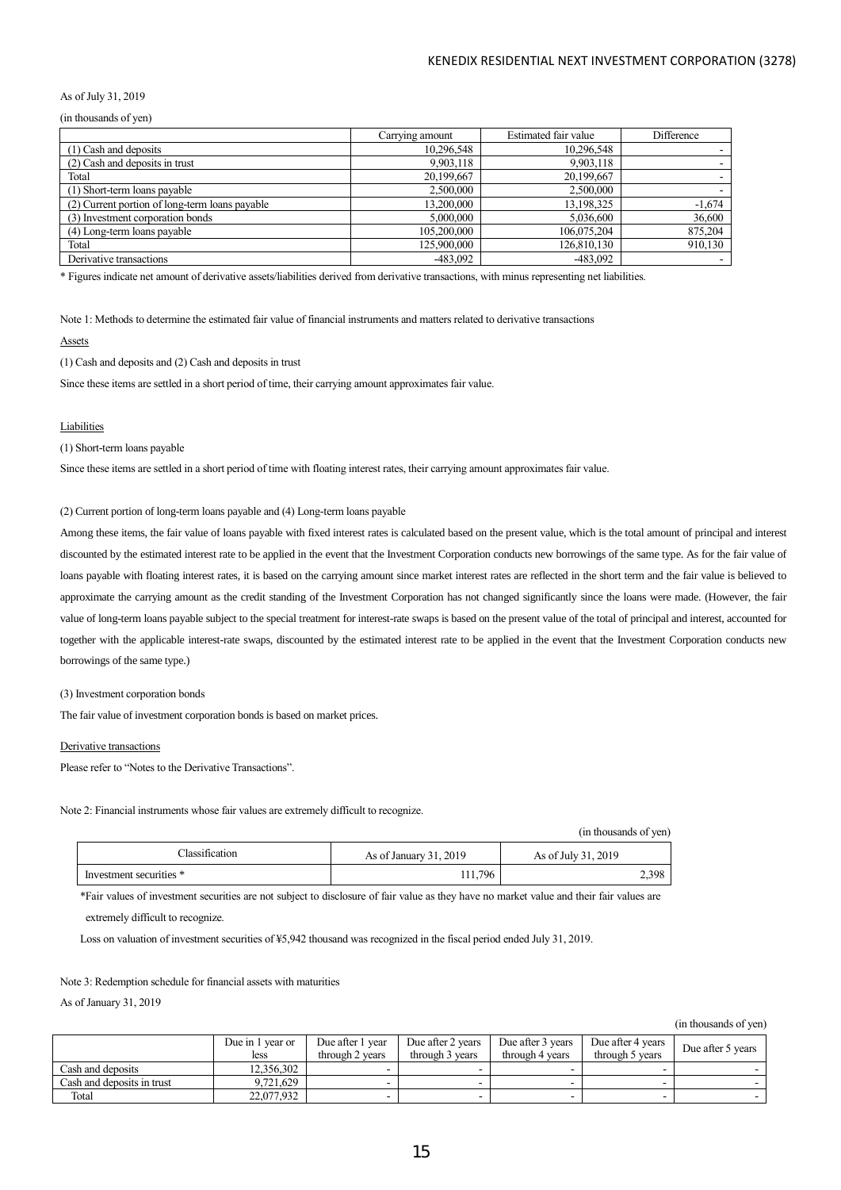### As of July 31, 2019

(in thousands of yen)

|                                                | Carrying amount | Estimated fair value | Difference |
|------------------------------------------------|-----------------|----------------------|------------|
| (1) Cash and deposits                          | 10,296,548      | 10,296,548           |            |
| (2) Cash and deposits in trust                 | 9,903,118       | 9,903,118            |            |
| Total                                          | 20,199,667      | 20,199,667           |            |
| (1) Short-term loans payable                   | 2,500,000       | 2,500,000            |            |
| (2) Current portion of long-term loans payable | 13,200,000      | 13.198.325           | $-1,674$   |
| (3) Investment corporation bonds               | 5,000,000       | 5.036,600            | 36,600     |
| (4) Long-term loans payable                    | 105.200,000     | 106,075,204          | 875,204    |
| Total                                          | 125,900,000     | 126,810,130          | 910,130    |
| Derivative transactions                        | -483,092        | $-483.092$           |            |

\* Figures indicate net amount of derivative assets/liabilities derived from derivative transactions, with minus representing net liabilities.

Note 1: Methods to determine the estimated fair value of financial instruments and matters related to derivative transactions

#### Assets

(1) Cash and deposits and (2) Cash and deposits in trust

Since these items are settled in a short period of time, their carrying amount approximates fair value.

#### Liabilities

(1) Short-term loans payable

Since these items are settled in a short period of time with floating interest rates, their carrying amount approximates fair value.

(2) Current portion of long-term loans payable and (4) Long-term loans payable

Among these items, the fair value of loans payable with fixed interest rates is calculated based on the present value, which is the total amount of principal and interest discounted by the estimated interest rate to be applied in the event that the Investment Corporation conducts new borrowings of the same type. As for the fair value of loans payable with floating interest rates, it is based on the carrying amount since market interest rates are reflected in the short term and the fair value is believed to approximate the carrying amount as the credit standing of the Investment Corporation has not changed significantly since the loans were made. (However, the fair value of long-term loans payable subject to the special treatment for interest-rate swaps is based on the present value of the total of principal and interest, accounted for together with the applicable interest-rate swaps, discounted by the estimated interest rate to be applied in the event that the Investment Corporation conducts new borrowings of the same type.)

#### (3) Investment corporation bonds

The fair value of investment corporation bonds is based on market prices.

#### Derivative transactions

Please refer to "Notes to the Derivative Transactions".

Note 2: Financial instruments whose fair values are extremely difficult to recognize.

(in thousands of yen)

| <b>Tlassification</b>   | As of January 31, 2019 | As of July 31, 2019 |
|-------------------------|------------------------|---------------------|
| Investment securities * | 1,796                  | 2,398               |

\*Fair values of investment securities are not subject to disclosure of fair value as they have no market value and their fair values are extremely difficult to recognize.

Loss on valuation of investment securities of ¥5,942 thousand was recognized in the fiscal period ended July 31, 2019.

## Note 3: Redemption schedule for financial assets with maturities

As of January 31, 2019

(in thousands of yen)

|                            | Due in 1 year or | Due after 1 year | Due after 2 years | Due after 3 years | Due after 4 years | Due after 5 years |
|----------------------------|------------------|------------------|-------------------|-------------------|-------------------|-------------------|
|                            | less             | through 2 years  | through 3 years   | through 4 years   | through 5 years   |                   |
| Cash and deposits          | 12.356.302       |                  |                   |                   |                   |                   |
| Cash and deposits in trust | 9,721,629        |                  |                   |                   |                   |                   |
| Total                      | 22,077,932       |                  |                   |                   |                   |                   |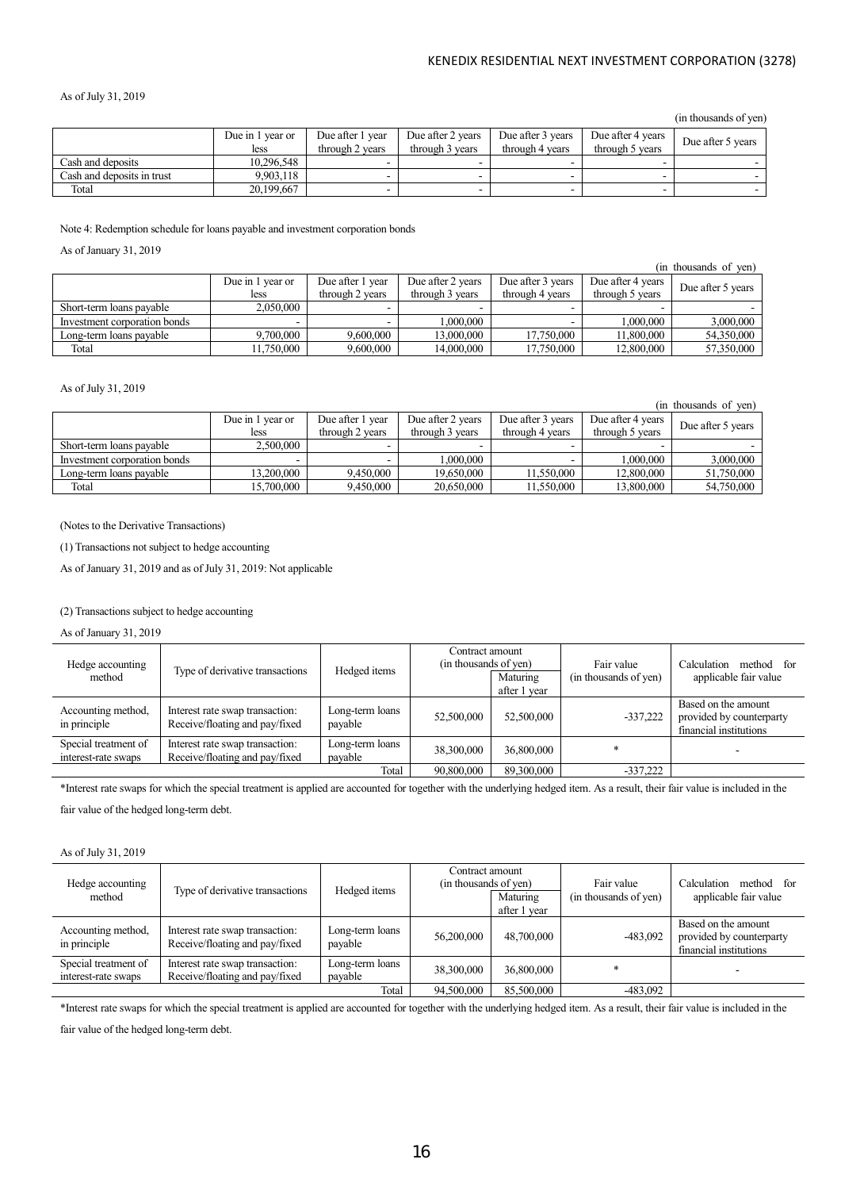### As of July 31, 2019

(in thousands of yen)

|                            | Due in 1 year or | Due after 1 year | Due after 2 years | Due after 3 years | Due after 4 years | Due after 5 years |
|----------------------------|------------------|------------------|-------------------|-------------------|-------------------|-------------------|
|                            | less             | through 2 years  | through 3 years   | through 4 years   | through 5 years   |                   |
| Cash and deposits          | 10.296.548       |                  |                   |                   |                   |                   |
| Cash and denosits in trust | 9.903.118        |                  |                   |                   |                   |                   |
| Total                      | 20,199,667       |                  |                   |                   |                   |                   |
|                            |                  |                  |                   |                   |                   |                   |

Note 4: Redemption schedule for loans payable and investment corporation bonds

As of January 31, 2019

|                              |                  |                  |                   |                   |                   | (in thousands of ven) |
|------------------------------|------------------|------------------|-------------------|-------------------|-------------------|-----------------------|
|                              | Due in 1 year or | Due after 1 year | Due after 2 years | Due after 3 years | Due after 4 years | Due after 5 years     |
|                              | less             | through 2 years  | through 3 years   | through 4 years   | through 5 years   |                       |
| Short-term loans payable     | 2,050,000        |                  |                   |                   |                   |                       |
| Investment corporation bonds |                  |                  | $000,000$ .       |                   | 000,000.1         | 3,000,000             |
| Long-term loans payable      | 9,700,000        | 9,600,000        | 13.000.000        | 17,750,000        | 11.800.000        | 54,350,000            |
| Total                        | 1.750.000        | 9,600,000        | 14,000,000        | 17.750.000        | 12,800,000        | 57,350,000            |

### As of July 31, 2019

(in thousands of yen)

|                              | Due in 1 year or | Due after 1 year | Due after 2 years | Due after 3 years | Due after 4 years | Due after 5 years |
|------------------------------|------------------|------------------|-------------------|-------------------|-------------------|-------------------|
|                              | less             | through 2 years  | through 3 years   | through 4 years   | through 5 years   |                   |
| Short-term loans payable     | 2,500,000        |                  |                   |                   |                   |                   |
| Investment corporation bonds |                  |                  | .000.000          |                   | .000.000          | 3,000,000         |
| Long-term loans pavable      | 13.200.000       | 9.450,000        | 19,650,000        | 11.550,000        | 12,800,000        | 51,750,000        |
| Total                        | 15,700,000       | 9.450,000        | 20,650,000        | 11.550.000        | 13,800,000        | 54,750,000        |

(Notes to the Derivative Transactions)

(1) Transactions not subject to hedge accounting

As of January 31, 2019 and as of July 31, 2019: Not applicable

## (2) Transactions subject to hedge accounting

As of January 31, 2019

| Hedge accounting<br>method                  | Type of derivative transactions                                   | Hedged items               | Contract amount<br>(in thousands of yen) | Maturing<br>after 1 year | Fair value<br>(in thousands of yen) | method for<br>Calculation<br>applicable fair value                        |
|---------------------------------------------|-------------------------------------------------------------------|----------------------------|------------------------------------------|--------------------------|-------------------------------------|---------------------------------------------------------------------------|
| Accounting method,<br>in principle          | Interest rate swap transaction:<br>Receive/floating and pay/fixed | Long-term loans<br>payable | 52,500,000                               | 52,500,000               | $-337,222$                          | Based on the amount<br>provided by counterparty<br>financial institutions |
| Special treatment of<br>interest-rate swaps | Interest rate swap transaction:<br>Receive/floating and pay/fixed | Long-term loans<br>payable | 38,300,000                               | 36,800,000               |                                     |                                                                           |
|                                             |                                                                   | Total                      | 90,800,000                               | 89,300,000               | $-337,222$                          |                                                                           |

\*Interest rate swaps for which the special treatment is applied are accounted for together with the underlying hedged item. As a result, their fair value is included in the fair value of the hedged long-term debt.

#### As of July 31, 2019

| Hedge accounting<br>method                  | Type of derivative transactions                                   | Hedged items               | Contract amount<br>(in thousands of yen) | Maturing<br>after 1 year | Fair value<br>(in thousands of yen) | Calculation<br>method for<br>applicable fair value                        |
|---------------------------------------------|-------------------------------------------------------------------|----------------------------|------------------------------------------|--------------------------|-------------------------------------|---------------------------------------------------------------------------|
| Accounting method,<br>in principle          | Interest rate swap transaction:<br>Receive/floating and pay/fixed | Long-term loans<br>payable | 56,200,000                               | 48,700,000               | $-483.092$                          | Based on the amount<br>provided by counterparty<br>financial institutions |
| Special treatment of<br>interest-rate swaps | Interest rate swap transaction:<br>Receive/floating and pay/fixed | Long-term loans<br>payable | 38,300,000                               | 36,800,000               |                                     |                                                                           |
|                                             |                                                                   | Total                      | 94,500,000                               | 85,500,000               | -483,092                            |                                                                           |

\*Interest rate swaps for which the special treatment is applied are accounted for together with the underlying hedged item. As a result, their fair value is included in the

fair value of the hedged long-term debt.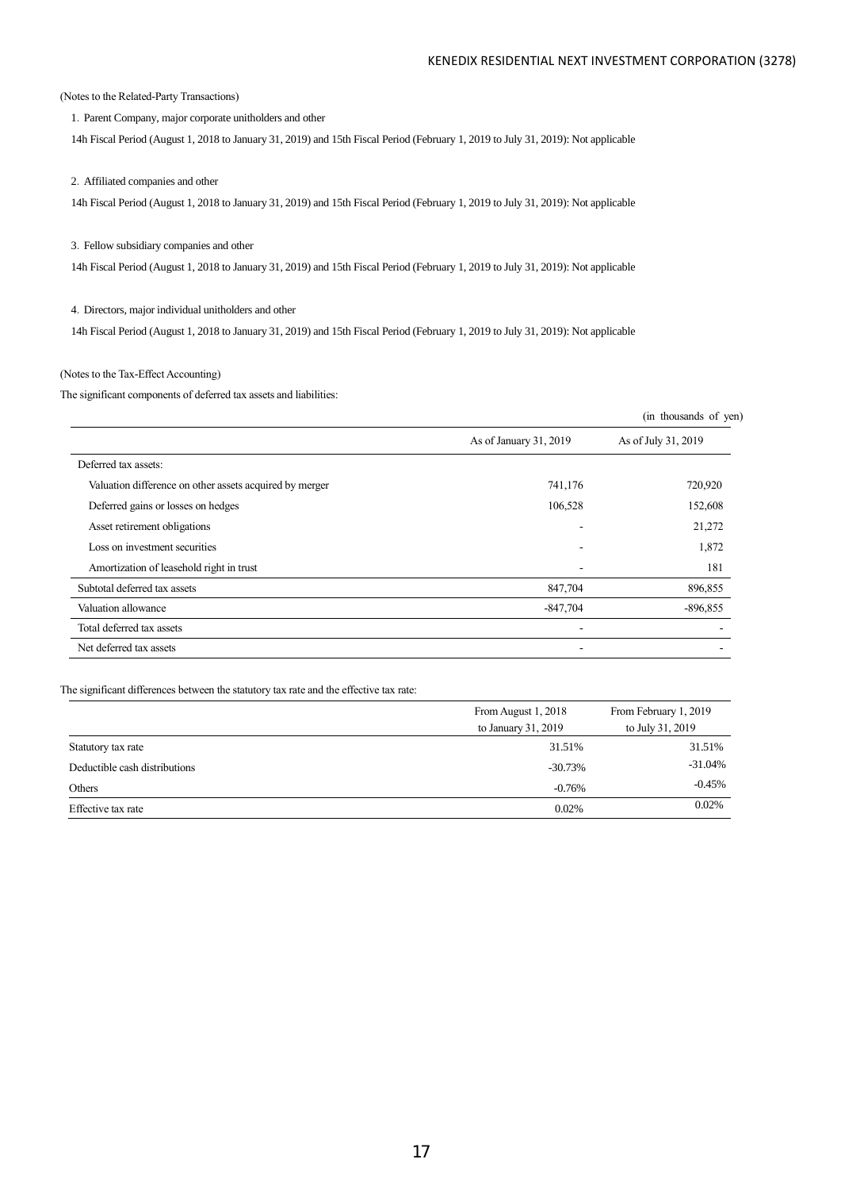(Notes to the Related-Party Transactions)

1. Parent Company, major corporate unitholders and other

14h Fiscal Period (August 1, 2018 to January 31, 2019) and 15th Fiscal Period (February 1, 2019 to July 31, 2019): Not applicable

2.Affiliated companies and other

14h Fiscal Period (August 1, 2018 to January 31, 2019) and 15th Fiscal Period (February 1, 2019 to July 31, 2019): Not applicable

#### 3.Fellow subsidiary companies and other

14h Fiscal Period (August 1, 2018 to January 31, 2019) and 15th Fiscal Period (February 1, 2019 to July 31, 2019): Not applicable

4.Directors, major individual unitholders and other

14h Fiscal Period (August 1, 2018 to January 31, 2019) and 15th Fiscal Period (February 1, 2019 to July 31, 2019): Not applicable

## (Notes to the Tax-Effect Accounting)

The significant components of deferred tax assets and liabilities:

|                                                         |                        | (in thousands of yen) |
|---------------------------------------------------------|------------------------|-----------------------|
|                                                         | As of January 31, 2019 | As of July 31, 2019   |
| Deferred tax assets:                                    |                        |                       |
| Valuation difference on other assets acquired by merger | 741,176                | 720,920               |
| Deferred gains or losses on hedges                      | 106,528                | 152,608               |
| Asset retirement obligations                            |                        | 21,272                |
| Loss on investment securities                           |                        | 1,872                 |
| Amortization of leasehold right in trust                |                        | 181                   |
| Subtotal deferred tax assets                            | 847,704                | 896,855               |
| Valuation allowance                                     | $-847,704$             | $-896,855$            |
| Total deferred tax assets                               |                        |                       |
| Net deferred tax assets                                 |                        |                       |

### The significant differences between the statutory tax rate and the effective tax rate:

|                               | From August 1, 2018 | From February 1, 2019 |
|-------------------------------|---------------------|-----------------------|
|                               | to January 31, 2019 | to July 31, 2019      |
| Statutory tax rate            | 31.51%              | 31.51%                |
| Deductible cash distributions | $-30.73%$           | $-31.04%$             |
| Others                        | $-0.76%$            | $-0.45%$              |
| Effective tax rate            | 0.02%               | 0.02%                 |
|                               |                     |                       |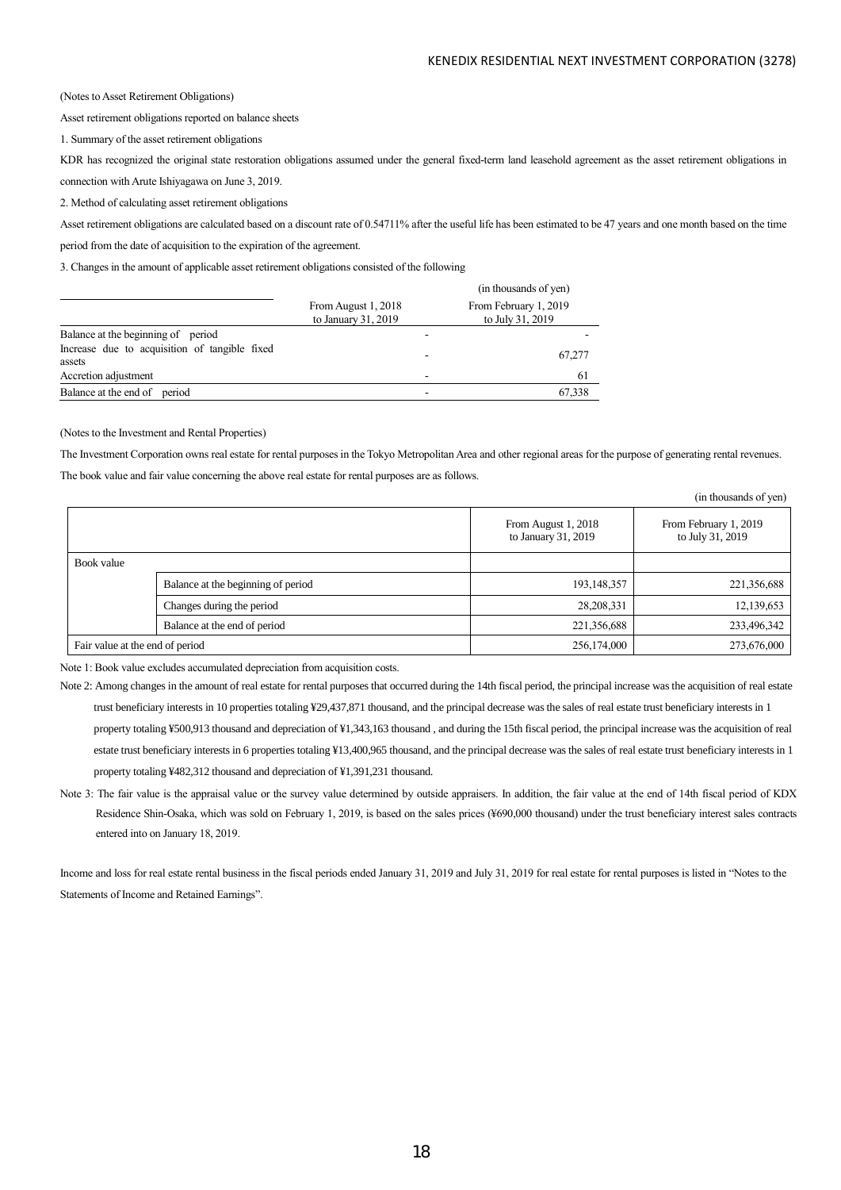$\overline{c}$  and  $\overline{c}$   $\overline{c}$ 

(Notes to Asset Retirement Obligations)

Asset retirement obligations reported on balance sheets

1. Summary of the asset retirement obligations

KDR has recognized the original state restoration obligations assumed under the general fixed-term land leasehold agreement as the asset retirement obligations in connection with Arute Ishiyagawa on June 3, 2019.

2. Method of calculating asset retirement obligations

Asset retirement obligations are calculated based on a discount rate of 0.54711% after the useful life has been estimated to be 47 years and one month based on the time

period from the date of acquisition to the expiration of the agreement.

3. Changes in the amount of applicable asset retirement obligations consisted of the following

|                                                         |                                            | (in thousands of yen)                     |
|---------------------------------------------------------|--------------------------------------------|-------------------------------------------|
|                                                         | From August 1, 2018<br>to January 31, 2019 | From February 1, 2019<br>to July 31, 2019 |
| Balance at the beginning of period                      |                                            |                                           |
| Increase due to acquisition of tangible fixed<br>assets |                                            | 67.277                                    |
| Accretion adjustment                                    |                                            | 61                                        |
| Balance at the end of<br>period                         |                                            | 67.338                                    |

#### (Notes to the Investment and Rental Properties)

The Investment Corporation owns real estate for rental purposes in the Tokyo Metropolitan Area and other regional areas for the purpose of generating rental revenues.

The book value and fair value concerning the above real estate for rental purposes are as follows.

|                                 |                                    |                                            | THE UTOUSALIUS OF YELL!                   |
|---------------------------------|------------------------------------|--------------------------------------------|-------------------------------------------|
|                                 |                                    | From August 1, 2018<br>to January 31, 2019 | From February 1, 2019<br>to July 31, 2019 |
| Book value                      |                                    |                                            |                                           |
|                                 | Balance at the beginning of period | 193,148,357                                | 221,356,688                               |
|                                 | Changes during the period          | 28, 208, 331                               | 12,139,653                                |
|                                 | Balance at the end of period       | 221,356,688                                | 233,496,342                               |
| Fair value at the end of period |                                    | 256,174,000                                | 273,676,000                               |

Note 1: Book value excludes accumulated depreciation from acquisition costs.

Note 2: Among changes in the amount of real estate for rental purposes that occurred during the 14th fiscal period, the principal increase was the acquisition of real estate trust beneficiary interests in 10 properties totaling ¥29,437,871 thousand, and the principal decrease was the sales of real estate trust beneficiary interests in 1 property totaling ¥500,913 thousand and depreciation of ¥1,343,163 thousand , and during the 15th fiscal period, the principal increase was the acquisition of real estate trust beneficiary interests in 6 properties totaling ¥13,400,965 thousand, and the principal decrease was the sales of real estate trust beneficiary interests in 1 property totaling ¥482,312 thousand and depreciation of ¥1,391,231 thousand.

Note 3: The fair value is the appraisal value or the survey value determined by outside appraisers. In addition, the fair value at the end of 14th fiscal period of KDX Residence Shin-Osaka, which was sold on February 1, 2019, is based on the sales prices (¥690,000 thousand) under the trust beneficiary interest sales contracts entered into on January 18, 2019.

Income and loss for real estate rental business in the fiscal periods ended January 31, 2019 and July 31, 2019 for real estate for rental purposes is listed in "Notes to the Statements of Income and Retained Earnings".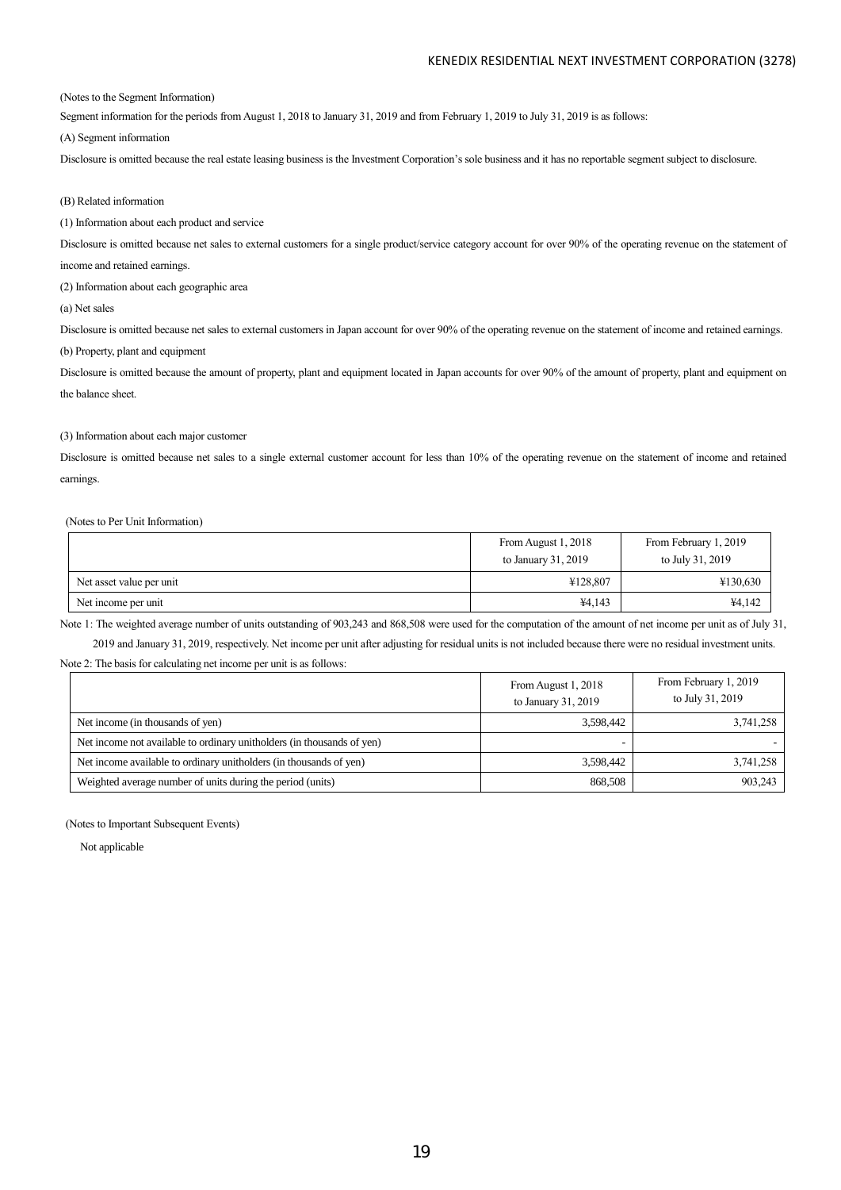(Notes to the Segment Information)

Segment information for the periods from August 1, 2018 to January 31, 2019 and from February 1, 2019 to July 31, 2019 is as follows:

(A) Segment information

Disclosure is omitted because the real estate leasing business is the Investment Corporation's sole business and it has no reportable segment subject to disclosure.

### (B) Related information

(1) Information about each product and service

Disclosure is omitted because net sales to external customers for a single product/service category account for over 90% of the operating revenue on the statement of

income and retained earnings.

(2) Information about each geographic area

(a) Net sales

Disclosure is omitted because net sales to external customers in Japan account for over 90% of the operating revenue on the statement of income and retained earnings.

(b) Property, plant and equipment

Disclosure is omitted because the amount of property, plant and equipment located in Japan accounts for over 90% of the amount of property, plant and equipment on the balance sheet.

### (3) Information about each major customer

Disclosure is omitted because net sales to a single external customer account for less than 10% of the operating revenue on the statement of income and retained earnings.

### (Notes to Per Unit Information)

|                          | From August 1, 2018<br>to January 31, 2019 | From February 1, 2019<br>to July 31, 2019 |
|--------------------------|--------------------------------------------|-------------------------------------------|
| Net asset value per unit | ¥128,807                                   | ¥130,630                                  |
| Net income per unit      | ¥4,143                                     | ¥4,142                                    |

Note 1: The weighted average number of units outstanding of 903,243 and 868,508 were used for the computation of the amount of net income per unit as of July 31, 2019 and January 31, 2019, respectively. Net income per unit after adjusting for residual units is not included because there were no residual investment units.

Note 2: The basis for calculating net income per unit is as follows:

|                                                                        | From August 1, 2018<br>to January 31, 2019 | From February 1, 2019<br>to July 31, 2019 |
|------------------------------------------------------------------------|--------------------------------------------|-------------------------------------------|
| Net income (in thousands of yen)                                       | 3,598,442                                  | 3,741,258                                 |
| Net income not available to ordinary unitholders (in thousands of yen) |                                            |                                           |
| Net income available to ordinary unitholders (in thousands of yen)     | 3,598,442                                  | 3,741,258                                 |
| Weighted average number of units during the period (units)             | 868,508                                    | 903,243                                   |

(Notes to Important Subsequent Events)

Not applicable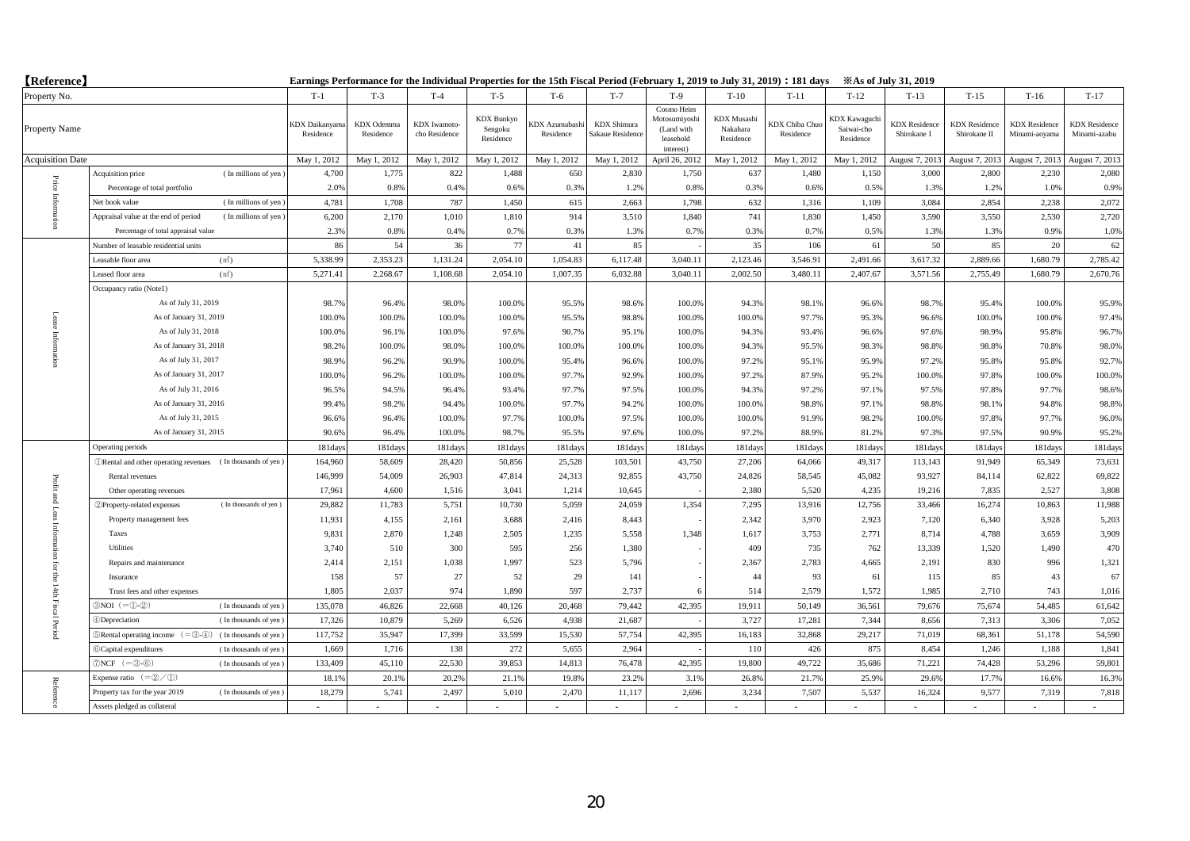| <b>【Reference】</b>      |                                                                                  | Earnings Performance for the Individual Properties for the 15th Fiscal Period (February 1, 2019 to July 31, 2019) : 181 days<br><b>Example 31, 2019</b> |                         |                               |                                           |                                    |                                        |                                                                     |                                             |                                    |                                                 |                                     |                                      |                                       |                                      |
|-------------------------|----------------------------------------------------------------------------------|---------------------------------------------------------------------------------------------------------------------------------------------------------|-------------------------|-------------------------------|-------------------------------------------|------------------------------------|----------------------------------------|---------------------------------------------------------------------|---------------------------------------------|------------------------------------|-------------------------------------------------|-------------------------------------|--------------------------------------|---------------------------------------|--------------------------------------|
| Property No.            |                                                                                  | $T-1$                                                                                                                                                   | $T-3$                   | $T-4$                         | $T-5$                                     | T-6                                | $T-7$                                  | $T-9$                                                               | $T-10$                                      | $T-11$                             | $T-12$                                          | $T-13$                              | $T-15$                               | $T-16$                                | $T-17$                               |
| Property Name           |                                                                                  | KDX Daikanyama<br>Residence                                                                                                                             | KDX Odemma<br>Residence | KDX Iwamoto-<br>cho Residence | <b>KDX</b> Bunkyo<br>Sengoku<br>Residence | <b>XDX</b> Azumabashi<br>Residence | <b>KDX</b> Shimura<br>Sakaue Residence | Cosmo Heim<br>Motosumiyoshi<br>(Land with<br>leasehold<br>interest) | <b>KDX</b> Musashi<br>Nakahara<br>Residence | <b>KDX Chiba Chuo</b><br>Residence | <b>KDX</b> Kawaguchi<br>Saiwai-cho<br>Residence | <b>KDX</b> Residence<br>Shirokane I | <b>KDX</b> Residence<br>Shirokane II | <b>KDX</b> Residence<br>Minami-aoyama | <b>KDX</b> Residence<br>Minami-azabu |
| <b>Acquisition Date</b> |                                                                                  | May 1, 2012                                                                                                                                             | May 1, 2012             | May 1, 2012                   | May 1, 2012                               | May 1, 2012                        | May 1, 2012                            | April 26, 2012                                                      | May 1, 2012                                 | May 1, 2012                        | May 1, 2012                                     | August 7, 2013                      | August 7, 2013                       | August 7, 2013                        | August 7, 2013                       |
| Price                   | (In millions of yen)<br>Acquisition price                                        | 4,700                                                                                                                                                   | 1.775                   | 822                           | 1,488                                     | 650                                | 2.830                                  | 1.750                                                               | 637                                         | 1.480                              | 1.150                                           | 3.000                               | 2.800                                | 2.230                                 | 2,080                                |
|                         | Percentage of total portfolio                                                    | 2.0%                                                                                                                                                    | 0.8%                    | 0.4%                          | 0.6%                                      | 0.3%                               | 1.2%                                   | 0.8%                                                                | 0.3%                                        | 0.6%                               | 0.5%                                            | 1.3%                                | 1.2%                                 | 1.0%                                  | 0.9%                                 |
| Infom                   | (In millions of yen)<br>Net book value                                           | 4,781                                                                                                                                                   | 1,708                   | 787                           | 1,450                                     | 615                                | 2,663                                  | 1,798                                                               | 632                                         | 1,316                              | 1,109                                           | 3,084                               | 2,854                                | 2,238                                 | 2,072                                |
|                         | Appraisal value at the end of period<br>(In millions of yen)                     | 6,200                                                                                                                                                   | 2,170                   | 1,010                         | 1,810                                     | 914                                | 3,510                                  | 1,840                                                               | 741                                         | 1,830                              | 1,450                                           | 3,590                               | 3,550                                | 2,530                                 | 2,720                                |
|                         | Percentage of total appraisal value                                              | 2.3%                                                                                                                                                    | 0.8%                    | 0.4%                          | 0.7%                                      | 0.3%                               | 1.3%                                   | 0.7%                                                                | 0.3%                                        | 0.7%                               | 0.5%                                            | 1.3%                                | 1.3%                                 | 0.9%                                  | 1.0%                                 |
|                         | Number of leasable residential units                                             | 86                                                                                                                                                      | 54                      | 36                            | 77                                        | 41                                 | 85                                     |                                                                     | 35                                          | 106                                | 61                                              | 50                                  | 85                                   | 20                                    | 62                                   |
|                         | Leasable floor area<br>(m <sup>2</sup> )                                         | 5,338.99                                                                                                                                                | 2,353.23                | 1,131.24                      | 2,054.10                                  | 1,054.83                           | 6,117.48                               | 3,040.11                                                            | 2,123.46                                    | 3,546.91                           | 2,491.66                                        | 3,617.32                            | 2,889.66                             | 1.680.79                              | 2,785.42                             |
|                         | Leased floor area<br>(m <sup>2</sup> )                                           | 5,271.41                                                                                                                                                | 2,268.67                | 1,108.68                      | 2,054.10                                  | 1,007.35                           | 6,032.88                               | 3,040.11                                                            | 2,002.50                                    | 3,480.11                           | 2,407.67                                        | 3,571.56                            | 2,755.49                             | 1.680.79                              | 2,670.76                             |
|                         | Occupancy ratio (Note1)                                                          |                                                                                                                                                         |                         |                               |                                           |                                    |                                        |                                                                     |                                             |                                    |                                                 |                                     |                                      |                                       |                                      |
|                         | As of July 31, 2019                                                              | 98.7%                                                                                                                                                   | 96.4%                   | 98.0%                         | 100.0%                                    | 95.5%                              | 98.6%                                  | 100.0%                                                              | 94.3%                                       | 98.1%                              | 96.6%                                           | 98.7%                               | 95.4%                                | 100.0%                                | 95.9%                                |
|                         | As of January 31, 2019                                                           | 100.0%                                                                                                                                                  | 100.0%                  | 100.0%                        | 100.0%                                    | 95.5%                              | 98.8%                                  | 100.0%                                                              | 100.0%                                      | 97.7%                              | 95.3%                                           | 96.6%                               | 100.0%                               | 100.0%                                | 97.4%                                |
|                         | As of July 31, 2018                                                              | 100.0%                                                                                                                                                  | 96.19                   | 100.0%                        | 97.6%                                     | 90.7%                              | 95.1%                                  | 100.0%                                                              | 94.3%                                       | 93.4%                              | 96.6%                                           | 97.6%                               | 98.9%                                | 95.8%                                 | 96.7%                                |
| Information             | As of January 31, 2018                                                           | 98.2%                                                                                                                                                   | 100.0%                  | 98.0%                         | 100.0%                                    | 100.0%                             | 100.0%                                 | 100.0%                                                              | 94.3%                                       | 95.5%                              | 98.3%                                           | 98.8%                               | 98.8%                                | 70.8%                                 | 98.0%                                |
|                         | As of July 31, 2017                                                              | 98.9%                                                                                                                                                   | 96.2%                   | 90.9%                         | 100.0%                                    | 95.4%                              | 96.6%                                  | 100.0%                                                              | 97.2%                                       | 95.1%                              | 95.9%                                           | 97.2%                               | 95.8%                                | 95.8%                                 | 92.7%                                |
|                         | As of January 31, 2017                                                           | 100.0%                                                                                                                                                  | 96.2%                   | 100.0%                        | 100.0%                                    | 97.7%                              | 92.9%                                  | 100.0%                                                              | 97.2%                                       | 87.9%                              | 95.2%                                           | 100.0%                              | 97.8%                                | 100.0%                                | 100.0%                               |
|                         | As of July 31, 2016                                                              | 96.5%                                                                                                                                                   | 94.5%                   | 96.4%                         | 93.4%                                     | 97.7%                              | 97.5%                                  | 100.0%                                                              | 94.3%                                       | 97.2%                              | 97.1%                                           | 97.5%                               | 97.8%                                | 97.7%                                 | 98.6%                                |
|                         | As of January 31, 2016                                                           | 99.4%                                                                                                                                                   | 98.2%                   | 94.4%                         | 100.0%                                    | 97.7%                              | 94.2%                                  | 100.0%                                                              | 100.0%                                      | 98.8%                              | 97.1%                                           | 98.8%                               | 98.1%                                | 94.8%                                 | 98.8%                                |
|                         | As of July 31, 2015                                                              | 96.6%                                                                                                                                                   | 96.4%                   | 100.0%                        | 97.7%                                     | 100.0%                             | 97.5%                                  | 100.0%                                                              | 100.0%                                      | 91.9%                              | 98.2%                                           | 100.0%                              | 97.8%                                | 97.7%                                 | 96.0%                                |
|                         | As of January 31, 2015                                                           | 90.6%                                                                                                                                                   | 96.4%                   | 100.0%                        | 98.7%                                     | 95.5%                              | 97.6%                                  | 100.0%                                                              | 97.2%                                       | 88.9%                              | 81.2%                                           | 97.3%                               | 97.5%                                | 90.9%                                 | 95.2%                                |
|                         | Operating periods                                                                | 181days                                                                                                                                                 | 181days                 | 181days                       | 181day                                    | 181day                             | 181day                                 | 181day                                                              | 181day                                      | 181days                            | 181days                                         | 181days                             | 181days                              | 181days                               | 181days                              |
|                         | <b>I)Rental and other operating revenues</b> (In thousands of yen)               | 164,960                                                                                                                                                 | 58,609                  | 28,420                        | 50,856                                    | 25,528                             | 103,501                                | 43,750                                                              | 27,206                                      | 64,066                             | 49,317                                          | 113,143                             | 91,949                               | 65,349                                | 73,631                               |
| Profit                  | Rental revenues                                                                  | 146,999                                                                                                                                                 | 54,009                  | 26,903                        | 47,814                                    | 24,313                             | 92,855                                 | 43,750                                                              | 24,826                                      | 58,545                             | 45,082                                          | 93,927                              | 84,114                               | 62,822                                | 69,822                               |
| pure                    | Other operating revenues                                                         | 17,961                                                                                                                                                  | 4.600                   | 1.516                         | 3.041                                     | 1.214                              | 10.645                                 |                                                                     | 2.380                                       | 5,520                              | 4,235                                           | 19.216                              | 7.835                                | 2.527                                 | 3,808                                |
|                         | (In thousands of yen)<br>2 Property-related expenses                             | 29,882                                                                                                                                                  | 11,783                  | 5,751                         | 10,730                                    | 5,059                              | 24,059                                 | 1,354                                                               | 7,295                                       | 13,916                             | 12,756                                          | 33,466                              | 16,274                               | 10,863                                | 11,988                               |
|                         | Property management fees                                                         | 11,931                                                                                                                                                  | 4,155                   | 2,161                         | 3,688                                     | 2,416                              | 8,443                                  |                                                                     | 2,342                                       | 3,970                              | 2,923                                           | 7,120                               | 6,340                                | 3,928                                 | 5,203                                |
|                         | Taxes                                                                            | 9,831                                                                                                                                                   | 2,870                   | 1,248                         | 2,505                                     | 1,235                              | 5,558                                  | 1,348                                                               | 1,617                                       | 3,753                              | 2,771                                           | 8,714                               | 4,788                                | 3,659                                 | 3,909                                |
|                         | Utilities                                                                        | 3,740                                                                                                                                                   | 510                     | 300                           | 595                                       | 256                                | 1,380                                  |                                                                     | 409                                         | 735                                | 762                                             | 13,339                              | 1,520                                | 1,490                                 | 470                                  |
| ίoι                     | Repairs and maintenance                                                          | 2,414                                                                                                                                                   | 2,151                   | 1,038                         | 1,997                                     | 523                                | 5,796                                  |                                                                     | 2,367                                       | 2,783                              | 4,665                                           | 2,191                               | 830                                  | 996                                   | 1,321                                |
| 뭉                       | Insurance                                                                        | 158                                                                                                                                                     | 57                      | 27                            | 52                                        | 29                                 | 141                                    |                                                                     | 44                                          | 93                                 | 61                                              | 115                                 | 85                                   | 43                                    | 67                                   |
|                         | Trust fees and other expenses                                                    | 1,805                                                                                                                                                   | 2.037                   | 974                           | 1.890                                     | 597                                | 2,737                                  | 6                                                                   | 514                                         | 2,579                              | 1,572                                           | 1,985                               | 2.710                                | 743                                   | 1,016                                |
| 14th Fiscal Period      | $\text{NOI}$ (= $\text{D-2}$ )<br>(In thousands of yen)                          | 135,078                                                                                                                                                 | 46,826                  | 22,668                        | 40,126                                    | 20,468                             | 79,442                                 | 42,395                                                              | 19,911                                      | 50,149                             | 36,561                                          | 79,676                              | 75,674                               | 54,485                                | 61,642                               |
|                         | 4)Depreciation<br>(In thousands of yen)                                          | 17,326                                                                                                                                                  | 10,879                  | 5,269                         | 6,526                                     | 4,938                              | 21,687                                 |                                                                     | 3,727                                       | 17,281                             | 7,344                                           | 8,656                               | 7,313                                | 3,306                                 | 7,052                                |
|                         | Rental operating income $(=\circled{3} - 4)$<br>(In thousands of yen)            | 117,752                                                                                                                                                 | 35,947                  | 17,399                        | 33,599                                    | 15,530                             | 57,754                                 | 42,395                                                              | 16,183                                      | 32,868                             | 29,217                                          | 71,019                              | 68,361                               | 51,178                                | 54,590                               |
|                         | 6 Capital expenditures<br>(In thousands of yen)                                  | 1,669                                                                                                                                                   | 1,716                   | 138                           | 272                                       | 5,655                              | 2,964                                  |                                                                     | 110                                         | 426                                | 875                                             | 8,454                               | 1,246                                | 1,188                                 | 1,841                                |
|                         | $\overline{\mathcal{D}}$ NCF $(=\circledS - \circledS)$<br>(In thousands of yen) | 133,409                                                                                                                                                 | 45,110                  | 22,530                        | 39,853                                    | 14,813                             | 76,478                                 | 42,395                                                              | 19,800                                      | 49,722                             | 35,686                                          | 71,221                              | 74,428                               | 53,296                                | 59,801                               |
| Refer                   | Expense ratio $(=\mathcal{D}/\mathcal{D})$                                       | 18.1%                                                                                                                                                   | 20.19                   | 20.2%                         | 21.19                                     | 19.8%                              | 23.2%                                  | 3.1%                                                                | 26.89                                       | 21.7%                              | 25.9%                                           | 29.6%                               | 17.7%                                | 16.6%                                 | 16.3%                                |
|                         | Property tax for the year 2019<br>(In thousands of yen)                          | 18,279                                                                                                                                                  | 5,741                   | 2.497                         | 5.010                                     | 2,470                              | 11,117                                 | 2.696                                                               | 3.234                                       | 7,507                              | 5,537                                           | 16,324                              | 9,577                                | 7,319                                 | 7,818                                |
|                         | Assets pledged as collateral                                                     |                                                                                                                                                         |                         |                               |                                           |                                    |                                        |                                                                     |                                             |                                    |                                                 |                                     |                                      |                                       |                                      |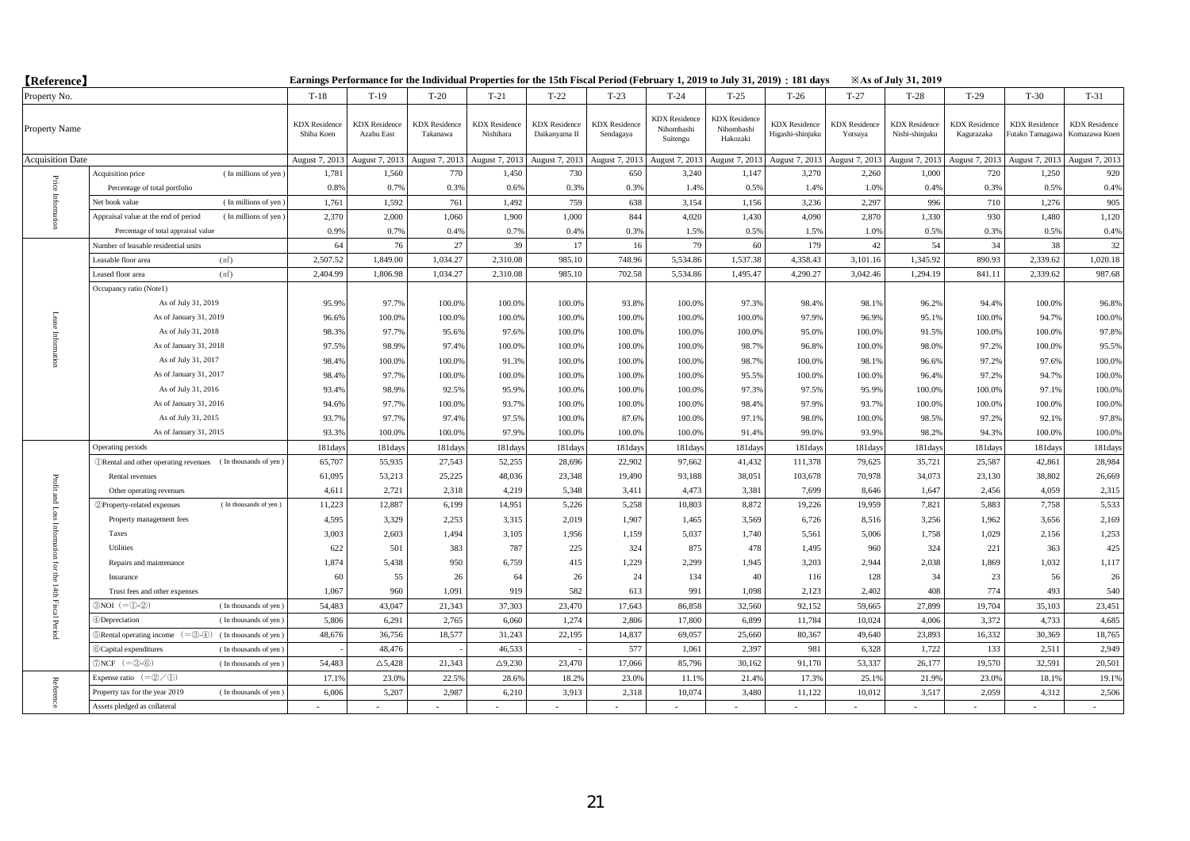| <b>(Reference)</b>      |                                                                                              | Earnings Performance for the Individual Properties for the 15th Fiscal Period (February 1, 2019 to July 31, 2019) : 181 days<br><b>Example 31, 2019</b> |                                    |                                  |                                   |                                       |                                   |                                                |                                                |                                          |                                 |                                        |                                    |                                         |                                       |
|-------------------------|----------------------------------------------------------------------------------------------|---------------------------------------------------------------------------------------------------------------------------------------------------------|------------------------------------|----------------------------------|-----------------------------------|---------------------------------------|-----------------------------------|------------------------------------------------|------------------------------------------------|------------------------------------------|---------------------------------|----------------------------------------|------------------------------------|-----------------------------------------|---------------------------------------|
| Property No.            |                                                                                              | $T-18$                                                                                                                                                  | $T-19$                             | $T-20$                           | $T-21$                            | $T-22$                                | $T-23$                            | $T-24$                                         | $T-25$                                         | $T-26$                                   | $T-27$                          | $T-28$                                 | $T-29$                             | $T-30$                                  | $T-31$                                |
| Property Name           |                                                                                              | <b>KDX</b> Residence<br>Shiba Koen                                                                                                                      | <b>KDX</b> Residence<br>Azabu East | <b>KDX</b> Residence<br>Takanawa | <b>KDX</b> Residence<br>Nishihara | <b>KDX</b> Residence<br>Daikanyama II | <b>KDX</b> Residence<br>Sendagaya | <b>KDX</b> Residence<br>Nihombashi<br>Suitengu | <b>KDX</b> Residence<br>Nihombashi<br>Hakozaki | <b>KDX</b> Residence<br>Higashi-shinjuku | <b>KDX</b> Residence<br>Yotsuya | <b>KDX</b> Residence<br>Nishi-shinjuku | <b>KDX</b> Residence<br>Kagurazaka | <b>KDX</b> Residence<br>Futako Tamagawa | <b>KDX</b> Residence<br>Komazawa Koen |
| <b>Acquisition Date</b> |                                                                                              | August 7, 2013                                                                                                                                          | August 7, 2013                     | August 7, 2013                   | August 7, 2013                    | August 7, 2013                        | August 7, 2013                    | August 7, 2013                                 | August 7, 201                                  | August 7, 2013                           | August 7, 2013                  | August 7, 2013                         | August 7, 2013                     | August 7, 2013                          | August 7, 2013                        |
|                         | Acquisition price<br>(In millions of yen)                                                    | 1,781                                                                                                                                                   | 1,560                              | 770                              | 1,450                             | 730                                   | 650                               | 3,240                                          | 1,147                                          | 3,270                                    | 2,260                           | 1,000                                  | 720                                | 1,250                                   | 920                                   |
|                         | Percentage of total portfolio                                                                | 0.8%                                                                                                                                                    | 0.7%                               | 0.3%                             | 0.6%                              | 0.3%                                  | 0.3%                              | 1.4%                                           | 0.5%                                           | 1.4%                                     | 1.0%                            | 0.4%                                   | 0.3%                               | 0.5%                                    | 0.4%                                  |
| Price Inform            | (In millions of yen)<br>Net book value                                                       | 1,761                                                                                                                                                   | 1.592                              | 761                              | 1,492                             | 759                                   | 638                               | 3,154                                          | 1,156                                          | 3.236                                    | 2.297                           | 996                                    | 710                                | 1.276                                   | 905                                   |
|                         | Appraisal value at the end of period<br>(In millions of yen)                                 | 2,370                                                                                                                                                   | 2.000                              | 1.060                            | 1,900                             | 1.000                                 | 844                               | 4,020                                          | 1,430                                          | 4.090                                    | 2,870                           | 1,330                                  | 930                                | 1,480                                   | 1,120                                 |
|                         | Percentage of total appraisal value                                                          | 0.9%                                                                                                                                                    | 0.7%                               | 0.4%                             | 0.7%                              | 0.4%                                  | 0.39                              | 1.5%                                           | 0.5%                                           | 1.5%                                     | 1.0%                            | 0.5%                                   | 0.3%                               | 0.5%                                    | 0.4%                                  |
|                         | Number of leasable residential units                                                         | 64                                                                                                                                                      | 76                                 | 27                               | 39                                | 17                                    | 16                                | 79                                             | 60                                             | 179                                      | 42                              | 54                                     | 34                                 | 38                                      | 32                                    |
|                         | (m <sup>2</sup> )<br>Leasable floor area                                                     | 2,507.52                                                                                                                                                | 1,849.00                           | 1,034.27                         | 2,310.08                          | 985.10                                | 748.96                            | 5,534.86                                       | 1,537.38                                       | 4,358.43                                 | 3,101.16                        | 1,345.92                               | 890.93                             | 2,339.62                                | 1,020.18                              |
|                         | Leased floor area<br>(m <sup>2</sup> )                                                       | 2,404.99                                                                                                                                                | 1,806.98                           | 1,034.27                         | 2,310.08                          | 985.10                                | 702.58                            | 5,534.86                                       | 1,495.47                                       | 4,290.27                                 | 3,042.46                        | 1,294.19                               | 841.11                             | 2,339.62                                | 987.68                                |
|                         | Occupancy ratio (Notel)                                                                      |                                                                                                                                                         |                                    |                                  |                                   |                                       |                                   |                                                |                                                |                                          |                                 |                                        |                                    |                                         |                                       |
|                         | As of July 31, 2019                                                                          | 95.9%                                                                                                                                                   | 97.7%                              | 100.0%                           | 100.0%                            | 100.0%                                | 93.8%                             | 100.0%                                         | 97.3%                                          | 98.4%                                    | 98.1%                           | 96.2%                                  | 94.4%                              | 100.0%                                  | 96.8%                                 |
|                         | As of January 31, 2019                                                                       | 96.6%                                                                                                                                                   | 100.0%                             | 100.0%                           | 100.0%                            | 100.0%                                | 100.0%                            | 100.0%                                         | 100.0%                                         | 97.9%                                    | 96.9%                           | 95.1%                                  | 100.0%                             | 94.7%                                   | 100.0%                                |
|                         | As of July 31, 2018                                                                          | 98.3%                                                                                                                                                   | 97.7%                              | 95.6%                            | 97.6%                             | 100.0%                                | 100.0%                            | 100.0%                                         | 100.0%                                         | 95.0%                                    | 100.0%                          | 91.5%                                  | 100.0%                             | 100.0%                                  | 97.8%                                 |
| Information             | As of January 31, 2018                                                                       | 97.5%                                                                                                                                                   | 98.9%                              | 97.4%                            | 100.0%                            | 100.0%                                | 100.0%                            | 100.0%                                         | 98.7%                                          | 96.8%                                    | 100.0%                          | 98.0%                                  | 97.2%                              | 100.0%                                  | 95.5%                                 |
|                         | As of July 31, 2017                                                                          | 98.4%                                                                                                                                                   | 100.0%                             | 100.0%                           | 91.3%                             | 100.0%                                | 100.0%                            | 100.0%                                         | 98.7%                                          | 100.0%                                   | 98.1%                           | 96.6%                                  | 97.2%                              | 97.6%                                   | 100.0%                                |
|                         | As of January 31, 2017                                                                       | 98.4%                                                                                                                                                   | 97.7%                              | 100.0%                           | 100.0%                            | 100.0%                                | 100.09                            | 100.0%                                         | 95.5%                                          | 100.0%                                   | 100.0%                          | 96.4%                                  | 97.2%                              | 94.7%                                   | 100.0%                                |
|                         | As of July 31, 2016                                                                          | 93.4%                                                                                                                                                   | 98.9%                              | 92.5%                            | 95.9%                             | 100.0%                                | 100.0%                            | 100.0%                                         | 97.3%                                          | 97.5%                                    | 95.9%                           | 100.0%                                 | 100.0%                             | 97.1%                                   | 100.0%                                |
|                         | As of January 31, 2016                                                                       | 94.6%                                                                                                                                                   | 97.7%                              | 100.0%                           | 93.7%                             | 100.0%                                | 100.0%                            | 100.0%                                         | 98.4%                                          | 97.9%                                    | 93.7%                           | 100.0%                                 | 100.0%                             | 100.0%                                  | 100.0%                                |
|                         | As of July 31, 2015                                                                          | 93.7%                                                                                                                                                   | 97.7%                              | 97.4%                            | 97.5%                             | 100.0%                                | 87.6%                             | 100.0%                                         | 97.1%                                          | 98.0%                                    | 100.0%                          | 98.5%                                  | 97.2%                              | 92.1%                                   | 97.8%                                 |
|                         | As of January 31, 2015                                                                       | 93.3%                                                                                                                                                   | 100.0%                             | 100.0%                           | 97.9%                             | 100.0%                                | 100.0%                            | 100.0%                                         | 91.4%                                          | 99.0%                                    | 93.9%                           | 98.2%                                  | 94.3%                              | 100.0%                                  | 100.0%                                |
|                         | Operating periods                                                                            | 181days                                                                                                                                                 | 181days                            | 181days                          | 181days                           | 181day                                | 181day                            | 181days                                        | 181day                                         | 181days                                  | 181days                         | 181days                                | 181days                            | 181days                                 | 181days                               |
|                         | <b><i>ORental and other operating revenues</i></b> (In thousands of yen)                     | 65,707                                                                                                                                                  | 55,935                             | 27,543                           | 52,255                            | 28,696                                | 22,902                            | 97,662                                         | 41,432                                         | 111,378                                  | 79,625                          | 35,721                                 | 25,587                             | 42,861                                  | 28,984                                |
| Profit                  | Rental revenues                                                                              | 61,095                                                                                                                                                  | 53,213                             | 25,225                           | 48,036                            | 23,348                                | 19,490                            | 93,188                                         | 38,051                                         | 103,678                                  | 70,978                          | 34,073                                 | 23,130                             | 38,802                                  | 26,669                                |
|                         | Other operating revenues                                                                     | 4,611                                                                                                                                                   | 2,721                              | 2,318                            | 4,219                             | 5,348                                 | 3,411                             | 4,473                                          | 3,381                                          | 7,699                                    | 8,646                           | 1,647                                  | 2,456                              | 4,059                                   | 2,315                                 |
| t and Loss              | (In thousands of yen)<br>2 Property-related expenses                                         | 11,223                                                                                                                                                  | 12,887                             | 6,199                            | 14,951                            | 5,226                                 | 5,258                             | 10,803                                         | 8,872                                          | 19,226                                   | 19,959                          | 7,821                                  | 5,883                              | 7,758                                   | 5,533                                 |
|                         | Property management fees                                                                     | 4,595                                                                                                                                                   | 3,329                              | 2,253                            | 3,315                             | 2,019                                 | 1,907                             | 1,465                                          | 3,569                                          | 6,726                                    | 8,516                           | 3,256                                  | 1,962                              | 3,656                                   | 2,169                                 |
|                         | Taxes                                                                                        | 3,003                                                                                                                                                   | 2,603                              | 1,494                            | 3,105                             | 1,956                                 | 1,159                             | 5,037                                          | 1,740                                          | 5,561                                    | 5,006                           | 1,758                                  | 1,029                              | 2,156                                   | 1,253                                 |
|                         | Utilities                                                                                    | 622                                                                                                                                                     | 501                                | 383                              | 787                               | 225                                   | 324                               | 875                                            | 478                                            | 1.495                                    | 960                             | 324                                    | 221                                | 363                                     | 425                                   |
| ior                     | Repairs and maintenance                                                                      | 1,874                                                                                                                                                   | 5,438                              | 950                              | 6,759                             | 415                                   | 1,229                             | 2,299                                          | 1,945                                          | 3,203                                    | 2,944                           | 2,038                                  | 1,869                              | 1,032                                   | 1,117                                 |
| ę                       | Insurance                                                                                    | 60                                                                                                                                                      | 55                                 | 26                               | 64                                | 26                                    | 24                                | 134                                            | 40                                             | 116                                      | 128                             | 34                                     | 23                                 | 56                                      | 26                                    |
|                         | Trust fees and other expenses                                                                | 1,067                                                                                                                                                   | 960                                | 1,091                            | 919                               | 582                                   | 613                               | 991                                            | 1,098                                          | 2,123                                    | 2,402                           | 408                                    | 774                                | 493                                     | 540                                   |
|                         | $3NOI (= 0.2)$<br>(In thousands of yen)                                                      | 54,483                                                                                                                                                  | 43,047                             | 21,343                           | 37,303                            | 23,470                                | 17,643                            | 86,858                                         | 32,560                                         | 92.152                                   | 59,665                          | 27,899                                 | 19,704                             | 35,103                                  | 23,451                                |
| 14th Fiscal Period      | 4)Depreciation<br>(In thousands of yen)                                                      | 5,806                                                                                                                                                   | 6.291                              | 2.765                            | 6.060                             | 1.274                                 | 2.806                             | 17,800                                         | 6,899                                          | 11,784                                   | 10.024                          | 4.006                                  | 3.372                              | 4,733                                   | 4,685                                 |
|                         | $\mathbb{R}$ Rental operating income $(=\mathbb{S}\cdot\mathbb{A})$<br>(In thousands of yen) | 48,676                                                                                                                                                  | 36,756                             | 18,577                           | 31,243                            | 22,195                                | 14,837                            | 69,057                                         | 25,660                                         | 80,367                                   | 49,640                          | 23,893                                 | 16,332                             | 30,369                                  | 18,765                                |
|                         | 6 Capital expenditures<br>(In thousands of yen)                                              |                                                                                                                                                         | 48,476                             |                                  | 46,533                            |                                       | 577                               | 1,061                                          | 2,397                                          | 981                                      | 6,328                           | 1,722                                  | 133                                | 2,511                                   | 2,949                                 |
|                         | $\mathcal{D}NCF$ (= $\mathcal{D}$ - $\mathcal{D}$ )<br>(In thousands of yen)                 | 54,483                                                                                                                                                  | $\triangle$ 5,428                  | 21,343                           | $\triangle$ 9,230                 | 23,470                                | 17,066                            | 85,796                                         | 30,162                                         | 91,170                                   | 53,337                          | 26,177                                 | 19,570                             | 32,591                                  | 20,501                                |
|                         | Expense ratio $(=\mathcal{Q}/\mathcal{D})$                                                   | 17.1%                                                                                                                                                   | 23.0%                              | 22.5%                            | 28.69                             | 18.2%                                 | 23.09                             | 11.19                                          | 21.49                                          | 17.3%                                    | 25.1%                           | 21.9%                                  | 23.0%                              | 18.19                                   | 19.1%                                 |
| Reference               | Property tax for the year 2019<br>(In thousands of yen)                                      | 6,006                                                                                                                                                   | 5.207                              | 2.987                            | 6.210                             | 3,913                                 | 2,318                             | 10.074                                         | 3.480                                          | 11.122                                   | 10,012                          | 3,517                                  | 2.059                              | 4.312                                   | 2.506                                 |
|                         | Assets pledged as collateral                                                                 |                                                                                                                                                         |                                    |                                  |                                   |                                       |                                   |                                                |                                                |                                          |                                 |                                        |                                    |                                         |                                       |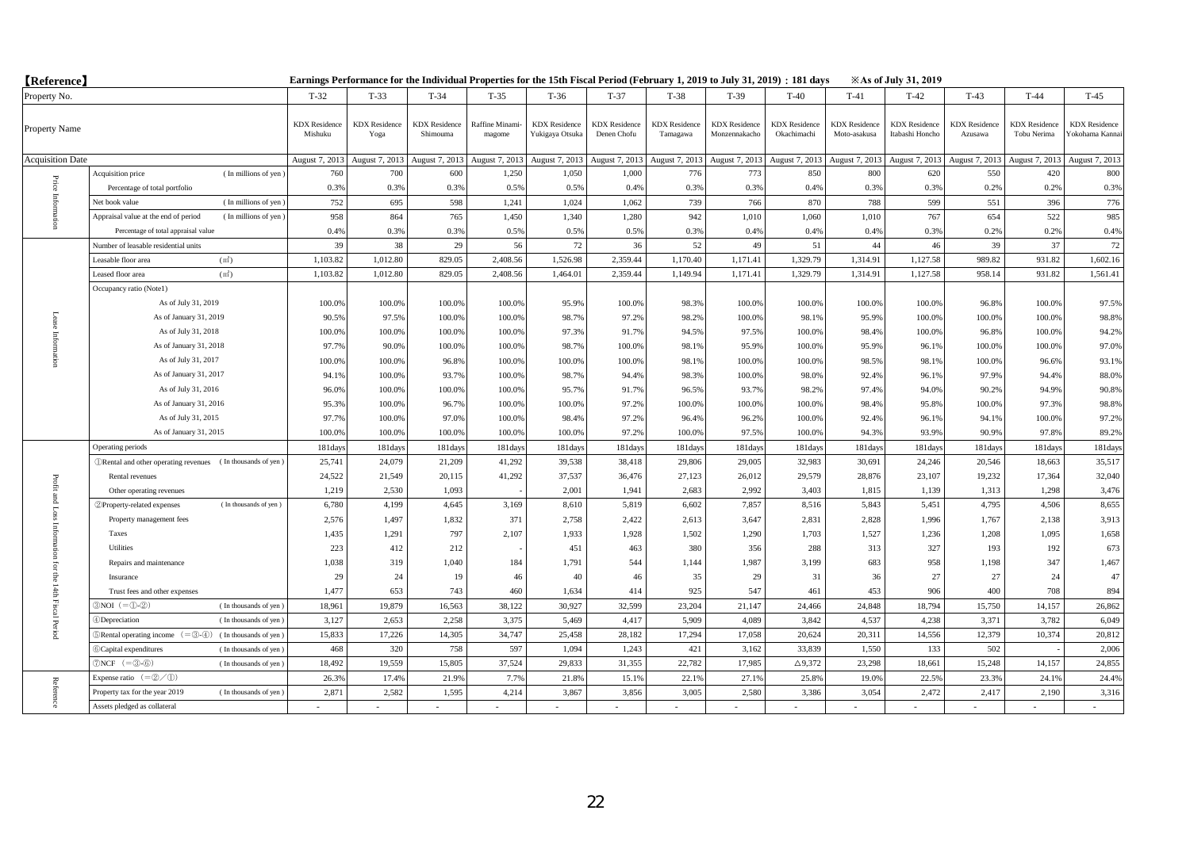| <b>[Reference]</b>      |                                                                              | Earnings Performance for the Individual Properties for the 15th Fiscal Period (February 1, 2019 to July 31, 2019) : 181 days<br><b>Example 31, 2019</b> |                              |                                  |                          |                                         |                                     |                                  |                                       |                                     |                                      |                                         |                                 |                                     |                                        |
|-------------------------|------------------------------------------------------------------------------|---------------------------------------------------------------------------------------------------------------------------------------------------------|------------------------------|----------------------------------|--------------------------|-----------------------------------------|-------------------------------------|----------------------------------|---------------------------------------|-------------------------------------|--------------------------------------|-----------------------------------------|---------------------------------|-------------------------------------|----------------------------------------|
| Property No.            |                                                                              | $T-32$                                                                                                                                                  | $T-33$                       | $T-34$                           | $T-35$                   | $T-36$                                  | $T-37$                              | $T-38$                           | $T-39$                                | $T-40$                              | $T-41$                               | $T-42$                                  | $T-43$                          | $T-44$                              | $T-45$                                 |
| Property Name           |                                                                              | <b>KDX</b> Residence<br>Mishuku                                                                                                                         | <b>KDX</b> Residence<br>Yoga | <b>KDX</b> Residence<br>Shimouma | Raffine Minami<br>magome | <b>KDX</b> Residence<br>Yukigaya Otsuka | <b>KDX</b> Residence<br>Denen Chofu | <b>KDX</b> Residence<br>Tamagawa | <b>KDX</b> Residence<br>Monzennakacho | <b>KDX</b> Residence<br>Okachimachi | <b>KDX</b> Residence<br>Moto-asakusa | <b>KDX</b> Residence<br>Itabashi Honcho | <b>KDX</b> Residence<br>Azusawa | <b>KDX</b> Residence<br>Tobu Nerima | <b>KDX</b> Residence<br>Yokohama Kanna |
| <b>Acquisition Date</b> |                                                                              | August 7, 2013                                                                                                                                          | August 7, 2013               | August 7, 2013                   | August 7, 2013           | August 7, 2013                          | August 7, 2013                      | August 7, 2013                   | August 7, 2013                        | August 7, 2013                      | August 7, 2013                       | August 7, 2013                          | August 7, 2013                  | August 7, 2013                      | August 7, 2013                         |
|                         | (In millions of yen)<br>Acquisition price                                    | 760                                                                                                                                                     | 700                          | 600                              | 1,250                    | 1.050                                   | 1.000                               | 776                              | 773                                   | 850                                 | 800                                  | 620                                     | 550                             | 420                                 | 800                                    |
| Price                   | Percentage of total portfolio                                                | 0.3%                                                                                                                                                    | 0.3%                         | 0.3%                             | 0.5%                     | 0.5%                                    | 0.4%                                | 0.3%                             | 0.3%                                  | 0.4%                                | 0.3%                                 | 0.3%                                    | 0.2%                            | 0.2%                                | 0.3%                                   |
| Infom                   | (In millions of yen)<br>Net book value                                       | 752                                                                                                                                                     | 695                          | 598                              | 1,241                    | 1,024                                   | 1,062                               | 739                              | 766                                   | 870                                 | 788                                  | 599                                     | 551                             | 396                                 | 776                                    |
|                         | Appraisal value at the end of period<br>(In millions of yen)                 | 958                                                                                                                                                     | 864                          | 765                              | 1,450                    | 1,340                                   | 1,280                               | 942                              | 1,010                                 | 1,060                               | 1,010                                | 767                                     | 654                             | 522                                 | 985                                    |
|                         | Percentage of total appraisal value                                          | 0.4%                                                                                                                                                    | 0.3%                         | 0.3%                             | 0.5%                     | 0.5%                                    | 0.5%                                | 0.3%                             | 0.4%                                  | 0.4%                                | 0.4%                                 | 0.3%                                    | 0.2%                            | 0.2%                                | 0.4%                                   |
|                         | Number of leasable residential units                                         | 39                                                                                                                                                      | 38                           | 29                               | 56                       | 72                                      | 36                                  | 52                               | 49                                    | 51                                  | 44                                   | 46                                      | 39                              | 37                                  | 72                                     |
|                         | (m <sup>2</sup> )<br>Leasable floor area                                     | 1,103.82                                                                                                                                                | 1,012.80                     | 829.05                           | 2,408.56                 | 1,526.98                                | 2,359.44                            | 1,170.40                         | 1,171.41                              | 1,329.79                            | 1,314.91                             | 1,127.58                                | 989.82                          | 931.82                              | 1,602.16                               |
|                         | Leased floor area<br>(m <sup>2</sup> )                                       | 1,103.82                                                                                                                                                | 1,012.80                     | 829.05                           | 2,408.56                 | 1,464.01                                | 2,359.44                            | 1,149.94                         | 1,171.41                              | 1,329.79                            | 1,314.91                             | 1,127.58                                | 958.14                          | 931.82                              | 1,561.41                               |
|                         | Occupancy ratio (Note1)                                                      |                                                                                                                                                         |                              |                                  |                          |                                         |                                     |                                  |                                       |                                     |                                      |                                         |                                 |                                     |                                        |
|                         | As of July 31, 2019                                                          | 100.0%                                                                                                                                                  | 100.0%                       | 100.0%                           | 100.0%                   | 95.9%                                   | 100.0%                              | 98.3%                            | 100.0%                                | 100.0%                              | 100.0%                               | 100.0%                                  | 96.8%                           | 100.0%                              | 97.5%                                  |
| Lease                   | As of January 31, 2019                                                       | 90.5%                                                                                                                                                   | 97.5%                        | 100.0%                           | 100.0%                   | 98.7%                                   | 97.2%                               | 98.2%                            | 100.0%                                | 98.1%                               | 95.9%                                | 100.0%                                  | 100.0%                          | 100.0%                              | 98.8%                                  |
|                         | As of July 31, 2018                                                          | 100.0%                                                                                                                                                  | 100.0%                       | 100.0%                           | 100.0%                   | 97.3%                                   | 91.7%                               | 94.5%                            | 97.5%                                 | 100.0%                              | 98.4%                                | 100.0%                                  | 96.8%                           | 100.0%                              | 94.2%                                  |
| Information             | As of January 31, 2018                                                       | 97.7%                                                                                                                                                   | 90.0%                        | 100.0%                           | 100.0%                   | 98.7%                                   | 100.0%                              | 98.1%                            | 95.9%                                 | 100.0%                              | 95.9%                                | 96.1%                                   | 100.0%                          | 100.0%                              | 97.0%                                  |
|                         | As of July 31, 2017                                                          | 100.0%                                                                                                                                                  | 100.0%                       | 96.8%                            | 100.0%                   | 100.0%                                  | 100.0%                              | 98.1%                            | 100.0%                                | 100.0%                              | 98.5%                                | 98.1%                                   | 100.0%                          | 96.6%                               | 93.1%                                  |
|                         | As of January 31, 2017                                                       | 94.1%                                                                                                                                                   | 100.0%                       | 93.7%                            | 100.0%                   | 98.7%                                   | 94.4%                               | 98.3%                            | 100.0%                                | 98.0%                               | 92.4%                                | 96.1%                                   | 97.9%                           | 94.4%                               | 88.0%                                  |
|                         | As of July 31, 2016                                                          | 96.0%                                                                                                                                                   | 100.0%                       | 100.0%                           | 100.0%                   | 95.7%                                   | 91.7%                               | 96.5%                            | 93.7%                                 | 98.2%                               | 97.4%                                | 94.0%                                   | 90.2%                           | 94.9%                               | 90.8%                                  |
|                         | As of January 31, 2016                                                       | 95.3%                                                                                                                                                   | 100.0%                       | 96.7%                            | 100.0%                   | 100.0%                                  | 97.2%                               | 100.0%                           | 100.0%                                | 100.0%                              | 98.4%                                | 95.8%                                   | 100.0%                          | 97.3%                               | 98.8%                                  |
|                         | As of July 31, 2015                                                          | 97.7%                                                                                                                                                   | 100.0%                       | 97.0%                            | 100.0%                   | 98.4%                                   | 97.2%                               | 96.4%                            | 96.2%                                 | 100.0%                              | 92.4%                                | 96.1%                                   | 94.1%                           | 100.0%                              | 97.2%                                  |
|                         | As of January 31, 2015                                                       | 100.0%                                                                                                                                                  | 100.0%                       | 100.0%                           | 100.0%                   | 100.0%                                  | 97.2%                               | 100.0%                           | 97.5%                                 | 100.0%                              | 94.3%                                | 93.9%                                   | 90.9%                           | 97.8%                               | 89.2%                                  |
|                         | Operating periods                                                            | 181days                                                                                                                                                 | 181days                      | 181days                          | 181days                  | 181day                                  | 181day                              | 181days                          | 181days                               | 181days                             | 181days                              | 181days                                 | 181days                         | 181days                             | 181days                                |
|                         | <b><i>ORental and other operating revenues</i></b> (In thousands of yen)     | 25,741                                                                                                                                                  | 24,079                       | 21,209                           | 41,292                   | 39,538                                  | 38,418                              | 29,806                           | 29,005                                | 32,983                              | 30,691                               | 24,246                                  | 20,546                          | 18,663                              | 35,517                                 |
|                         | Rental revenues                                                              | 24,522                                                                                                                                                  | 21,549                       | 20,115                           | 41,292                   | 37,537                                  | 36,476                              | 27,123                           | 26,012                                | 29,579                              | 28,876                               | 23,107                                  | 19,232                          | 17,364                              | 32,040                                 |
| Profit and Loss         | Other operating revenues                                                     | 1,219                                                                                                                                                   | 2,530                        | 1.093                            |                          | 2,001                                   | 1,941                               | 2,683                            | 2,992                                 | 3,403                               | 1,815                                | 1,139                                   | 1,313                           | 1,298                               | 3,476                                  |
|                         | (In thousands of yen)<br>2 Property-related expenses                         | 6,780                                                                                                                                                   | 4,199                        | 4,645                            | 3,169                    | 8,610                                   | 5,819                               | 6,602                            | 7,857                                 | 8,516                               | 5,843                                | 5,451                                   | 4,795                           | 4,506                               | 8,655                                  |
|                         | Property management fees                                                     | 2,576                                                                                                                                                   | 1,497                        | 1,832                            | 371                      | 2,758                                   | 2,422                               | 2,613                            | 3,647                                 | 2,831                               | 2,828                                | 1,996                                   | 1,767                           | 2,138                               | 3,913                                  |
|                         | Taxes                                                                        | 1,435                                                                                                                                                   | 1,291                        | 797                              | 2,107                    | 1,933                                   | 1,928                               | 1,502                            | 1,290                                 | 1,703                               | 1,527                                | 1,236                                   | 1,208                           | 1,095                               | 1,658                                  |
| Information             | Utilities                                                                    | 223                                                                                                                                                     | 412                          | 212                              |                          | 451                                     | 463                                 | 380                              | 356                                   | 288                                 | 313                                  | 327                                     | 193                             | 192                                 | 673                                    |
| ior                     | Repairs and maintenance                                                      | 1,038                                                                                                                                                   | 319                          | 1,040                            | 184                      | 1,791                                   | 544                                 | 1,144                            | 1,987                                 | 3,199                               | 683                                  | 958                                     | 1,198                           | 347                                 | 1,467                                  |
| 등                       | Insurance                                                                    | 29                                                                                                                                                      | 24                           | 19                               | 46                       | 40                                      | 46                                  | 35                               | 29                                    | 31                                  | 36                                   | 27                                      | 27                              | 24                                  | 47                                     |
|                         | Trust fees and other expenses                                                | 1,477                                                                                                                                                   | 653                          | 743                              | 460                      | 1,634                                   | 414                                 | 925                              | 547                                   | 461                                 | 453                                  | 906                                     | 400                             | 708                                 | 894                                    |
| 14th Fiscal Period      | $3NOI (= 0.2)$<br>(In thousands of yen)                                      | 18,961                                                                                                                                                  | 19,879                       | 16,563                           | 38,122                   | 30,927                                  | 32,599                              | 23,204                           | 21,147                                | 24,466                              | 24,848                               | 18,794                                  | 15,750                          | 14,157                              | 26,862                                 |
|                         | 4 Depreciation<br>(In thousands of yen)                                      | 3,127                                                                                                                                                   | 2,653                        | 2,258                            | 3,375                    | 5,469                                   | 4,417                               | 5,909                            | 4,089                                 | 3,842                               | 4,537                                | 4,238                                   | 3,371                           | 3,782                               | 6,049                                  |
|                         | $\mathbb{R}$ Rental operating income $(=\mathbb{S}-4)$ (In thousands of yen) | 15,833                                                                                                                                                  | 17,226                       | 14,305                           | 34,747                   | 25,458                                  | 28,182                              | 17,294                           | 17,058                                | 20,624                              | 20,311                               | 14,556                                  | 12,379                          | 10,374                              | 20,812                                 |
|                         | 6 Capital expenditures<br>(In thousands of yen)                              | 468                                                                                                                                                     | 320                          | 758                              | 597                      | 1,094                                   | 1,243                               | 421                              | 3,162                                 | 33,839                              | 1,550                                | 133                                     | 502                             |                                     | 2,006                                  |
|                         | $\mathcal{D}NCF$ (= $\mathcal{D}$ - $\mathcal{D}$ )<br>(In thousands of yen) | 18,492                                                                                                                                                  | 19,559                       | 15,805                           | 37,524                   | 29,833                                  | 31,355                              | 22,782                           | 17,985                                | $\Delta$ 9,372                      | 23,298                               | 18,661                                  | 15,248                          | 14,157                              | 24,855                                 |
|                         | Expense ratio $(=\mathcal{Q}/\mathcal{D})$                                   | 26.3%                                                                                                                                                   | 17.4%                        | 21.9%                            | 7.7%                     | 21.8%                                   | 15.19                               | 22.1%                            | 27.19                                 | 25.8%                               | 19.0%                                | 22.5%                                   | 23.3%                           | 24.1%                               | 24.4%                                  |
| Reference               | Property tax for the year 2019<br>(In thousands of yen)                      | 2.871                                                                                                                                                   | 2.582                        | 1,595                            | 4.214                    | 3.867                                   | 3,856                               | 3.005                            | 2.580                                 | 3.386                               | 3.054                                | 2,472                                   | 2,417                           | 2.190                               | 3,316                                  |
|                         | Assets pledged as collateral                                                 |                                                                                                                                                         |                              |                                  |                          |                                         |                                     |                                  |                                       |                                     |                                      |                                         |                                 |                                     |                                        |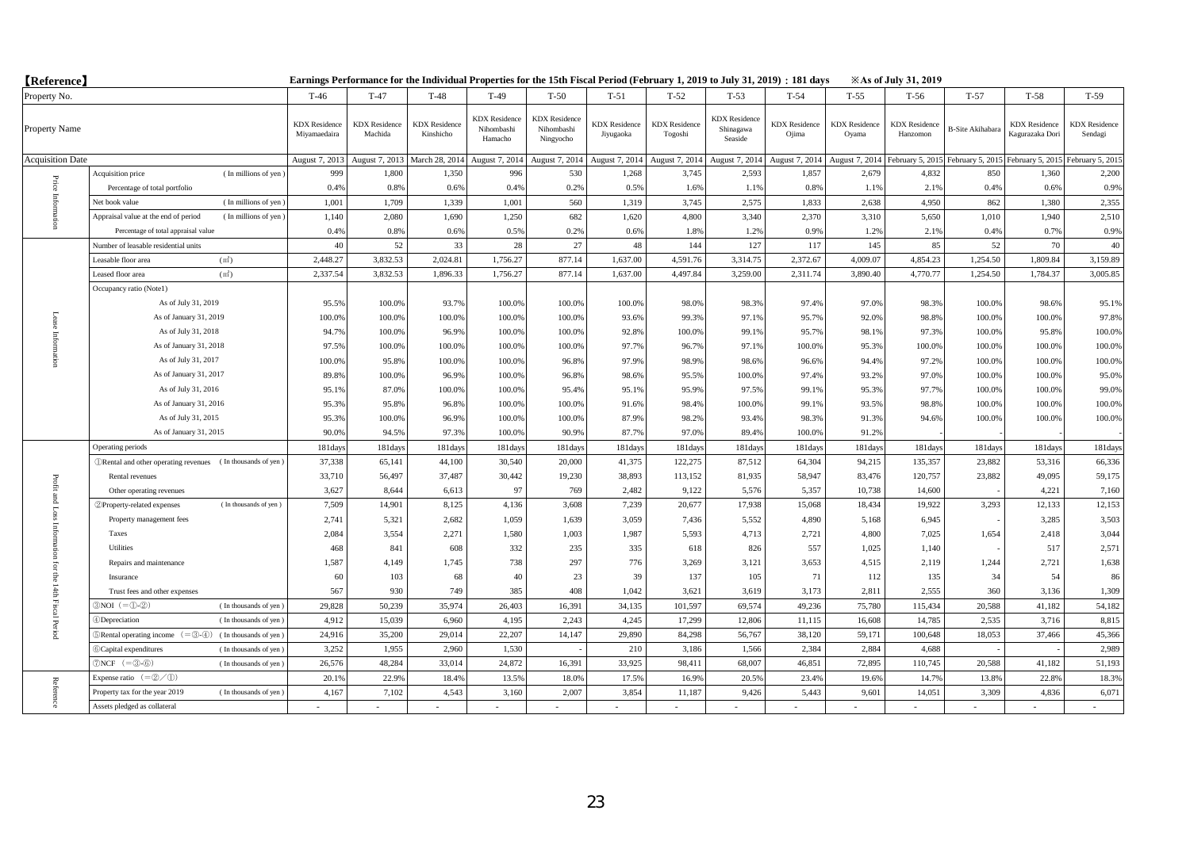| <b>(Reference)</b>      |                                                                                              | Earnings Performance for the Individual Properties for the 15th Fiscal Period (February 1, 2019 to July 31, 2019) : 181 days<br><b>Example 31, 2019</b> |                                 |                                   |                                               |                                                 |                                   |                                 |                                              |                               |                               |                                  |                         |                                         |                                 |
|-------------------------|----------------------------------------------------------------------------------------------|---------------------------------------------------------------------------------------------------------------------------------------------------------|---------------------------------|-----------------------------------|-----------------------------------------------|-------------------------------------------------|-----------------------------------|---------------------------------|----------------------------------------------|-------------------------------|-------------------------------|----------------------------------|-------------------------|-----------------------------------------|---------------------------------|
| Property No.            |                                                                                              | $T-46$                                                                                                                                                  | $T-47$                          | $T-48$                            | $T-49$                                        | $T-50$                                          | $T-51$                            | $T-52$                          | $T-53$                                       | $T-54$                        | $T-55$                        | $T-56$                           | $T-57$                  | $T-58$                                  | $T-59$                          |
| Property Name           |                                                                                              | <b>KDX</b> Residence<br>Miyamaedaira                                                                                                                    | <b>KDX</b> Residence<br>Machida | <b>KDX</b> Residence<br>Kinshicho | <b>KDX</b> Residence<br>Nihombashi<br>Hamacho | <b>KDX</b> Residence<br>Nihombashi<br>Ningyocho | <b>KDX</b> Residence<br>Jiyugaoka | <b>KDX</b> Residence<br>Togoshi | <b>KDX</b> Residence<br>Shinagawa<br>Seaside | <b>KDX</b> Residence<br>Ojima | <b>KDX</b> Residence<br>Oyama | <b>KDX</b> Residence<br>Hanzomon | <b>B-Site Akihabara</b> | <b>KDX</b> Residence<br>Kagurazaka Dori | <b>KDX</b> Residence<br>Sendagi |
| <b>Acquisition Date</b> |                                                                                              | August 7, 2013                                                                                                                                          | August 7, 2013                  | March 28, 2014                    | August 7, 2014                                | August 7, 2014                                  | August 7, 2014                    | August 7, 2014                  | August 7, 2014                               | August 7, 2014                | August 7, 2014                | February 5, 2015                 | February 5, 2015        | February 5, 201                         | February 5, 201:                |
|                         | (In millions of yen)<br>Acquisition price                                                    | 999                                                                                                                                                     | 1,800                           | 1,350                             | 996                                           | 530                                             | 1,268                             | 3,745                           | 2,593                                        | 1,857                         | 2,679                         | 4,832                            | 850                     | 1,360                                   | 2,200                           |
|                         | Percentage of total portfolio                                                                | 0.4%                                                                                                                                                    | 0.8%                            | 0.6%                              | 0.4%                                          | 0.2%                                            | 0.5%                              | 1.6%                            | 1.1%                                         | 0.8%                          | 1.1%                          | 2.1%                             | 0.4%                    | 0.6%                                    | 0.9%                            |
| Price Inform            | (In millions of yen)<br>Net book value                                                       | 1,001                                                                                                                                                   | 1,709                           | 1,339                             | 1,001                                         | 560                                             | 1,319                             | 3.745                           | 2,575                                        | 1,833                         | 2.638                         | 4,950                            | 862                     | 1.380                                   | 2,355                           |
|                         | Appraisal value at the end of period<br>(In millions of yen)                                 | 1,140                                                                                                                                                   | 2.080                           | 1,690                             | 1,250                                         | 682                                             | 1,620                             | 4.800                           | 3.340                                        | 2.370                         | 3,310                         | 5,650                            | 1,010                   | 1.940                                   | 2,510                           |
|                         | Percentage of total appraisal value                                                          | 0.4%                                                                                                                                                    | 0.8%                            | 0.6%                              | 0.5%                                          | 0.2%                                            | 0.6%                              | 1.8%                            | 1.2%                                         | 0.9%                          | 1.2%                          | 2.1%                             | 0.4%                    | 0.7%                                    | 0.9%                            |
|                         | Number of leasable residential units                                                         | 40                                                                                                                                                      | 52                              | 33                                | 28                                            | 27                                              | 48                                | 144                             | 127                                          | 117                           | 145                           | 85                               | 52                      | 70                                      | 40                              |
|                         | (m <sup>2</sup> )<br>Leasable floor area                                                     | 2,448.27                                                                                                                                                | 3,832.53                        | 2,024.81                          | 1,756.27                                      | 877.14                                          | 1,637.00                          | 4,591.76                        | 3,314.75                                     | 2,372.67                      | 4,009.07                      | 4,854.23                         | 1,254.50                | 1,809.84                                | 3,159.89                        |
|                         | Leased floor area<br>(m <sup>2</sup> )                                                       | 2,337.54                                                                                                                                                | 3,832.53                        | 1,896.33                          | 1,756.27                                      | 877.14                                          | 1,637.00                          | 4,497.84                        | 3,259.00                                     | 2,311.74                      | 3,890.40                      | 4,770.77                         | 1,254.50                | 1,784.37                                | 3,005.85                        |
|                         | Occupancy ratio (Notel)                                                                      |                                                                                                                                                         |                                 |                                   |                                               |                                                 |                                   |                                 |                                              |                               |                               |                                  |                         |                                         |                                 |
|                         | As of July 31, 2019                                                                          | 95.5%                                                                                                                                                   | 100.0%                          | 93.7%                             | 100.0%                                        | 100.0%                                          | 100.09                            | 98.0%                           | 98.3%                                        | 97.4%                         | 97.0%                         | 98.3%                            | 100.0%                  | 98.6%                                   | 95.1%                           |
|                         | As of January 31, 2019                                                                       | 100.0%                                                                                                                                                  | 100.0%                          | 100.0%                            | 100.0%                                        | 100.0%                                          | 93.6%                             | 99.3%                           | 97.1%                                        | 95.7%                         | 92.0%                         | 98.8%                            | 100.0%                  | 100.0%                                  | 97.8%                           |
|                         | As of July 31, 2018                                                                          | 94.7%                                                                                                                                                   | 100.0%                          | 96.9%                             | 100.0%                                        | 100.0%                                          | 92.8%                             | 100.0%                          | 99.1%                                        | 95.7%                         | 98.1%                         | 97.3%                            | 100.0%                  | 95.8%                                   | 100.0%                          |
| Information             | As of January 31, 2018                                                                       | 97.5%                                                                                                                                                   | 100.0%                          | 100.0%                            | 100.0%                                        | 100.0%                                          | 97.7%                             | 96.7%                           | 97.1%                                        | 100.0%                        | 95.3%                         | 100.0%                           | 100.0%                  | 100.0%                                  | 100.0%                          |
|                         | As of July 31, 2017                                                                          | 100.0%                                                                                                                                                  | 95.8%                           | 100.0%                            | 100.0%                                        | 96.8%                                           | 97.9%                             | 98.9%                           | 98.6%                                        | 96.6%                         | 94.4%                         | 97.2%                            | 100.0%                  | 100.0%                                  | 100.0%                          |
|                         | As of January 31, 2017                                                                       | 89.8%                                                                                                                                                   | 100.0%                          | 96.9%                             | 100.09                                        | 96.8%                                           | 98.6%                             | 95.5%                           | 100.0%                                       | 97.4%                         | 93.2%                         | 97.0%                            | 100.0%                  | 100.0%                                  | 95.0%                           |
|                         | As of July 31, 2016                                                                          | 95.1%                                                                                                                                                   | 87.0%                           | 100.0%                            | 100.0%                                        | 95.4%                                           | 95.1%                             | 95.9%                           | 97.5%                                        | 99.1%                         | 95.3%                         | 97.7%                            | 100.0%                  | 100.0%                                  | 99.0%                           |
|                         | As of January 31, 2016                                                                       | 95.3%                                                                                                                                                   | 95.8%                           | 96.8%                             | 100.0%                                        | 100.0%                                          | 91.6%                             | 98.4%                           | 100.0%                                       | 99.1%                         | 93.5%                         | 98.8%                            | 100.0%                  | 100.0%                                  | 100.0%                          |
|                         | As of July 31, 2015                                                                          | 95.3%                                                                                                                                                   | 100.0%                          | 96.9%                             | 100.0%                                        | 100.0%                                          | 87.99                             | 98.2%                           | 93.4%                                        | 98.3%                         | 91.3%                         | 94.6%                            | 100.0%                  | 100.0%                                  | 100.0%                          |
|                         | As of January 31, 2015                                                                       | 90.0%                                                                                                                                                   | 94.5%                           | 97.3%                             | 100.0%                                        | 90.9%                                           | 87.7%                             | 97.0%                           | 89.4%                                        | 100.0%                        | 91.2%                         |                                  |                         |                                         |                                 |
|                         | Operating periods                                                                            | 181days                                                                                                                                                 | 181days                         | 181days                           | 181days                                       | 181day                                          | 181day                            | 181days                         | 181days                                      | 181days                       | 181days                       | 181days                          | 181days                 | 181days                                 | 181days                         |
|                         | <b><i>ORental and other operating revenues</i></b> (In thousands of yen)                     | 37,338                                                                                                                                                  | 65,141                          | 44,100                            | 30,540                                        | 20,000                                          | 41,375                            | 122,275                         | 87,512                                       | 64,304                        | 94,215                        | 135,357                          | 23,882                  | 53,316                                  | 66,336                          |
| Profit                  | Rental revenues                                                                              | 33,710                                                                                                                                                  | 56,497                          | 37,487                            | 30,442                                        | 19,230                                          | 38,893                            | 113,152                         | 81,935                                       | 58,947                        | 83,476                        | 120,757                          | 23,882                  | 49,095                                  | 59,175                          |
|                         | Other operating revenues                                                                     | 3,627                                                                                                                                                   | 8,644                           | 6,613                             | 97                                            | 769                                             | 2,482                             | 9,122                           | 5,576                                        | 5,357                         | 10,738                        | 14,600                           |                         | 4,221                                   | 7,160                           |
| and Loss                | 2 Property-related expenses<br>(In thousands of yen)                                         | 7,509                                                                                                                                                   | 14,901                          | 8,125                             | 4,136                                         | 3,608                                           | 7,239                             | 20,677                          | 17,938                                       | 15,068                        | 18,434                        | 19,922                           | 3,293                   | 12,133                                  | 12,153                          |
|                         | Property management fees                                                                     | 2,741                                                                                                                                                   | 5,321                           | 2,682                             | 1,059                                         | 1,639                                           | 3,059                             | 7,436                           | 5,552                                        | 4,890                         | 5,168                         | 6,945                            |                         | 3,285                                   | 3,503                           |
|                         | Taxes                                                                                        | 2,084                                                                                                                                                   | 3,554                           | 2,271                             | 1,580                                         | 1,003                                           | 1,987                             | 5,593                           | 4,713                                        | 2,721                         | 4,800                         | 7,025                            | 1,654                   | 2,418                                   | 3,044                           |
|                         | Utilities                                                                                    | 468                                                                                                                                                     | 841                             | 608                               | 332                                           | 235                                             | 335                               | 618                             | 826                                          | 557                           | 1.025                         | 1.140                            |                         | 517                                     | 2,571                           |
| ior                     | Repairs and maintenance                                                                      | 1,587                                                                                                                                                   | 4,149                           | 1,745                             | 738                                           | 297                                             | 776                               | 3,269                           | 3,121                                        | 3,653                         | 4,515                         | 2,119                            | 1,244                   | 2,721                                   | 1,638                           |
| ę                       | Insurance                                                                                    | 60                                                                                                                                                      | 103                             | 68                                | 40                                            | 23                                              | 39                                | 137                             | 105                                          | 71                            | 112                           | 135                              | 34                      | 54                                      | 86                              |
|                         | Trust fees and other expenses                                                                | 567                                                                                                                                                     | 930                             | 749                               | 385                                           | 408                                             | 1,042                             | 3,621                           | 3,619                                        | 3,173                         | 2,811                         | 2,555                            | 360                     | 3,136                                   | 1,309                           |
| 14th Fiscal Period      | $3NOI (= 0.2)$<br>(In thousands of yen)                                                      | 29,828                                                                                                                                                  | 50.239                          | 35,974                            | 26,403                                        | 16,391                                          | 34.135                            | 101,597                         | 69.574                                       | 49,236                        | 75,780                        | 115,434                          | 20.588                  | 41,182                                  | 54,182                          |
|                         | 4)Depreciation<br>(In thousands of yen)                                                      | 4,912                                                                                                                                                   | 15,039                          | 6,960                             | 4.195                                         | 2.243                                           | 4.245                             | 17.299                          | 12,806                                       | 11,115                        | 16,608                        | 14,785                           | 2.535                   | 3,716                                   | 8,815                           |
|                         | $\mathbb{R}$ Rental operating income $(=\mathbb{S}\cdot\mathbb{A})$<br>(In thousands of yen) | 24,916                                                                                                                                                  | 35,200                          | 29,014                            | 22,207                                        | 14,147                                          | 29,890                            | 84,298                          | 56,767                                       | 38,120                        | 59,171                        | 100,648                          | 18,053                  | 37,466                                  | 45,366                          |
|                         | 6 Capital expenditures<br>(In thousands of yen)                                              | 3,252                                                                                                                                                   | 1,955                           | 2,960                             | 1,530                                         |                                                 | 210                               | 3,186                           | 1,566                                        | 2,384                         | 2,884                         | 4,688                            |                         |                                         | 2,989                           |
|                         | $\mathcal{D}NCF$ (= $\mathcal{D}$ - $\mathcal{D}$ )<br>(In thousands of yen)                 | 26,576                                                                                                                                                  | 48,284                          | 33,014                            | 24,872                                        | 16,391                                          | 33,925                            | 98,411                          | 68,007                                       | 46,851                        | 72,895                        | 110,745                          | 20,588                  | 41,182                                  | 51,193                          |
|                         | Expense ratio $(=\mathcal{Q}/\mathcal{D})$                                                   | 20.1%                                                                                                                                                   | 22.9%                           | 18.4%                             | 13.59                                         | 18.0%                                           | 17.59                             | 16.99                           | 20.59                                        | 23.4%                         | 19.6%                         | 14.7%                            | 13.8%                   | 22.8%                                   | 18.3%                           |
| Reference               | Property tax for the year 2019<br>(In thousands of yen)                                      | 4.167                                                                                                                                                   | 7.102                           | 4,543                             | 3,160                                         | 2.007                                           | 3.854                             | 11,187                          | 9.426                                        | 5,443                         | 9,601                         | 14,051                           | 3.309                   | 4.836                                   | 6,071                           |
|                         | Assets pledged as collateral                                                                 |                                                                                                                                                         |                                 |                                   |                                               |                                                 |                                   |                                 |                                              |                               |                               |                                  |                         |                                         |                                 |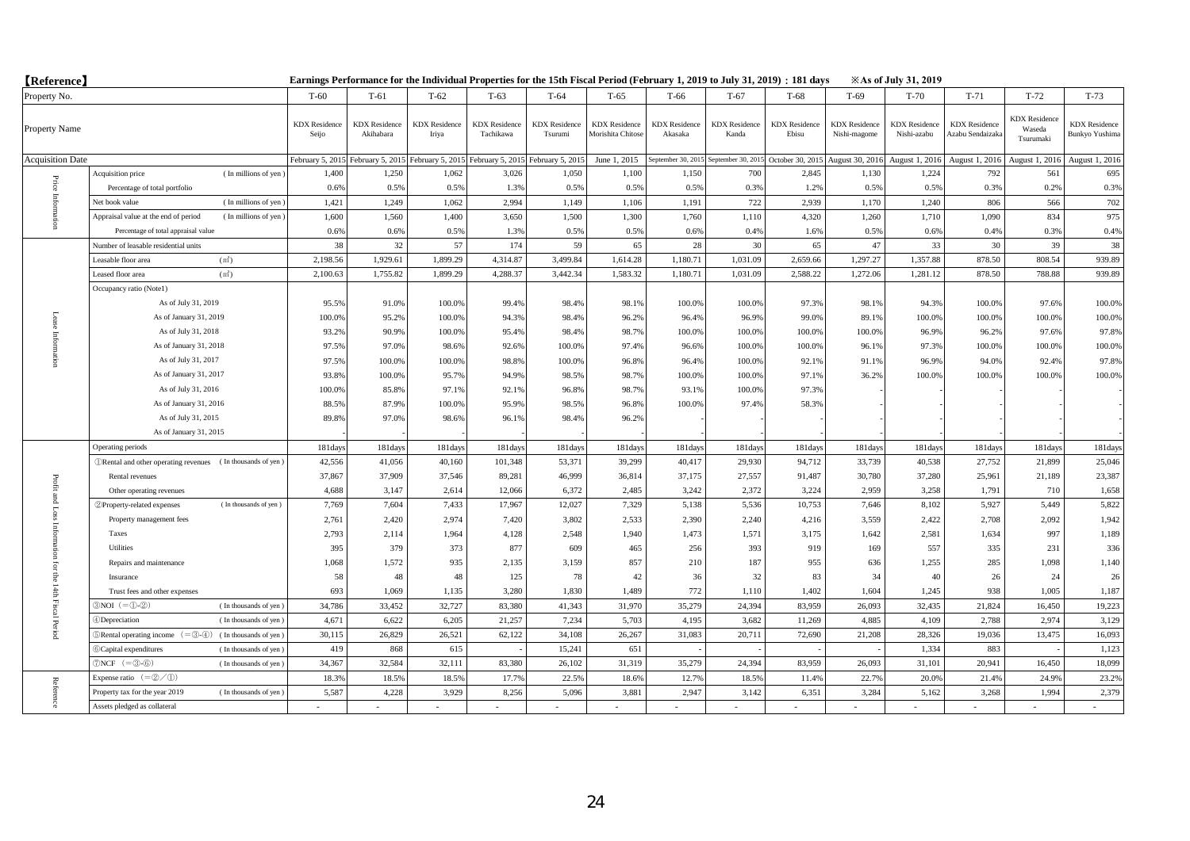| <b>(Reference)</b>      |                                                                                 | Earnings Performance for the Individual Properties for the 15th Fiscal Period (February 1, 2019 to July 31, 2019) : 181 days<br><b>Example 31, 2019</b> |                                   |                               |                                   |                                 |                                          |                                       |                               |                               |                                      |                                     |                                          |                                             |                                               |
|-------------------------|---------------------------------------------------------------------------------|---------------------------------------------------------------------------------------------------------------------------------------------------------|-----------------------------------|-------------------------------|-----------------------------------|---------------------------------|------------------------------------------|---------------------------------------|-------------------------------|-------------------------------|--------------------------------------|-------------------------------------|------------------------------------------|---------------------------------------------|-----------------------------------------------|
| Property No.            |                                                                                 | $T-60$                                                                                                                                                  | $T-61$                            | $T-62$                        | $T-63$                            | $T-64$                          | $T-65$                                   | T-66                                  | $T-67$                        | $T-68$                        | T-69                                 | $T-70$                              | $T-71$                                   | $T-72$                                      | $T-73$                                        |
| Property Name           |                                                                                 | <b>KDX</b> Residence<br>Seijo                                                                                                                           | <b>KDX</b> Residence<br>Akihabara | <b>KDX</b> Residence<br>Iriya | <b>KDX</b> Residence<br>Tachikawa | <b>KDX</b> Residence<br>Tsurumi | <b>KDX</b> Residence<br>Morishita Chitos | <b>KDX</b> Residence<br>Akasaka       | <b>KDX</b> Residence<br>Kanda | <b>KDX</b> Residence<br>Ebisu | <b>KDX</b> Residence<br>Nishi-magome | <b>KDX</b> Residence<br>Nishi-azabu | <b>KDX</b> Residence<br>Azabu Sendaizaka | <b>KDX</b> Residence<br>Waseda<br>Tsurumaki | <b>KDX</b> Residence<br><b>Bunkyo Yushima</b> |
| <b>Acquisition Date</b> |                                                                                 | February 5, 2015                                                                                                                                        | February 5, 2015                  | February 5, 2015              | February 5, 2015                  | February 5, 2015                | June 1, 2015                             | September 30, 2015 September 30, 201: |                               | October 30, 2015              | August 30, 201                       | August 1, 2016                      | August 1, 2016                           | August 1, 2016                              | August 1, 2016                                |
|                         | (In millions of yen)<br>Acquisition price                                       | 1,400                                                                                                                                                   | 1,250                             | 1,062                         | 3,026                             | 1,050                           | 1,100                                    | 1,150                                 | 700                           | 2.845                         | 1,130                                | 1,224                               | 792                                      | 561                                         | 695                                           |
|                         | Percentage of total portfolio                                                   | 0.6%                                                                                                                                                    | 0.5%                              | 0.5%                          | 1.3%                              | 0.5%                            | 0.5%                                     | 0.5%                                  | 0.3%                          | 1.2%                          | 0.5%                                 | 0.5%                                | 0.3%                                     | 0.2%                                        | 0.3%                                          |
| Price Inform            | (In millions of yen)<br>Net book value                                          | 1,421                                                                                                                                                   | 1,249                             | 1,062                         | 2.994                             | 1,149                           | 1,106                                    | 1,191                                 | 722                           | 2,939                         | 1,170                                | 1,240                               | 806                                      | 566                                         | 702                                           |
|                         | Appraisal value at the end of period<br>(In millions of yen)                    | 1,600                                                                                                                                                   | 1,560                             | 1,400                         | 3,650                             | 1,500                           | 1,300                                    | 1,760                                 | 1,110                         | 4.320                         | 1,260                                | 1,710                               | 1,090                                    | 834                                         | 975                                           |
|                         | Percentage of total appraisal value                                             | 0.6%                                                                                                                                                    | 0.6%                              | 0.5%                          | 1.3%                              | 0.5%                            | 0.5%                                     | 0.6%                                  | 0.4%                          | 1.6%                          | 0.5%                                 | 0.6%                                | 0.4%                                     | 0.3%                                        | 0.4%                                          |
|                         | Number of leasable residential units                                            | 38                                                                                                                                                      | 32                                | 57                            | 174                               | 59                              | 65                                       | 28                                    | 30                            | 65                            | 47                                   | 33                                  | 30                                       | 39                                          | 38                                            |
|                         | (m <sup>2</sup> )<br>Leasable floor area                                        | 2,198.56                                                                                                                                                | 1,929.61                          | 1,899.29                      | 4,314.87                          | 3,499.84                        | 1,614.28                                 | 1,180.71                              | 1,031.09                      | 2,659.66                      | 1,297.27                             | 1,357.88                            | 878.50                                   | 808.54                                      | 939.89                                        |
|                         | Leased floor area<br>(m <sup>2</sup> )                                          | 2,100.63                                                                                                                                                | 1,755.82                          | 1,899.29                      | 4,288.37                          | 3,442.34                        | 1,583.32                                 | 1,180.71                              | 1,031.09                      | 2,588.22                      | 1,272.06                             | 1,281.12                            | 878.50                                   | 788.88                                      | 939.89                                        |
|                         | Occupancy ratio (Notel)                                                         |                                                                                                                                                         |                                   |                               |                                   |                                 |                                          |                                       |                               |                               |                                      |                                     |                                          |                                             |                                               |
|                         | As of July 31, 2019                                                             | 95.5%                                                                                                                                                   | 91.0%                             | 100.0%                        | 99.4%                             | 98.4%                           | 98.19                                    | 100.0%                                | 100.0%                        | 97.3%                         | 98.1%                                | 94.3%                               | 100.0%                                   | 97.6%                                       | 100.0%                                        |
|                         | As of January 31, 2019                                                          | 100.0%                                                                                                                                                  | 95.2%                             | 100.0%                        | 94.3%                             | 98.4%                           | 96.2%                                    | 96.4%                                 | 96.9%                         | 99.0%                         | 89.1%                                | 100.0%                              | 100.0%                                   | 100.0%                                      | 100.0%                                        |
|                         | As of July 31, 2018                                                             | 93.2%                                                                                                                                                   | 90.9%                             | 100.0%                        | 95.4%                             | 98.4%                           | 98.7%                                    | 100.0%                                | 100.0%                        | 100.0%                        | 100.0%                               | 96.9%                               | 96.2%                                    | 97.6%                                       | 97.8%                                         |
| Information             | As of January 31, 2018                                                          | 97.5%                                                                                                                                                   | 97.0%                             | 98.6%                         | 92.6%                             | 100.0%                          | 97.4%                                    | 96.6%                                 | 100.0%                        | 100.0%                        | 96.1%                                | 97.3%                               | 100.0%                                   | 100.0%                                      | 100.0%                                        |
|                         | As of July 31, 2017                                                             | 97.5%                                                                                                                                                   | 100.0%                            | 100.0%                        | 98.8%                             | 100.0%                          | 96.8%                                    | 96.4%                                 | 100.0%                        | 92.1%                         | 91.1%                                | 96.9%                               | 94.0%                                    | 92.4%                                       | 97.8%                                         |
|                         | As of January 31, 2017                                                          | 93.8%                                                                                                                                                   | 100.0%                            | 95.7%                         | 94.9%                             | 98.5%                           | 98.7%                                    | 100.0%                                | 100.0%                        | 97.1%                         | 36.2%                                | 100.0%                              | 100.0%                                   | 100.0%                                      | 100.0%                                        |
|                         | As of July 31, 2016                                                             | 100.0%                                                                                                                                                  | 85.8%                             | 97.1%                         | 92.1%                             | 96.8%                           | 98.7%                                    | 93.1%                                 | 100.0%                        | 97.3%                         |                                      |                                     |                                          |                                             |                                               |
|                         | As of January 31, 2016                                                          | 88.5%                                                                                                                                                   | 87.9%                             | 100.0%                        | 95.9%                             | 98.5%                           | 96.8%                                    | 100.0%                                | 97.4%                         | 58.3%                         |                                      |                                     |                                          |                                             |                                               |
|                         | As of July 31, 2015                                                             | 89.8%                                                                                                                                                   | 97.0%                             | 98.6%                         | 96.1%                             | 98.4%                           | 96.2%                                    |                                       |                               |                               |                                      |                                     |                                          |                                             |                                               |
|                         | As of January 31, 2015                                                          |                                                                                                                                                         |                                   |                               |                                   |                                 |                                          |                                       |                               |                               |                                      |                                     |                                          |                                             |                                               |
|                         | Operating periods                                                               | 181 days                                                                                                                                                | 181days                           | 181days                       | 181days                           | 181days                         | 181day                                   | 181days                               | 181days                       | 181days                       | 181days                              | 181days                             | 181days                                  | 181days                                     | 181days                                       |
|                         | <b><i>ORental and other operating revenues</i></b> (In thousands of yen)        | 42,556                                                                                                                                                  | 41,056                            | 40,160                        | 101,348                           | 53,371                          | 39,299                                   | 40,417                                | 29,930                        | 94,712                        | 33,739                               | 40,538                              | 27,752                                   | 21,899                                      | 25,046                                        |
| Profit                  | Rental revenues                                                                 | 37,867                                                                                                                                                  | 37,909                            | 37,546                        | 89,281                            | 46,999                          | 36,814                                   | 37,175                                | 27,557                        | 91,487                        | 30,780                               | 37,280                              | 25,961                                   | 21,189                                      | 23,387                                        |
|                         | Other operating revenues                                                        | 4,688                                                                                                                                                   | 3,147                             | 2,614                         | 12,066                            | 6,372                           | 2,485                                    | 3,242                                 | 2,372                         | 3,224                         | 2,959                                | 3,258                               | 1,791                                    | 710                                         | 1,658                                         |
| t and Loss              | (In thousands of yen)<br>2 Property-related expenses                            | 7,769                                                                                                                                                   | 7,604                             | 7,433                         | 17,967                            | 12,027                          | 7,329                                    | 5,138                                 | 5,536                         | 10,753                        | 7,646                                | 8,102                               | 5,927                                    | 5,449                                       | 5,822                                         |
|                         | Property management fees                                                        | 2,761                                                                                                                                                   | 2,420                             | 2,974                         | 7,420                             | 3,802                           | 2,533                                    | 2,390                                 | 2,240                         | 4,216                         | 3,559                                | 2,422                               | 2,708                                    | 2,092                                       | 1,942                                         |
|                         | Taxes                                                                           | 2,793                                                                                                                                                   | 2,114                             | 1,964                         | 4,128                             | 2,548                           | 1.940                                    | 1,473                                 | 1,571                         | 3,175                         | 1,642                                | 2,581                               | 1,634                                    | 997                                         | 1,189                                         |
|                         | Utilities                                                                       | 395                                                                                                                                                     | 379                               | 373                           | 877                               | 609                             | 465                                      | 256                                   | 393                           | 919                           | 169                                  | 557                                 | 335                                      | 231                                         | 336                                           |
| ΙöΙ                     | Repairs and maintenance                                                         | 1,068                                                                                                                                                   | 1,572                             | 935                           | 2,135                             | 3,159                           | 857                                      | 210                                   | 187                           | 955                           | 636                                  | 1,255                               | 285                                      | 1,098                                       | 1,140                                         |
| 등                       | Insurance                                                                       | 58                                                                                                                                                      | 48                                | 48                            | 125                               | 78                              | 42                                       | 36                                    | 32                            | 83                            | 34                                   | 40                                  | 26                                       | 24                                          | 26                                            |
|                         | Trust fees and other expenses                                                   | 693                                                                                                                                                     | 1,069                             | 1,135                         | 3,280                             | 1,830                           | 1,489                                    | 772                                   | 1,110                         | 1,402                         | 1,604                                | 1,245                               | 938                                      | 1,005                                       | 1,187                                         |
| 14th Fiscal Period      | $3NOI (= 0.2)$<br>(In thousands of yen)                                         | 34,786                                                                                                                                                  | 33,452                            | 32,727                        | 83,380                            | 41,343                          | 31,970                                   | 35,279                                | 24.394                        | 83,959                        | 26,093                               | 32,435                              | 21,824                                   | 16,450                                      | 19,223                                        |
|                         | 4)Depreciation<br>(In thousands of yen)                                         | 4,671                                                                                                                                                   | 6.622                             | 6.205                         | 21,257                            | 7.234                           | 5.703                                    | 4.195                                 | 3.682                         | 11,269                        | 4.885                                | 4.109                               | 2.788                                    | 2.974                                       | 3,129                                         |
|                         | $\mathbb{R}$ Rental operating income $(=\mathbb{S}-4)$<br>(In thousands of yen) | 30,115                                                                                                                                                  | 26,829                            | 26,521                        | 62,122                            | 34,108                          | 26,267                                   | 31,083                                | 20,711                        | 72,690                        | 21,208                               | 28,326                              | 19,036                                   | 13,475                                      | 16,093                                        |
|                         | 6 Capital expenditures<br>(In thousands of yen)                                 | 419                                                                                                                                                     | 868                               | 615                           |                                   | 15,241                          | 651                                      |                                       |                               |                               |                                      | 1,334                               | 883                                      |                                             | 1,123                                         |
|                         | $\mathcal{D}NCF$ (= $\mathcal{D}$ - $\mathcal{D}$ )<br>(In thousands of yen)    | 34,367                                                                                                                                                  | 32,584                            | 32,111                        | 83,380                            | 26,102                          | 31,319                                   | 35,279                                | 24,394                        | 83,959                        | 26,093                               | 31,101                              | 20,941                                   | 16,450                                      | 18,099                                        |
|                         | Expense ratio $(=\mathcal{Q}/\mathcal{D})$                                      | 18.3%                                                                                                                                                   | 18.5%                             | 18.5%                         | 17.79                             | 22.5%                           | 18.69                                    | 12.7%                                 | 18.5%                         | 11.4%                         | 22.7%                                | 20.0%                               | 21.4%                                    | 24.9%                                       | 23.2%                                         |
| Reference               | Property tax for the year 2019<br>(In thousands of yen)                         | 5,587                                                                                                                                                   | 4,228                             | 3.929                         | 8,256                             | 5,096                           | 3.881                                    | 2.947                                 | 3.142                         | 6,351                         | 3.284                                | 5,162                               | 3,268                                    | 1.994                                       | 2,379                                         |
|                         | Assets pledged as collateral                                                    |                                                                                                                                                         |                                   |                               |                                   |                                 |                                          |                                       |                               |                               |                                      |                                     |                                          |                                             |                                               |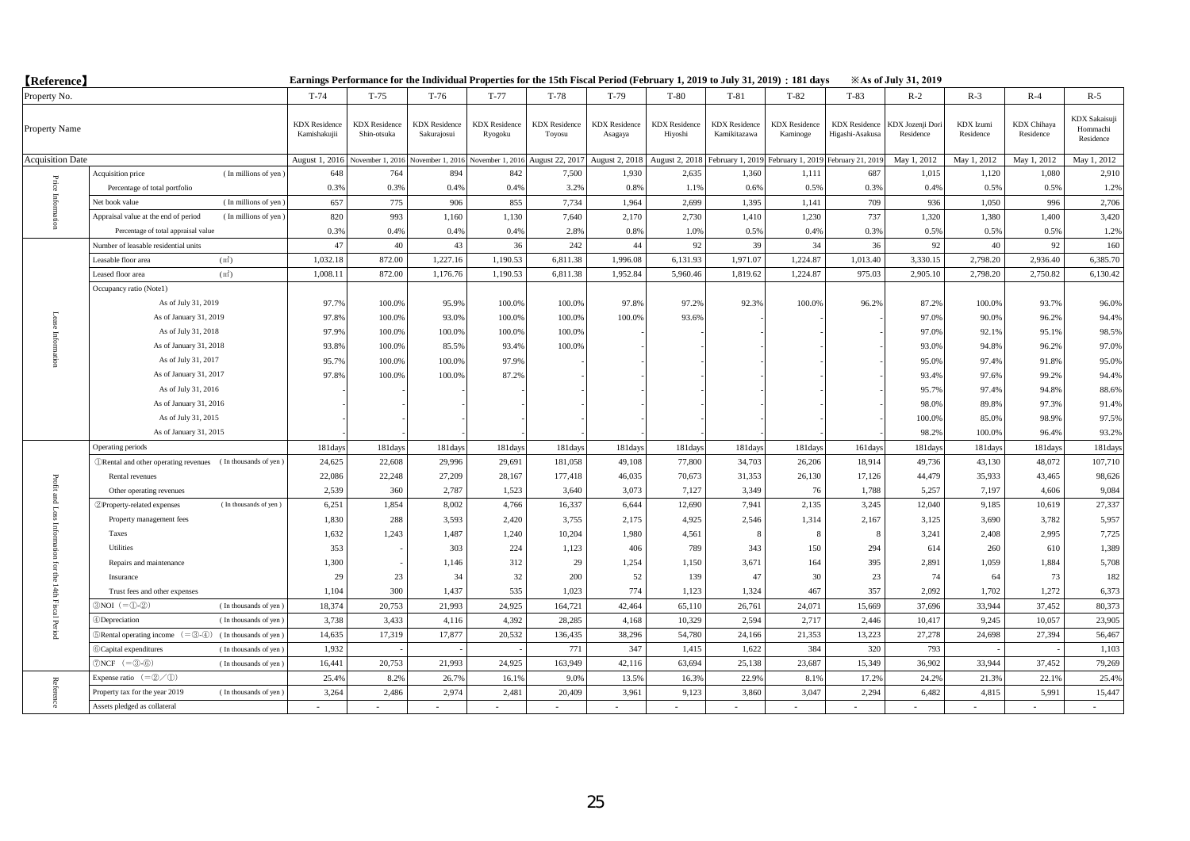| <b>[Reference]</b>      |                                                                                |                                      | Earnings Performance for the Individual Properties for the 15th Fiscal Period (February 1, 2019 to July 31, 2019) : 181 days |                                     |                                 |                                |                                 |                                 |                                      |                                                     |                                         | <b>Example 31, 2019</b>      |                        |                                 |                                        |
|-------------------------|--------------------------------------------------------------------------------|--------------------------------------|------------------------------------------------------------------------------------------------------------------------------|-------------------------------------|---------------------------------|--------------------------------|---------------------------------|---------------------------------|--------------------------------------|-----------------------------------------------------|-----------------------------------------|------------------------------|------------------------|---------------------------------|----------------------------------------|
| Property No.            |                                                                                | $T-74$                               | $T-75$                                                                                                                       | $T-76$                              | $T-77$                          | T-78                           | $T-79$                          | $T-80$                          | $T-81$                               | $T-82$                                              | $T-83$                                  | $R-2$                        | $R-3$                  | $R-4$                           | $R-5$                                  |
| Property Name           |                                                                                | <b>KDX</b> Residence<br>Kamishakujii | <b>KDX</b> Residence<br>Shin-otsuka                                                                                          | <b>KDX</b> Residence<br>Sakurajosui | <b>KDX</b> Residence<br>Ryogoku | <b>KDX</b> Residence<br>Toyosu | <b>KDX</b> Residence<br>Asagaya | <b>KDX</b> Residence<br>Hiyoshi | <b>KDX</b> Residence<br>Kamikitazawa | <b>KDX</b> Residence<br>Kaminoge                    | <b>KDX</b> Residence<br>Higashi-Asakusa | KDX Jozenji Dor<br>Residence | KDX Izumi<br>Residence | <b>KDX</b> Chihaya<br>Residence | KDX Sakaisuji<br>Hommachi<br>Residence |
| <b>Acquisition Date</b> |                                                                                | August 1, 2016                       | November 1, 2016                                                                                                             | November 1, 2016                    | November 1, 2016                | August 22, 2017                | August 2, 2018                  | August 2, 2018                  |                                      | February 1, 2019 February 1, 2019 February 21, 2019 |                                         | May 1, 2012                  | May 1, 2012            | May 1, 2012                     | May 1, 2012                            |
|                         | (In millions of yen)<br>Acquisition price                                      | 648                                  | 764                                                                                                                          | 894                                 | 842                             | 7,500                          | 1,930                           | 2,635                           | 1,360                                | 1,111                                               | 687                                     | 1,015                        | 1,120                  | 1,080                           | 2,910                                  |
| $\rm Price$             | Percentage of total portfolio                                                  | 0.3%                                 | 0.3%                                                                                                                         | 0.4%                                | 0.4%                            | 3.2%                           | 0.8%                            | 1.1%                            | 0.6%                                 | 0.5%                                                | 0.3%                                    | 0.4%                         | 0.5%                   | 0.5%                            | 1.2%                                   |
| Inform                  | (In millions of yen)<br>Net book value                                         | 657                                  | 775                                                                                                                          | 906                                 | 855                             | 7,734                          | 1,964                           | 2,699                           | 1,395                                | 1,141                                               | 709                                     | 936                          | 1,050                  | 996                             | 2,706                                  |
|                         | Appraisal value at the end of period<br>(In millions of yen)                   | 820                                  | 993                                                                                                                          | 1,160                               | 1,130                           | 7,640                          | 2,170                           | 2,730                           | 1,410                                | 1,230                                               | 737                                     | 1,320                        | 1,380                  | 1.400                           | 3,420                                  |
|                         | Percentage of total appraisal value                                            | 0.3%                                 | 0.4%                                                                                                                         | 0.4%                                | 0.4%                            | 2.8%                           | 0.8%                            | 1.0%                            | 0.5%                                 | 0.4%                                                | 0.3%                                    | 0.5%                         | 0.5%                   | 0.5%                            | 1.2%                                   |
|                         | Number of leasable residential units                                           | 47                                   | 40                                                                                                                           | 43                                  | 36                              | 242                            | 44                              | 92                              | 39                                   | 34                                                  | 36                                      | 92                           | 40                     | 92                              | 160                                    |
|                         | (m <sup>2</sup> )<br>Leasable floor area                                       | 1,032.18                             | 872.00                                                                                                                       | 1,227.16                            | 1,190.53                        | 6,811.38                       | 1,996.08                        | 6,131.93                        | 1,971.07                             | 1,224.87                                            | 1,013.40                                | 3,330.15                     | 2,798.20               | 2,936.40                        | 6,385.70                               |
|                         | Leased floor area<br>(m <sup>2</sup> )                                         | 1,008.11                             | 872.00                                                                                                                       | 1,176.76                            | 1,190.53                        | 6,811.38                       | 1,952.84                        | 5,960.46                        | 1,819.62                             | 1,224.87                                            | 975.03                                  | 2,905.10                     | 2,798.20               | 2,750.82                        | 6,130.42                               |
|                         | Occupancy ratio (Note1)                                                        |                                      |                                                                                                                              |                                     |                                 |                                |                                 |                                 |                                      |                                                     |                                         |                              |                        |                                 |                                        |
|                         | As of July 31, 2019                                                            | 97.7%                                | 100.0%                                                                                                                       | 95.9%                               | 100.0%                          | 100.09                         | 97.8%                           | 97.2%                           | 92.3%                                | 100.0%                                              | 96.2%                                   | 87.2%                        | 100.0%                 | 93.7%                           | 96.0%                                  |
| Lease Information       | As of January 31, 2019                                                         | 97.8%                                | 100.0%                                                                                                                       | 93.0%                               | 100.0%                          | 100.0%                         | 100.0%                          | 93.6%                           |                                      |                                                     |                                         | 97.0%                        | 90.0%                  | 96.2%                           | 94.4%                                  |
|                         | As of July 31, 2018                                                            | 97.9%                                | 100.0%                                                                                                                       | 100.0%                              | 100.0%                          | 100.09                         |                                 |                                 |                                      |                                                     |                                         | 97.0%                        | 92.1%                  | 95.1%                           | 98.5%                                  |
|                         | As of January 31, 2018                                                         | 93.8%                                | 100.0%                                                                                                                       | 85.5%                               | 93.4%                           | 100.0%                         |                                 |                                 |                                      |                                                     |                                         | 93.0%                        | 94.8%                  | 96.2%                           | 97.0%                                  |
|                         | As of July 31, 2017                                                            | 95.7%                                | 100.0%                                                                                                                       | 100.0%                              | 97.9%                           |                                |                                 |                                 |                                      |                                                     |                                         | 95.0%                        | 97.4%                  | 91.8%                           | 95.0%                                  |
|                         | As of January 31, 2017                                                         | 97.8%                                | 100.0%                                                                                                                       | 100.0%                              | 87.2%                           |                                |                                 |                                 |                                      |                                                     |                                         | 93.4%                        | 97.6%                  | 99.2%                           | 94.4%                                  |
|                         | As of July 31, 2016                                                            |                                      |                                                                                                                              |                                     |                                 |                                |                                 |                                 |                                      |                                                     |                                         | 95.7%                        | 97.4%                  | 94.8%                           | 88.6%                                  |
|                         | As of January 31, 2016                                                         |                                      |                                                                                                                              |                                     |                                 |                                |                                 |                                 |                                      |                                                     |                                         | 98.0%                        | 89.8%                  | 97.3%                           | 91.4%                                  |
|                         | As of July 31, 2015                                                            |                                      |                                                                                                                              |                                     |                                 |                                |                                 |                                 |                                      |                                                     |                                         | 100.0%                       | 85.0%                  | 98.9%                           | 97.5%                                  |
|                         | As of January 31, 2015                                                         |                                      |                                                                                                                              |                                     |                                 |                                |                                 |                                 |                                      |                                                     |                                         | 98.2%                        | 100.0%                 | 96.4%                           | 93.2%                                  |
|                         | Operating periods                                                              | 181days                              | 181days                                                                                                                      | 181days                             | 181day                          | 181day                         | 181day                          | 181days                         | 181days                              | 181days                                             | 161days                                 | 181days                      | 181days                | 181days                         | 181days                                |
|                         | <b>ORental</b> and other operating revenues (In thousands of yen)              | 24,625                               | 22,608                                                                                                                       | 29,996                              | 29,691                          | 181,058                        | 49,108                          | 77,800                          | 34,703                               | 26,206                                              | 18,914                                  | 49,736                       | 43,130                 | 48,072                          | 107,710                                |
| Profit                  | Rental revenues                                                                | 22,086                               | 22,248                                                                                                                       | 27,209                              | 28,167                          | 177,418                        | 46,035                          | 70,673                          | 31,353                               | 26,130                                              | 17,126                                  | 44,479                       | 35,933                 | 43,465                          | 98,626                                 |
|                         | Other operating revenues                                                       | 2,539                                | 360                                                                                                                          | 2,787                               | 1,523                           | 3,640                          | 3,073                           | 7,127                           | 3,349                                | 76                                                  | 1,788                                   | 5,257                        | 7,197                  | 4,606                           | 9,084                                  |
| and Loss                | (In thousands of yen)<br>2 Property-related expenses                           | 6,251                                | 1,854                                                                                                                        | 8,002                               | 4,766                           | 16,337                         | 6,644                           | 12,690                          | 7,941                                | 2,135                                               | 3,245                                   | 12,040                       | 9,185                  | 10,619                          | 27,337                                 |
|                         | Property management fees                                                       | 1,830                                | 288                                                                                                                          | 3,593                               | 2,420                           | 3,755                          | 2,175                           | 4,925                           | 2,546                                | 1,314                                               | 2,167                                   | 3,125                        | 3,690                  | 3,782                           | 5,957                                  |
|                         | Taxes                                                                          | 1,632                                | 1,243                                                                                                                        | 1,487                               | 1,240                           | 10,204                         | 1,980                           | 4,561                           | -8                                   | 8                                                   | 8                                       | 3,241                        | 2,408                  | 2,995                           | 7,725                                  |
|                         | Utilities                                                                      | 353                                  |                                                                                                                              | 303                                 | 224                             | 1,123                          | 406                             | 789                             | 343                                  | 150                                                 | 294                                     | 614                          | 260                    | 610                             | 1,389                                  |
| ior                     | Repairs and maintenance                                                        | 1,300                                |                                                                                                                              | 1,146                               | 312                             | 29                             | 1,254                           | 1,150                           | 3,671                                | 164                                                 | 395                                     | 2,891                        | 1,059                  | 1,884                           | 5,708                                  |
| ÊБ                      | Insurance                                                                      |                                      | 29<br>23                                                                                                                     | 34                                  | 32                              | 200                            | 52                              | 139                             | 47                                   | 30                                                  | 23                                      | 74                           | 64                     | 73                              | 182                                    |
| 1440                    | Trust fees and other expenses                                                  | 1,104                                | 300                                                                                                                          | 1,437                               | 535                             | 1,023                          | 774                             | 1,123                           | 1,324                                | 467                                                 | 357                                     | 2,092                        | 1,702                  | 1,272                           | 6,373                                  |
| <b>Fiscal Perioc</b>    | $3NOI (= 0.2)$<br>(In thousands of yen)                                        | 18,374                               | 20,753                                                                                                                       | 21.993                              | 24,925                          | 164,721                        | 42,464                          | 65,110                          | 26,761                               | 24,071                                              | 15,669                                  | 37,696                       | 33,944                 | 37,452                          | 80,373                                 |
|                         | 4Depreciation<br>(In thousands of yen)                                         | 3,738                                | 3,433                                                                                                                        | 4,116                               | 4,392                           | 28,285                         | 4,168                           | 10,329                          | 2,594                                | 2,717                                               | 2,446                                   | 10,417                       | 9,245                  | 10,057                          | 23,905                                 |
|                         | $\mathcal{D}$ Rental operating income $(=\mathcal{D}-4)$ (In thousands of yen) | 14,635                               | 17,319                                                                                                                       | 17,877                              | 20,532                          | 136,435                        | 38,296                          | 54,780                          | 24,166                               | 21,353                                              | 13,223                                  | 27,278                       | 24,698                 | 27,394                          | 56,467                                 |
|                         | <b>6</b> Capital expenditures<br>(In thousands of yen)                         | 1,932                                |                                                                                                                              |                                     |                                 | 771                            | 347                             | 1,415                           | 1,622                                | 384                                                 | 320                                     | 793                          |                        |                                 | 1,103                                  |
|                         | $\mathcal{D}NCF$ (= $\mathcal{B}$ - $\mathcal{B})$ )<br>(In thousands of yen)  | 16,441                               | 20,753                                                                                                                       | 21,993                              | 24,925                          | 163,949                        | 42,116                          | 63,694                          | 25,138                               | 23,687                                              | 15,349                                  | 36,902                       | 33,944                 | 37,452                          | 79,269                                 |
|                         | Expense ratio $(=\mathcal{Q}/\mathcal{D})$                                     | 25.4%                                | 8.2%                                                                                                                         | 26.79                               | 16.19                           | 9.0%                           | 13.5%                           | 16.3%                           | 22.9%                                | 8.1%                                                | 17.2%                                   | 24.2%                        | 21.3%                  | 22.1%                           | 25.4%                                  |
| Referen                 | Property tax for the year 2019<br>(In thousands of yen)                        | 3,264                                | 2.486                                                                                                                        | 2.974                               | 2,481                           | 20,409                         | 3,961                           | 9,123                           | 3,860                                | 3,047                                               | 2.294                                   | 6,482                        | 4.815                  | 5,991                           | 15,447                                 |
| ន្ត                     | Assets pledged as collateral                                                   |                                      |                                                                                                                              |                                     |                                 |                                |                                 |                                 |                                      |                                                     |                                         |                              |                        |                                 |                                        |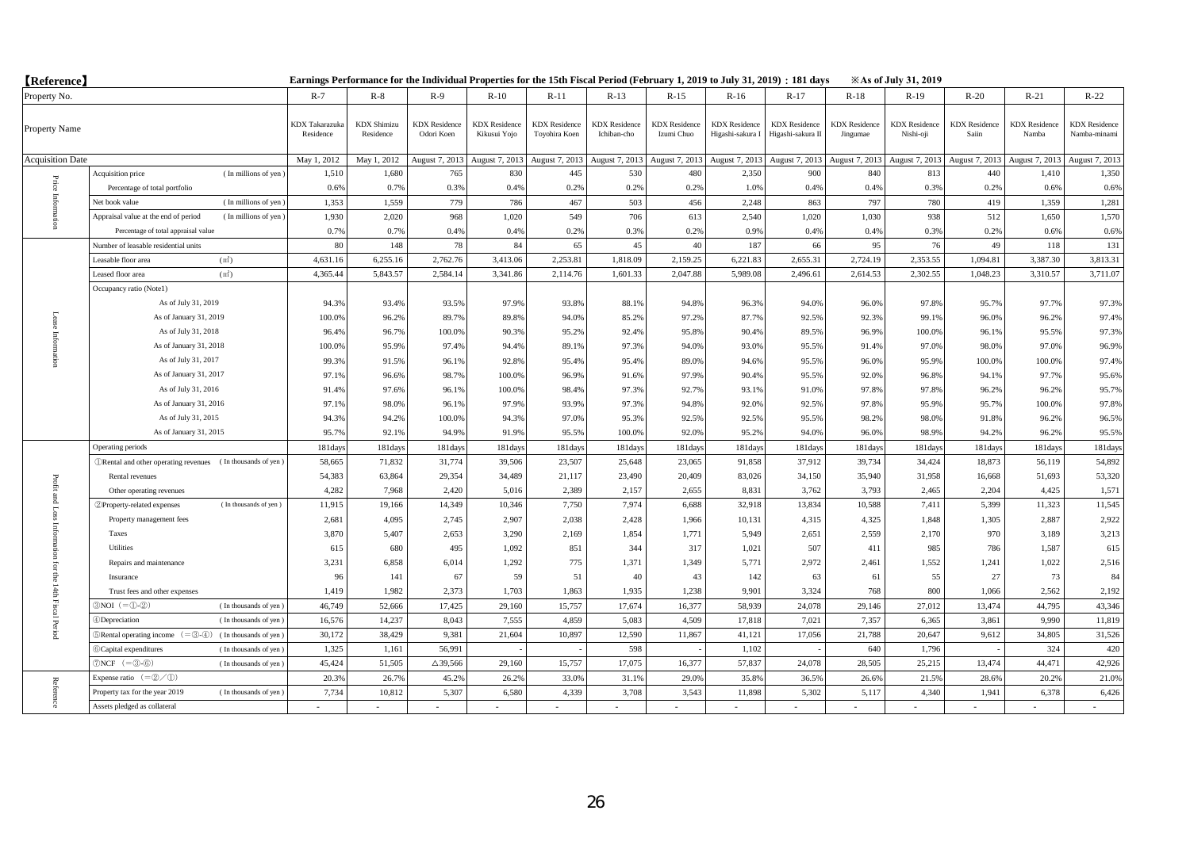| <b>(Reference)</b>      |                                                                                              |                                    |                                 |                                    |                                      |                                       |                                     |                                    |                                          | Earnings Performance for the Individual Properties for the 15th Fiscal Period (February 1, 2019 to July 31, 2019) : 181 days |                                  | <b>Example 31, 2019</b>           |                               |                               |                                      |
|-------------------------|----------------------------------------------------------------------------------------------|------------------------------------|---------------------------------|------------------------------------|--------------------------------------|---------------------------------------|-------------------------------------|------------------------------------|------------------------------------------|------------------------------------------------------------------------------------------------------------------------------|----------------------------------|-----------------------------------|-------------------------------|-------------------------------|--------------------------------------|
| Property No.            |                                                                                              | $R-7$                              | $R-8$                           | $R-9$                              | $R-10$                               | $R-11$                                | $R-13$                              | $R-15$                             | $R-16$                                   | $R-17$                                                                                                                       | $R-18$                           | $R-19$                            | $R-20$                        | $R-21$                        | $R-22$                               |
| Property Name           |                                                                                              | <b>KDX</b> Takarazuka<br>Residence | <b>KDX</b> Shimizu<br>Residence | <b>KDX</b> Residence<br>Odori Koen | <b>KDX</b> Residence<br>Kikusui Yojo | <b>KDX</b> Residence<br>Toyohira Koen | <b>KDX</b> Residence<br>Ichiban-cho | <b>KDX</b> Residence<br>Izumi Chuo | <b>KDX</b> Residence<br>Higashi-sakura I | <b>KDX</b> Residence<br>Higashi-sakura II                                                                                    | <b>KDX</b> Residence<br>Jingumae | <b>KDX</b> Residence<br>Nishi-oji | <b>KDX</b> Residence<br>Saiin | <b>KDX</b> Residence<br>Namba | <b>KDX</b> Residence<br>Namba-minami |
| <b>Acquisition Date</b> |                                                                                              | May 1, 2012                        | May 1, 2012                     | August 7, 2013                     | August 7, 2013                       | August 7, 2013                        | August 7, 2013                      | August 7, 2013                     | August 7, 2013                           | August 7, 2013                                                                                                               | August 7, 2013                   | August 7, 2013                    | August 7, 2013                | August 7, 2013                | August 7, 2013                       |
|                         | Acquisition price<br>(In millions of yen)                                                    | 1,510                              | 1,680                           | 765                                | 830                                  | 445                                   | 530                                 | 480                                | 2,350                                    | 900                                                                                                                          | 840                              | 813                               | 440                           | 1,410                         | 1,350                                |
|                         | Percentage of total portfolio                                                                | 0.6%                               | 0.7%                            | 0.3%                               | 0.4%                                 | 0.2%                                  | 0.2%                                | 0.2%                               | 1.0%                                     | 0.4%                                                                                                                         | 0.4%                             | 0.3%                              | 0.2%                          | 0.6%                          | 0.6%                                 |
| Price Inform            | (In millions of yen)<br>Net book value                                                       | 1,353                              | 1.559                           | 779                                | 786                                  | 467                                   | 503                                 | 456                                | 2.248                                    | 863                                                                                                                          | 797                              | 780                               | 419                           | 1.359                         | 1,281                                |
|                         | Appraisal value at the end of period<br>(In millions of yen)                                 | 1,930                              | 2.020                           | 968                                | 1,020                                | 549                                   | 706                                 | 613                                | 2.540                                    | 1,020                                                                                                                        | 1,030                            | 938                               | 512                           | 1,650                         | 1,570                                |
|                         | Percentage of total appraisal value                                                          | 0.7%                               | 0.7%                            | 0.4%                               | 0.4%                                 | 0.2%                                  | 0.3%                                | 0.2%                               | 0.9%                                     | 0.4%                                                                                                                         | 0.4%                             | 0.3%                              | 0.2%                          | 0.6%                          | 0.6%                                 |
|                         | Number of leasable residential units                                                         | 80                                 | 148                             | 78                                 | 84                                   | 65                                    | 45                                  | 40                                 | 187                                      | 66                                                                                                                           | 95                               | 76                                | 49                            | 118                           | 131                                  |
|                         | (m <sup>2</sup> )<br>Leasable floor area                                                     | 4,631.16                           | 6,255.16                        | 2,762.76                           | 3,413.06                             | 2,253.81                              | 1,818.09                            | 2,159.25                           | 6,221.83                                 | 2,655.31                                                                                                                     | 2,724.19                         | 2,353.55                          | 1,094.81                      | 3,387.30                      | 3,813.31                             |
|                         | Leased floor area<br>(m <sup>2</sup> )                                                       | 4,365.44                           | 5,843.57                        | 2,584.14                           | 3,341.86                             | 2,114.76                              | 1,601.33                            | 2,047.88                           | 5,989.08                                 | 2,496.61                                                                                                                     | 2,614.53                         | 2,302.55                          | 1,048.23                      | 3,310.57                      | 3,711.07                             |
| Lease<br>Information    | Occupancy ratio (Notel)                                                                      |                                    |                                 |                                    |                                      |                                       |                                     |                                    |                                          |                                                                                                                              |                                  |                                   |                               |                               |                                      |
|                         | As of July 31, 2019                                                                          | 94.3%                              | 93.4%                           | 93.5%                              | 97.9%                                | 93.8%                                 | 88.1%                               | 94.8%                              | 96.3%                                    | 94.0%                                                                                                                        | 96.0%                            | 97.8%                             | 95.7%                         | 97.7%                         | 97.3%                                |
|                         | As of January 31, 2019                                                                       | 100.0%                             | 96.2%                           | 89.7%                              | 89.8%                                | 94.0%                                 | 85.2%                               | 97.2%                              | 87.7%                                    | 92.5%                                                                                                                        | 92.3%                            | 99.1%                             | 96.0%                         | 96.2%                         | 97.4%                                |
|                         | As of July 31, 2018                                                                          | 96.4%                              | 96.7%                           | 100.0%                             | 90.3%                                | 95.2%                                 | 92.4%                               | 95.8%                              | 90.4%                                    | 89.5%                                                                                                                        | 96.9%                            | 100.0%                            | 96.1%                         | 95.5%                         | 97.3%                                |
|                         | As of January 31, 2018                                                                       | 100.0%                             | 95.9%                           | 97.4%                              | 94.4%                                | 89.1%                                 | 97.3%                               | 94.0%                              | 93.0%                                    | 95.5%                                                                                                                        | 91.4%                            | 97.0%                             | 98.0%                         | 97.0%                         | 96.9%                                |
|                         | As of July 31, 2017                                                                          | 99.3%                              | 91.5%                           | 96.1%                              | 92.8%                                | 95.4%                                 | 95.4%                               | 89.0%                              | 94.6%                                    | 95.5%                                                                                                                        | 96.0%                            | 95.9%                             | 100.0%                        | 100.0%                        | 97.4%                                |
|                         | As of January 31, 2017                                                                       | 97.1%                              | 96.6%                           | 98.7%                              | 100.0%                               | 96.9%                                 | 91.6%                               | 97.9%                              | 90.4%                                    | 95.5%                                                                                                                        | 92.0%                            | 96.8%                             | 94.1%                         | 97.7%                         | 95.6%                                |
|                         | As of July 31, 2016                                                                          | 91.4%                              | 97.6%                           | 96.1%                              | 100.0%                               | 98.4%                                 | 97.3%                               | 92.7%                              | 93.1%                                    | 91.0%                                                                                                                        | 97.8%                            | 97.8%                             | 96.2%                         | 96.2%                         | 95.7%                                |
|                         | As of January 31, 2016                                                                       | 97.1%                              | 98.0%                           | 96.1%                              | 97.9%                                | 93.9%                                 | 97.3%                               | 94.8%                              | 92.0%                                    | 92.5%                                                                                                                        | 97.8%                            | 95.9%                             | 95.7%                         | 100.0%                        | 97.8%                                |
|                         | As of July 31, 2015                                                                          | 94.3%                              | 94.2%                           | 100.0%                             | 94.3%                                | 97.0%                                 | 95.3%                               | 92.5%                              | 92.5%                                    | 95.5%                                                                                                                        | 98.2%                            | 98.0%                             | 91.8%                         | 96.2%                         | 96.5%                                |
|                         | As of January 31, 2015                                                                       | 95.7%                              | 92.1%                           | 94.9%                              | 91.9%                                | 95.5%                                 | 100.0%                              | 92.0%                              | 95.2%                                    | 94.0%                                                                                                                        | 96.0%                            | 98.9%                             | 94.2%                         | 96.2%                         | 95.5%                                |
|                         | Operating periods                                                                            | 181days                            | 181days                         | 181days                            | 181days                              | 181day                                | 181day                              | 181days                            | 181day                                   | 181days                                                                                                                      | 181days                          | 181days                           | 181days                       | 181days                       | 181days                              |
|                         | <b><i>ORental and other operating revenues</i></b> (In thousands of yen)                     | 58,665                             | 71,832                          | 31,774                             | 39,506                               | 23,507                                | 25,648                              | 23,065                             | 91,858                                   | 37,912                                                                                                                       | 39,734                           | 34,424                            | 18,873                        | 56,119                        | 54,892                               |
| Profit                  | Rental revenues                                                                              | 54,383                             | 63,864                          | 29,354                             | 34,489                               | 21,117                                | 23,490                              | 20,409                             | 83,026                                   | 34,150                                                                                                                       | 35,940                           | 31,958                            | 16,668                        | 51,693                        | 53,320                               |
|                         | Other operating revenues                                                                     | 4,282                              | 7,968                           | 2,420                              | 5,016                                | 2,389                                 | 2,157                               | 2,655                              | 8,831                                    | 3,762                                                                                                                        | 3,793                            | 2,465                             | 2,204                         | 4,425                         | 1,571                                |
| t and Loss              | 2 Property-related expenses<br>(In thousands of yen)                                         | 11,915                             | 19,166                          | 14,349                             | 10,346                               | 7,750                                 | 7,974                               | 6,688                              | 32,918                                   | 13,834                                                                                                                       | 10,588                           | 7,411                             | 5,399                         | 11,323                        | 11,545                               |
|                         | Property management fees                                                                     | 2,681                              | 4,095                           | 2,745                              | 2,907                                | 2,038                                 | 2,428                               | 1,966                              | 10,131                                   | 4,315                                                                                                                        | 4,325                            | 1,848                             | 1,305                         | 2,887                         | 2,922                                |
|                         | Taxes                                                                                        | 3,870                              | 5,407                           | 2,653                              | 3,290                                | 2,169                                 | 1,854                               | 1,771                              | 5,949                                    | 2,651                                                                                                                        | 2,559                            | 2,170                             | 970                           | 3,189                         | 3,213                                |
|                         | Utilities                                                                                    | 615                                | 680                             | 495                                | 1.092                                | 851                                   | 344                                 | 317                                | 1,021                                    | 507                                                                                                                          | 411                              | 985                               | 786                           | 1.587                         | 615                                  |
| ior                     | Repairs and maintenance                                                                      | 3,231                              | 6,858                           | 6,014                              | 1,292                                | 775                                   | 1,371                               | 1,349                              | 5,771                                    | 2,972                                                                                                                        | 2,461                            | 1,552                             | 1,241                         | 1,022                         | 2,516                                |
| ę                       | Insurance                                                                                    | 96                                 | 141                             | 67                                 | 59                                   | 51                                    | 40                                  | 43                                 | 142                                      | 63                                                                                                                           | 61                               | 55                                | 27                            | 73                            | 84                                   |
|                         | Trust fees and other expenses                                                                | 1,419                              | 1,982                           | 2,373                              | 1,703                                | 1,863                                 | 1,935                               | 1,238                              | 9,901                                    | 3,324                                                                                                                        | 768                              | 800                               | 1,066                         | 2,562                         | 2,192                                |
| 14th Fiscal Period      | $3NOI (= 0.2)$<br>(In thousands of yen)                                                      | 46,749                             | 52,666                          | 17,425                             | 29.160                               | 15,757                                | 17.674                              | 16,377                             | 58.939                                   | 24,078                                                                                                                       | 29,146                           | 27,012                            | 13,474                        | 44.795                        | 43,346                               |
|                         | 4)Depreciation<br>(In thousands of yen)                                                      | 16,576                             | 14.237                          | 8.043                              | 7.555                                | 4.859                                 | 5.083                               | 4.509                              | 17,818                                   | 7.021                                                                                                                        | 7.357                            | 6.365                             | 3.861                         | 9,990                         | 11,819                               |
|                         | $\mathbb{R}$ Rental operating income $(=\mathbb{S}\cdot\mathbb{A})$<br>(In thousands of yen) | 30,172                             | 38,429                          | 9,381                              | 21,604                               | 10,897                                | 12,590                              | 11,867                             | 41,121                                   | 17,056                                                                                                                       | 21,788                           | 20,647                            | 9,612                         | 34,805                        | 31,526                               |
|                         | 6 Capital expenditures<br>(In thousands of yen)                                              | 1,325                              | 1,161                           | 56,991                             |                                      |                                       | 598                                 |                                    | 1,102                                    |                                                                                                                              | 640                              | 1,796                             |                               | 324                           | 420                                  |
|                         | $\mathcal{D}NCF$ (= $\mathcal{D}$ - $\mathcal{D}$ )<br>(In thousands of yen)                 | 45,424                             | 51,505                          | $\Delta$ 39,566                    | 29,160                               | 15,757                                | 17,075                              | 16,377                             | 57,837                                   | 24,078                                                                                                                       | 28,505                           | 25,215                            | 13,474                        | 44,471                        | 42,926                               |
|                         | Expense ratio $(=\mathcal{Q}/\mathcal{D})$                                                   | 20.3%                              | 26.7%                           | 45.2%                              | 26.2%                                | 33.0%                                 | 31.19                               | 29.0%                              | 35.89                                    | 36.5%                                                                                                                        | 26.6%                            | 21.5%                             | 28.6%                         | 20.2%                         | 21.0%                                |
| Reference               | Property tax for the year 2019<br>(In thousands of yen)                                      | 7,734                              | 10.812                          | 5.307                              | 6.580                                | 4.339                                 | 3.708                               | 3.543                              | 11.898                                   | 5.302                                                                                                                        | 5,117                            | 4.340                             | 1.941                         | 6.378                         | 6,426                                |
|                         | Assets pledged as collateral                                                                 |                                    |                                 |                                    |                                      |                                       |                                     |                                    |                                          |                                                                                                                              |                                  |                                   |                               |                               |                                      |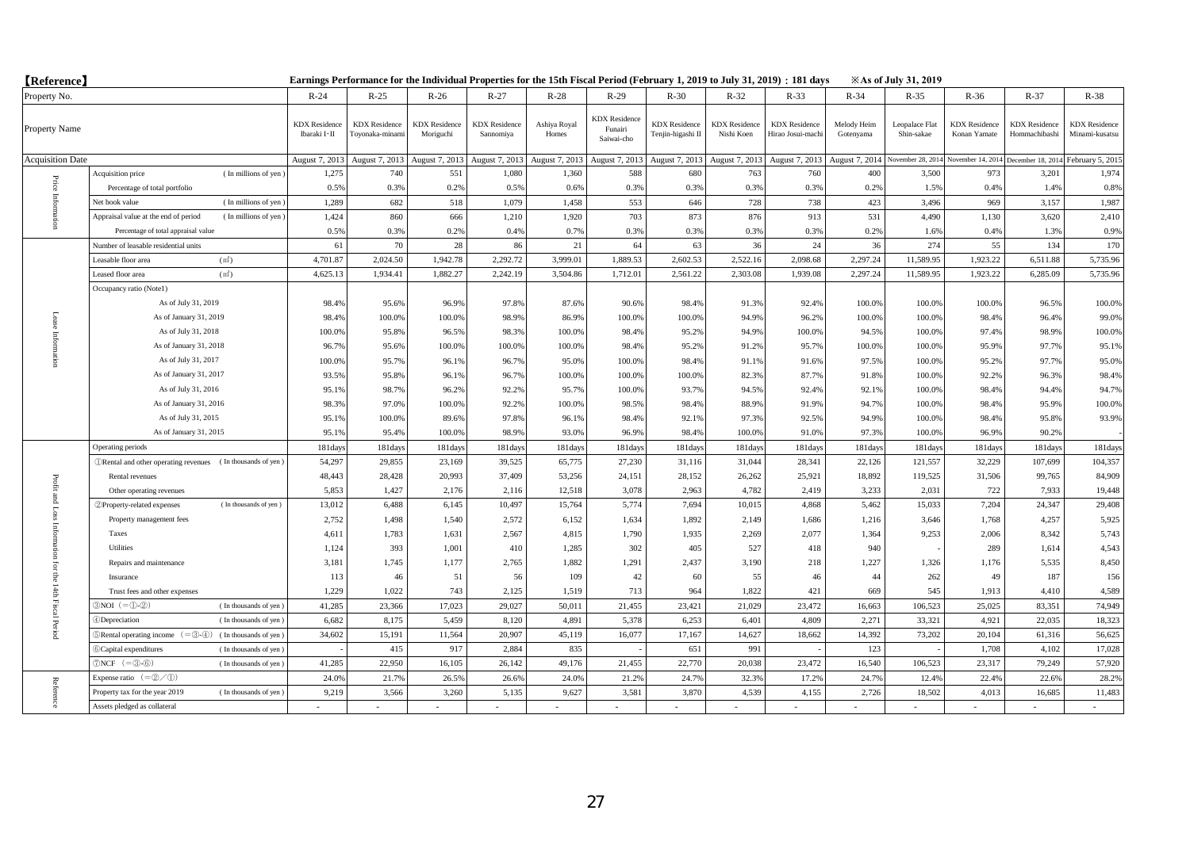| <b>(Reference)</b>      |                                                                                              |                                        | Earnings Performance for the Individual Properties for the 15th Fiscal Period (February 1, 2019 to July 31, 2019) : 181 days |                                   |                                   |                       |                                               |                                           |                                    |                                          |                          | <b>Example 31, 2019</b>      |                                      |                                       |                                        |
|-------------------------|----------------------------------------------------------------------------------------------|----------------------------------------|------------------------------------------------------------------------------------------------------------------------------|-----------------------------------|-----------------------------------|-----------------------|-----------------------------------------------|-------------------------------------------|------------------------------------|------------------------------------------|--------------------------|------------------------------|--------------------------------------|---------------------------------------|----------------------------------------|
| Property No.            |                                                                                              | $R-24$                                 | $R-25$                                                                                                                       | $R-26$                            | $R-27$                            | $R-28$                | $R-29$                                        | $R-30$                                    | $R-32$                             | $R-33$                                   | $R-34$                   | $R-35$                       | $R-36$                               | $R-37$                                | $R-38$                                 |
| Property Name           |                                                                                              | <b>KDX</b> Residence<br>Ibaraki I · II | <b>KDX</b> Residence<br>Toyonaka-minami                                                                                      | <b>KDX</b> Residence<br>Moriguchi | <b>KDX</b> Residence<br>Sannomiya | Ashiya Royal<br>Homes | <b>KDX</b> Residence<br>Funairi<br>Saiwai-cho | <b>KDX</b> Residence<br>Tenjin-higashi Il | <b>KDX</b> Residence<br>Nishi Koen | <b>KDX</b> Residence<br>Hirao Josui-mach | Melody Heim<br>Gotenyama | Leopalace Flat<br>Shin-sakae | <b>KDX</b> Residence<br>Konan Yamate | <b>KDX</b> Residence<br>Hommachibashi | <b>KDX</b> Residence<br>Minami-kusatsu |
| <b>Acquisition Date</b> |                                                                                              | August 7, 2013                         | August 7, 2013                                                                                                               | August 7, 2013                    | August 7, 2013                    | August 7, 2013        | August 7, 2013                                | August 7, 2013                            | August 7, 2013                     | August 7, 2013                           | August 7, 2014           | November 28, 201             | November 14, 201                     | December 18, 201                      | February 5, 201:                       |
|                         | Acquisition price<br>(In millions of yen)                                                    | 1,275                                  | 740                                                                                                                          | 551                               | 1,080                             | 1,360                 | 588                                           | 680                                       | 763                                | 760                                      | 400                      | 3,500                        | 973                                  | 3,201                                 | 1,974                                  |
|                         | Percentage of total portfolio                                                                | 0.5%                                   | 0.3%                                                                                                                         | 0.2%                              | 0.5%                              | 0.6%                  | 0.3%                                          | 0.3%                                      | 0.3%                               | 0.3%                                     | 0.2%                     | 1.5%                         | 0.4%                                 | 1.4%                                  | 0.8%                                   |
| Price Inform            | (In millions of yen)<br>Net book value                                                       | 1,289                                  | 682                                                                                                                          | 518                               | 1,079                             | 1,458                 | 553                                           | 646                                       | 728                                | 738                                      | 423                      | 3,496                        | 969                                  | 3,157                                 | 1,987                                  |
|                         | Appraisal value at the end of period<br>(In millions of yen)                                 | 1,424                                  | 860                                                                                                                          | 666                               | 1,210                             | 1,920                 | 703                                           | 873                                       | 876                                | 913                                      | 531                      | 4,490                        | 1,130                                | 3,620                                 | 2,410                                  |
|                         | Percentage of total appraisal value                                                          | 0.5%                                   | 0.3%                                                                                                                         | 0.2%                              | 0.4%                              | 0.7%                  | 0.3%                                          | 0.3%                                      | 0.3%                               | 0.3%                                     | 0.2%                     | 1.6%                         | 0.4%                                 | 1.3%                                  | 0.9%                                   |
|                         | Number of leasable residential units                                                         | 61                                     | 70                                                                                                                           | 28                                | 86                                | 21                    | 64                                            | 63                                        | 36                                 | 24                                       | 36                       | 274                          | 55                                   | 134                                   | 170                                    |
|                         | (m <sup>2</sup> )<br>Leasable floor area                                                     | 4,701.87                               | 2,024.50                                                                                                                     | 1,942.78                          | 2,292.72                          | 3,999.01              | 1,889.53                                      | 2,602.53                                  | 2,522.16                           | 2,098.68                                 | 2,297.24                 | 11,589.95                    | 1,923.22                             | 6,511.88                              | 5,735.96                               |
|                         | Leased floor area<br>(m <sup>2</sup> )                                                       | 4,625.13                               | 1,934.41                                                                                                                     | 1,882.27                          | 2,242.19                          | 3,504.86              | 1,712.01                                      | 2,561.22                                  | 2,303.08                           | 1,939.08                                 | 2,297.24                 | 11,589.95                    | 1,923.22                             | 6,285.09                              | 5,735.96                               |
|                         | Occupancy ratio (Notel)                                                                      |                                        |                                                                                                                              |                                   |                                   |                       |                                               |                                           |                                    |                                          |                          |                              |                                      |                                       |                                        |
|                         | As of July 31, 2019                                                                          | 98.4%                                  | 95.6%                                                                                                                        | 96.9%                             | 97.8%                             | 87.6%                 | 90.6%                                         | 98.4%                                     | 91.3%                              | 92.4%                                    | 100.0%                   | 100.0%                       | 100.0%                               | 96.5%                                 | 100.0%                                 |
| Lease                   | As of January 31, 2019                                                                       | 98.4%                                  | 100.0%                                                                                                                       | 100.0%                            | 98.9%                             | 86.9%                 | 100.0%                                        | 100.0%                                    | 94.9%                              | 96.2%                                    | 100.0%                   | 100.0%                       | 98.4%                                | 96.4%                                 | 99.0%                                  |
| Information             | As of July 31, 2018                                                                          | 100.0%                                 | 95.8%                                                                                                                        | 96.5%                             | 98.3%                             | 100.0%                | 98.4%                                         | 95.2%                                     | 94.9%                              | 100.0%                                   | 94.5%                    | 100.0%                       | 97.4%                                | 98.9%                                 | 100.0%                                 |
|                         | As of January 31, 2018                                                                       | 96.7%                                  | 95.6%                                                                                                                        | 100.0%                            | 100.0%                            | 100.0%                | 98.4%                                         | 95.2%                                     | 91.2%                              | 95.7%                                    | 100.0%                   | 100.0%                       | 95.9%                                | 97.7%                                 | 95.1%                                  |
|                         | As of July 31, 2017                                                                          | 100.0%                                 | 95.7%                                                                                                                        | 96.1%                             | 96.7%                             | 95.0%                 | 100.0%                                        | 98.4%                                     | 91.1%                              | 91.6%                                    | 97.5%                    | 100.0%                       | 95.2%                                | 97.7%                                 | 95.0%                                  |
|                         | As of January 31, 2017                                                                       | 93.5%                                  | 95.8%                                                                                                                        | 96.1%                             | 96.7%                             | 100.0%                | 100.0%                                        | 100.0%                                    | 82.3%                              | 87.7%                                    | 91.8%                    | 100.0%                       | 92.2%                                | 96.3%                                 | 98.4%                                  |
|                         | As of July 31, 2016                                                                          | 95.1%                                  | 98.7%                                                                                                                        | 96.2%                             | 92.2%                             | 95.7%                 | 100.0%                                        | 93.7%                                     | 94.5%                              | 92.4%                                    | 92.1%                    | 100.0%                       | 98.4%                                | 94.4%                                 | 94.7%                                  |
|                         | As of January 31, 2016                                                                       | 98.3%                                  | 97.0%                                                                                                                        | 100.0%                            | 92.2%                             | 100.0%                | 98.5%                                         | 98.4%                                     | 88.9%                              | 91.9%                                    | 94.7%                    | 100.0%                       | 98.4%                                | 95.9%                                 | 100.0%                                 |
|                         | As of July 31, 2015                                                                          | 95.1%                                  | 100.0%                                                                                                                       | 89.6%                             | 97.8%                             | 96.1%                 | 98.4%                                         | 92.1%                                     | 97.3%                              | 92.5%                                    | 94.9%                    | 100.0%                       | 98.4%                                | 95.8%                                 | 93.9%                                  |
|                         | As of January 31, 2015                                                                       | 95.1%                                  | 95.4%                                                                                                                        | 100.0%                            | 98.9%                             | 93.0%                 | 96.9%                                         | 98.4%                                     | 100.0%                             | 91.0%                                    | 97.3%                    | 100.0%                       | 96.9%                                | 90.2%                                 |                                        |
|                         | Operating periods                                                                            | 181days                                | 181days                                                                                                                      | 181days                           | 181days                           | 181day                | 181day                                        | 181days                                   | 181day                             | 181days                                  | 181days                  | 181days                      | 181days                              | 181days                               | 181days                                |
|                         | <b><i>ORental and other operating revenues</i></b> (In thousands of yen)                     | 54,297                                 | 29,855                                                                                                                       | 23,169                            | 39,525                            | 65,775                | 27,230                                        | 31,116                                    | 31,044                             | 28,341                                   | 22,126                   | 121,557                      | 32,229                               | 107,699                               | 104,357                                |
| Profit                  | Rental revenues                                                                              | 48,443                                 | 28,428                                                                                                                       | 20,993                            | 37,409                            | 53,256                | 24,151                                        | 28,152                                    | 26,262                             | 25,921                                   | 18,892                   | 119,525                      | 31,506                               | 99,765                                | 84,909                                 |
|                         | Other operating revenues                                                                     | 5,853                                  | 1,427                                                                                                                        | 2,176                             | 2,116                             | 12,518                | 3,078                                         | 2,963                                     | 4,782                              | 2,419                                    | 3,233                    | 2,031                        | 722                                  | 7,933                                 | 19,448                                 |
| and Loss                | (In thousands of yen)<br>2 Property-related expenses                                         | 13,012                                 | 6,488                                                                                                                        | 6,145                             | 10,497                            | 15,764                | 5,774                                         | 7,694                                     | 10,015                             | 4,868                                    | 5,462                    | 15,033                       | 7,204                                | 24,347                                | 29,408                                 |
|                         | Property management fees                                                                     | 2,752                                  | 1,498                                                                                                                        | 1,540                             | 2,572                             | 6,152                 | 1,634                                         | 1,892                                     | 2,149                              | 1,686                                    | 1,216                    | 3,646                        | 1,768                                | 4,257                                 | 5,925                                  |
|                         | Taxes                                                                                        | 4,611                                  | 1,783                                                                                                                        | 1,631                             | 2,567                             | 4,815                 | 1,790                                         | 1,935                                     | 2,269                              | 2,077                                    | 1,364                    | 9,253                        | 2,006                                | 8,342                                 | 5,743                                  |
|                         | Utilities                                                                                    | 1,124                                  | 393                                                                                                                          | 1,001                             | 410                               | 1.285                 | 302                                           | 405                                       | 527                                | 418                                      | 940                      |                              | 289                                  | 1,614                                 | 4,543                                  |
| ior                     | Repairs and maintenance                                                                      | 3,181                                  | 1,745                                                                                                                        | 1,177                             | 2,765                             | 1,882                 | 1,291                                         | 2,437                                     | 3,190                              | 218                                      | 1,227                    | 1,326                        | 1,176                                | 5,535                                 | 8,450                                  |
| ę                       | Insurance                                                                                    | 113                                    | 46                                                                                                                           | 51                                | 56                                | 109                   | 42                                            | 60                                        | 55                                 | 46                                       | 44                       | 262                          | 49                                   | 187                                   | 156                                    |
|                         | Trust fees and other expenses                                                                | 1,229                                  | 1,022                                                                                                                        | 743                               | 2,125                             | 1,519                 | 713                                           | 964                                       | 1,822                              | 421                                      | 669                      | 545                          | 1,913                                | 4,410                                 | 4,589                                  |
| 14th Fiscal Period      | $3NOI (= 0.2)$<br>(In thousands of yen)                                                      | 41,285                                 | 23,366                                                                                                                       | 17,023                            | 29,027                            | 50,011                | 21,455                                        | 23,421                                    | 21.029                             | 23,472                                   | 16,663                   | 106,523                      | 25.025                               | 83.351                                | 74,949                                 |
|                         | 4)Depreciation<br>(In thousands of yen)                                                      | 6,682                                  | 8,175                                                                                                                        | 5.459                             | 8.120                             | 4.891                 | 5.378                                         | 6.253                                     | 6.401                              | 4.809                                    | 2.271                    | 33.321                       | 4.921                                | 22,035                                | 18,323                                 |
|                         | $\mathbb{R}$ Rental operating income $(=\mathbb{S}\cdot\mathbb{A})$<br>(In thousands of yen) | 34,602                                 | 15,191                                                                                                                       | 11,564                            | 20,907                            | 45,119                | 16,077                                        | 17,167                                    | 14,627                             | 18,662                                   | 14,392                   | 73,202                       | 20,104                               | 61,316                                | 56,625                                 |
|                         | 6 Capital expenditures<br>(In thousands of yen)                                              |                                        | 415                                                                                                                          | 917                               | 2,884                             | 835                   |                                               | 651                                       | 991                                |                                          | 123                      |                              | 1,708                                | 4,102                                 | 17,028                                 |
|                         | $\mathcal{D}NCF$ (= $\mathcal{D}$ - $\mathcal{D}$ )<br>(In thousands of yen)                 | 41,285                                 | 22,950                                                                                                                       | 16,105                            | 26,142                            | 49,176                | 21,455                                        | 22,770                                    | 20,038                             | 23,472                                   | 16,540                   | 106,523                      | 23,317                               | 79,249                                | 57,920                                 |
|                         | Expense ratio $(=\mathcal{Q}/\mathcal{D})$                                                   | 24.0%                                  | 21.7%                                                                                                                        | 26.5%                             | 26.69                             | 24.0%                 | 21.29                                         | 24.79                                     | 32.39                              | 17.2%                                    | 24.7%                    | 12.4%                        | 22.4%                                | 22.6%                                 | 28.2%                                  |
| Reference               | Property tax for the year 2019<br>(In thousands of yen)                                      | 9.219                                  | 3.566                                                                                                                        | 3.260                             | 5,135                             | 9,627                 | 3.581                                         | 3,870                                     | 4.539                              | 4,155                                    | 2.726                    | 18.502                       | 4,013                                | 16,685                                | 11,483                                 |
|                         | Assets pledged as collateral                                                                 |                                        |                                                                                                                              |                                   |                                   |                       |                                               |                                           |                                    |                                          |                          |                              |                                      |                                       |                                        |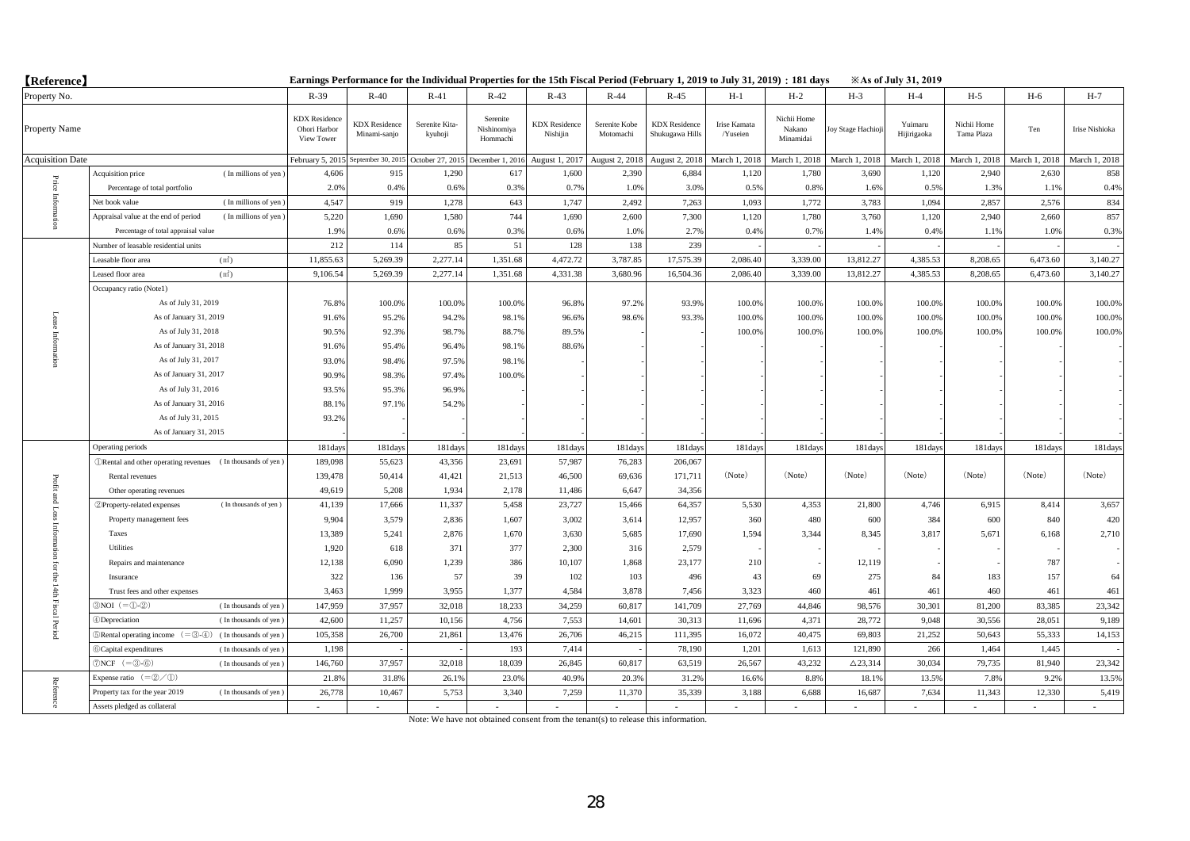| <b>【Reference】</b>      |                                                                                                |                                                    | Earnings Performance for the Individual Properties for the 15th Fiscal Period (February 1, 2019 to July 31, 2019) : 181 days |                                    |                                     |                                  |                            |                                         |                          |                                    |                    | <b>Example 31, 2019</b> |                           |               |                |
|-------------------------|------------------------------------------------------------------------------------------------|----------------------------------------------------|------------------------------------------------------------------------------------------------------------------------------|------------------------------------|-------------------------------------|----------------------------------|----------------------------|-----------------------------------------|--------------------------|------------------------------------|--------------------|-------------------------|---------------------------|---------------|----------------|
| Property No.            |                                                                                                | $R-39$                                             | $R-40$                                                                                                                       | $R-41$                             | $R-42$                              | $R-43$                           | $R-44$                     | $R-45$                                  | $H-1$                    | $H-2$                              | $H-3$              | $H-4$                   | $H-5$                     | H-6           | $H-7$          |
| Property Name           |                                                                                                | <b>KDX</b> Residence<br>Ohori Harbor<br>View Tower | <b>KDX</b> Residence<br>Minami-sanjo                                                                                         | Serenite Kita-<br>kyuhoji          | Serenite<br>Nishinomiya<br>Hommachi | <b>KDX</b> Residence<br>Nishijin | Serenite Kobe<br>Motomachi | <b>KDX</b> Residence<br>Shukugawa Hills | Irise Kamata<br>/Yuseien | Nichii Home<br>Nakano<br>Minamidai | Toy Stage Hachioji | Yuimaru<br>Hijirigaoka  | Nichii Home<br>Tama Plaza | Ten           | Irise Nishioka |
| <b>Acquisition Date</b> |                                                                                                | February 5, 2015                                   |                                                                                                                              | eptember 30, 2015 October 27, 2015 | December 1, 2016                    | August 1, 2017                   | August 2, 2018             | August 2, 2018                          | March 1, 2018            | March 1, 2018                      | March 1, 2018      | March 1, 2018           | March 1, 2018             | March 1, 2018 | March 1, 2018  |
|                         | (In millions of yen)<br>Acquisition price                                                      | 4,606                                              | 915                                                                                                                          | 1,290                              | 617                                 | 1,600                            | 2,390                      | 6,884                                   | 1,120                    | 1,780                              | 3,690              | 1,120                   | 2,940                     | 2,630         | 858            |
| Price                   | Percentage of total portfolio                                                                  | 2.0%                                               | 0.4%                                                                                                                         | 0.6%                               | 0.3%                                | 0.7%                             | 1.0%                       | 3.0%                                    | 0.5%                     | 0.8%                               | 1.6%               | 0.5%                    | 1.3%                      | 1.1%          | 0.4%           |
| e Intorni               | (In millions of yen)<br>Vet book value                                                         | 4,547                                              | 919                                                                                                                          | 1,278                              | 643                                 | 1,747                            | 2,492                      | 7,263                                   | 1,093                    | 1,772                              | 3,783              | 1,094                   | 2,857                     | 2,576         | 834            |
|                         | Appraisal value at the end of period<br>(In millions of yen)                                   | 5,220                                              | 1,690                                                                                                                        | 1,580                              | 744                                 | 1,690                            | 2,600                      | 7,300                                   | 1,120                    | 1,780                              | 3,760              | 1,120                   | 2,940                     | 2,660         | 857            |
|                         | Percentage of total appraisal value                                                            | 1.9%                                               | 0.6%                                                                                                                         | 0.6%                               | 0.3%                                | 0.6%                             | 1.0%                       | 2.7%                                    | 0.4%                     | 0.7%                               | 1.4%               | 0.4%                    | 1.1%                      | 1.0%          | 0.3%           |
|                         | Number of leasable residential units                                                           | 212                                                | 114                                                                                                                          | 85                                 | 51                                  | 128                              | 138                        | 239                                     |                          |                                    |                    |                         |                           |               |                |
|                         | (m <sup>2</sup> )<br>Leasable floor area                                                       | 11,855.63                                          | 5,269.39                                                                                                                     | 2,277.14                           | 1,351.68                            | 4,472.72                         | 3,787.85                   | 17,575.39                               | 2,086.40                 | 3,339.00                           | 13,812.27          | 4,385.53                | 8,208.65                  | 6,473.60      | 3,140.27       |
|                         | Leased floor area<br>(m <sup>2</sup> )                                                         | 9,106.54                                           | 5,269.39                                                                                                                     | 2,277.14                           | 1,351.68                            | 4,331.38                         | 3,680.96                   | 16,504.36                               | 2,086.40                 | 3,339.00                           | 13,812.27          | 4,385.53                | 8,208.65                  | 6,473.60      | 3,140.27       |
| Intorn                  | Occupancy ratio (Notel)                                                                        |                                                    |                                                                                                                              |                                    |                                     |                                  |                            |                                         |                          |                                    |                    |                         |                           |               |                |
|                         | As of July 31, 2019                                                                            | 76.8%                                              | 100.0%                                                                                                                       | 100.0%                             | 100.0%                              | 96.8%                            | 97.2%                      | 93.9%                                   | 100.0%                   | 100.0%                             | 100.0%             | 100.0%                  | 100.0%                    | 100.0%        | 100.0%         |
|                         | As of January 31, 2019                                                                         | 91.6%                                              | 95.2%                                                                                                                        | 94.2%                              | 98.1%                               | 96.6%                            | 98.6%                      | 93.3%                                   | 100.0%                   | 100.0%                             | 100.0%             | 100.0%                  | 100.0%                    | 100.0%        | 100.0%         |
|                         | As of July 31, 2018                                                                            | 90.5%                                              | 92.3%                                                                                                                        | 98.7%                              | 88.7%                               | 89.5%                            |                            |                                         | 100.0%                   | 100.0%                             | 100.0%             | 100.0%                  | 100.0%                    | 100.0%        | 100.0%         |
|                         | As of January 31, 2018                                                                         | 91.6%                                              | 95.4%                                                                                                                        | 96.4%                              | 98.1%                               | 88.6%                            |                            |                                         |                          |                                    |                    |                         |                           |               |                |
|                         | As of July 31, 2017                                                                            | 93.0%                                              | 98.4%                                                                                                                        | 97.5%                              | 98.1%                               |                                  |                            |                                         |                          |                                    |                    |                         |                           |               |                |
|                         | As of January 31, 2017                                                                         | 90.9%                                              | 98.3%                                                                                                                        | 97.4%                              | 100.0%                              |                                  |                            |                                         |                          |                                    |                    |                         |                           |               |                |
|                         | As of July 31, 2016                                                                            | 93.5%                                              | 95.3%                                                                                                                        | 96.9%                              |                                     |                                  |                            |                                         |                          |                                    |                    |                         |                           |               |                |
|                         | As of January 31, 2016                                                                         | 88.1%                                              | 97.1%                                                                                                                        | 54.2%                              |                                     |                                  |                            |                                         |                          |                                    |                    |                         |                           |               |                |
|                         | As of July 31, 2015                                                                            | 93.2%                                              |                                                                                                                              |                                    |                                     |                                  |                            |                                         |                          |                                    |                    |                         |                           |               |                |
|                         | As of January 31, 2015                                                                         |                                                    |                                                                                                                              |                                    |                                     |                                  |                            |                                         |                          |                                    |                    |                         |                           |               |                |
|                         | Operating periods                                                                              | 181days                                            | 181days                                                                                                                      | 181days                            | 181days                             | 181days                          | 181days                    | 181day                                  | 181day                   | 181day                             | 181days            | 181days                 | 181day                    | 181days       | 181days        |
|                         | <b><i>ORental and other operating revenues</i></b> (In thousands of yen)                       | 189,098                                            | 55,623                                                                                                                       | 43,356                             | 23,691                              | 57,987                           | 76,283                     | 206,067                                 |                          |                                    |                    |                         |                           |               |                |
| Profit                  | Rental revenues                                                                                | 139,478                                            | 50,414                                                                                                                       | 41,421                             | 21,513                              | 46,500                           | 69,636                     | 171,711                                 | (Note)                   | (Note)                             | (Note)             | (Note)                  | (Note)                    | (Note)        | (Note)         |
|                         | Other operating revenues                                                                       | 49,619                                             | 5,208                                                                                                                        | 1,934                              | 2,178                               | 11,486                           | 6,647                      | 34,356                                  |                          |                                    |                    |                         |                           |               |                |
| and Loss                | (In thousands of yen)<br>2 Property-related expenses                                           | 41,139                                             | 17,666                                                                                                                       | 11,337                             | 5,458                               | 23,727                           | 15,466                     | 64,357                                  | 5,530                    | 4,353                              | 21,800             | 4,746                   | 6,915                     | 8,414         | 3,657          |
|                         | Property management fees                                                                       | 9,904                                              | 3,579                                                                                                                        | 2,836                              | 1,607                               | 3,002                            | 3,614                      | 12,957                                  | 360                      | 480                                | 600                | 384                     | 600                       | 840           | 420            |
| Intorn                  | Taxes                                                                                          | 13,389                                             | 5,241                                                                                                                        | 2,876                              | 1,670                               | 3,630                            | 5,685                      | 17,690                                  | 1,594                    | 3,344                              | 8,345              | 3,817                   | 5,671                     | 6,168         | 2,710          |
| Ē                       | Utilities                                                                                      | 1,920                                              | 618                                                                                                                          | 371                                | 377                                 | 2,300                            | 316                        | 2,579                                   |                          |                                    |                    |                         |                           |               |                |
| $\overline{q}$          | Repairs and maintenance                                                                        | 12,138                                             | 6,090                                                                                                                        | 1,239                              | 386                                 | 10,107                           | 1,868                      | 23,177                                  | 210                      |                                    | 12,119             |                         |                           | 787           |                |
| $\frac{m}{6}$           | Insurance                                                                                      | 322                                                | 136                                                                                                                          | 57                                 | 39                                  | 102                              | 103                        | 496                                     | 43                       | 69                                 | 275                | 84                      | 183                       | 157           | 64             |
|                         | Trust fees and other expenses                                                                  | 3,463                                              | 1,999                                                                                                                        | 3,955                              | 1,377                               | 4,584                            | 3,878                      | 7,456                                   | 3,323                    | 460                                | 461                | 461                     | 460                       | 461           | 461            |
| 14th Fiscal Period      | $3NOI (= 0.2)$<br>(In thousands of yen)                                                        | 147,959                                            | 37,957                                                                                                                       | 32,018                             | 18,233                              | 34,259                           | 60,817                     | 141,709                                 | 27,769                   | 44,846                             | 98,576             | 30,301                  | 81,200                    | 83,385        | 23,342         |
|                         | <b>Depreciation</b><br>(In thousands of yen)                                                   | 42,600                                             | 11,257                                                                                                                       | 10,156                             | 4,756                               | 7,553                            | 14,601                     | 30,313                                  | 11,696                   | 4,371                              | 28,772             | 9,048                   | 30,556                    | 28,051        | 9,189          |
|                         | $\mathbb{R}$ Rental operating income $(=\mathbb{R} \cdot \mathbb{R})$<br>(In thousands of yen) | 105,358                                            | 26,700                                                                                                                       | 21,861                             | 13,476                              | 26,706                           | 46,215                     | 111,395                                 | 16,072                   | 40,475                             | 69,803             | 21,252                  | 50,643                    | 55,333        | 14,153         |
|                         | 6)Capital expenditures<br>(In thousands of yen)                                                | 1,198                                              |                                                                                                                              |                                    | 193                                 | 7,414                            |                            | 78,190                                  | 1,201                    | 1,613                              | 121,890            | 266                     | 1,464                     | 1,445         |                |
|                         | $\mathcal{D}NCF$ (= $\mathcal{D}$ - $\mathcal{D}$ )<br>(In thousands of yen)                   | 146,760                                            | 37,957                                                                                                                       | 32,018                             | 18,039                              | 26,845                           | 60,817                     | 63,519                                  | 26,567                   | 43,232                             | $\triangle$ 23,314 | 30,034                  | 79,735                    | 81,940        | 23,342         |
|                         | Expense ratio $(=\circled{2}/\circled{1})$                                                     | 21.8%                                              | 31.8%                                                                                                                        | 26.1%                              | 23.0%                               | 40.9%                            | 20.3%                      | 31.29                                   | 16.69                    | 8.8%                               | 18.19              | 13.5%                   | 7.8%                      | 9.2%          | 13.5%          |
| Reference               | Property tax for the year 2019<br>(In thousands of yen)                                        | 26,778                                             | 10,467                                                                                                                       | 5,753                              | 3,340                               | 7,259                            | 11,370                     | 35,339                                  | 3,188                    | 6,688                              | 16,687             | 7,634                   | 11,343                    | 12.330        | 5,419          |
|                         | Assets pledged as collateral                                                                   |                                                    |                                                                                                                              |                                    |                                     |                                  |                            |                                         |                          |                                    |                    |                         |                           |               |                |

Note: We have not obtained consent from the tenant(s) to release this information.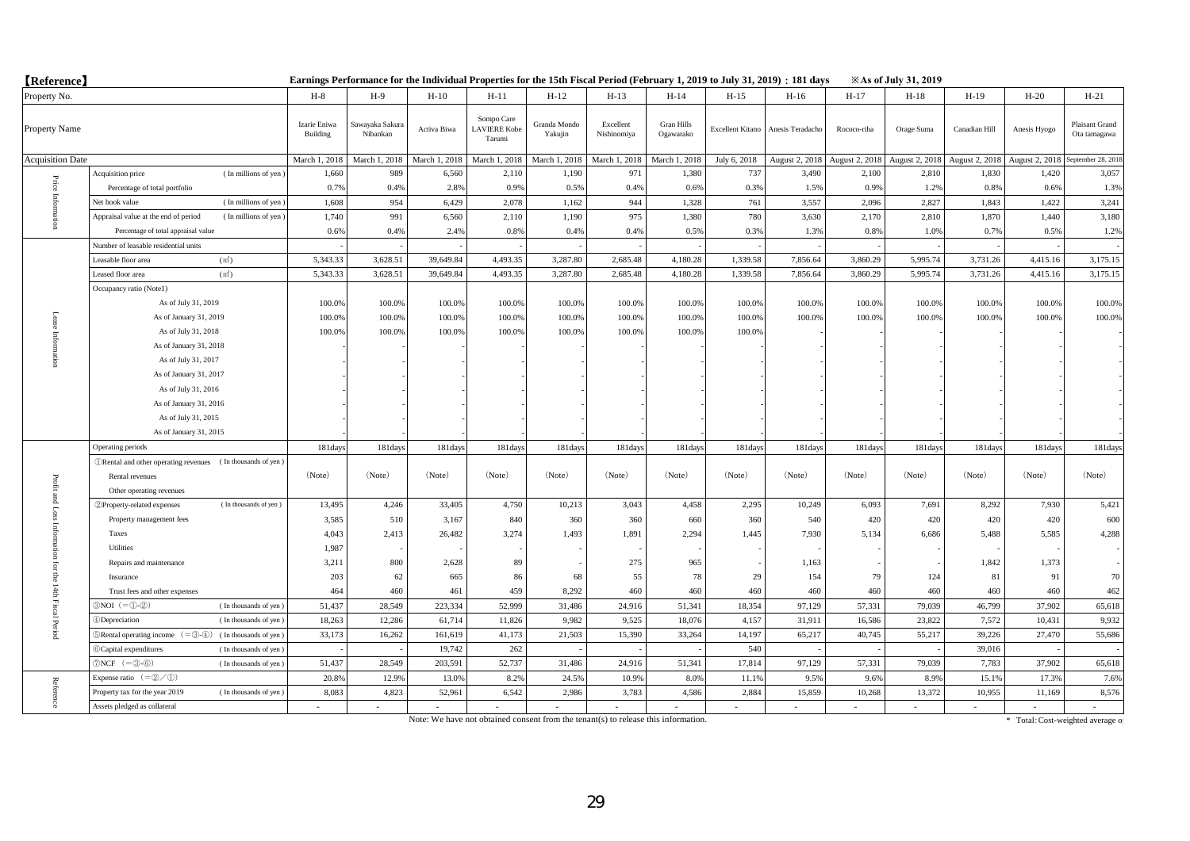| <b>[Reference]</b>      |                                                                              |                          |                             |               |                                             |                         |                          |                                | Earnings Performance for the Individual Properties for the 15th Fiscal Period (February 1, 2019 to July 31, 2019) : 181 days |                                   |                | <b>Example 31, 2019</b> |                |                |                                |
|-------------------------|------------------------------------------------------------------------------|--------------------------|-----------------------------|---------------|---------------------------------------------|-------------------------|--------------------------|--------------------------------|------------------------------------------------------------------------------------------------------------------------------|-----------------------------------|----------------|-------------------------|----------------|----------------|--------------------------------|
| Property No.            |                                                                              | $H-8$                    | $H-9$                       | $H-10$        | $H-11$                                      | $H-12$                  | $H-13$                   | $H-14$                         | $H-15$                                                                                                                       | $H-16$                            | $H-17$         | $H-18$                  | $H-19$         | $H-20$         | $H-21$                         |
| Property Name           |                                                                              | Izarie Eniwa<br>Building | Sawayaka Sakura<br>Nibankan | Activa Biwa   | Sompo Care<br><b>LAVIERE</b> Kobe<br>Tarumi | Granda Mondo<br>Yakujin | Excellent<br>Nishinomiya | <b>Gran Hills</b><br>Ogawarako |                                                                                                                              | Excellent Kitano Anesis Teradacho | Rococo-riha    | Orage Suma              | Canadian Hill  | Anesis Hyogo   | Plaisant Grand<br>Ota tamagawa |
| <b>Acquisition Date</b> |                                                                              | March 1, 2018            | March 1, 2018               | March 1, 2018 | March 1, 2018                               | March 1, 2018           | March 1, 2018            | March 1, 2018                  | July 6, 2018                                                                                                                 | August 2, 2018                    | August 2, 2018 | August 2, 2018          | August 2, 2018 | August 2, 2018 | September 28, 2018             |
|                         | (In millions of yen)<br>Acquisition price                                    | 1,660                    | 989                         | 6,560         | 2,110                                       | 1,190                   | 971                      | 1,380                          | 737                                                                                                                          | 3,490                             | 2,100          | 2,810                   | 1,830          | 1,420          | 3,057                          |
| Price                   | Percentage of total portfolio                                                | 0.7%                     | 0.4%                        | 2.8%          | 0.9%                                        | 0.5%                    | 0.4%                     | 0.6%                           | 0.3%                                                                                                                         | 1.5%                              | 0.9%           | 1.2%                    | 0.8%           | 0.6%           | 1.3%                           |
| Info                    | Net book value<br>(In millions of yen)                                       | 1,608                    | 954                         | 6,429         | 2,078                                       | 1,162                   | 944                      | 1,328                          | 761                                                                                                                          | 3,557                             | 2,096          | 2,827                   | 1,843          | 1,422          | 3,241                          |
|                         | Appraisal value at the end of period<br>(In millions of yen)                 | 1,740                    | 991                         | 6,560         | 2,110                                       | 1,190                   | 975                      | 1.380                          | 780                                                                                                                          | 3.630                             | 2,170          | 2,810                   | 1,870          | 1,440          | 3,180                          |
|                         | Percentage of total appraisal value                                          | 0.6%                     | 0.4%                        | 2.4%          | 0.8%                                        | 0.4%                    | 0.4%                     | 0.5%                           | 0.3%                                                                                                                         | 1.3%                              | 0.8%           | 1.0%                    | 0.7%           | 0.5%           | 1.2%                           |
|                         | Number of leasable residential units                                         |                          |                             |               |                                             |                         |                          |                                |                                                                                                                              |                                   |                |                         |                |                |                                |
|                         | (m <sup>2</sup> )<br>Leasable floor area                                     | 5,343.33                 | 3,628.51                    | 39,649.84     | 4,493.35                                    | 3,287.80                | 2,685.48                 | 4,180.28                       | 1,339.58                                                                                                                     | 7,856.64                          | 3,860.29       | 5,995.74                | 3,731.26       | 4,415.16       | 3,175.15                       |
|                         | Leased floor area<br>(m <sup>2</sup> )                                       | 5,343.33                 | 3,628.51                    | 39,649.84     | 4,493.35                                    | 3,287.80                | 2,685.48                 | 4,180.28                       | 1,339.58                                                                                                                     | 7,856.64                          | 3,860.29       | 5,995.74                | 3,731.26       | 4,415.16       | 3,175.15                       |
|                         | Occupancy ratio (Note1)                                                      |                          |                             |               |                                             |                         |                          |                                |                                                                                                                              |                                   |                |                         |                |                |                                |
|                         | As of July 31, 2019                                                          | 100.0%                   | 100.0%                      | 100.0%        | 100.0%                                      | 100.0%                  | 100.0%                   | 100.0%                         | 100.0%                                                                                                                       | 100.0%                            | 100.0%         | 100.0%                  | 100.0%         | 100.0%         | 100.0%                         |
| Lease                   | As of January 31, 2019                                                       | 100.0%                   | 100.0%                      | 100.0%        | 100.0%                                      | 100.0%                  | 100.0%                   | 100.0%                         | 100.0%                                                                                                                       | 100.0%                            | 100.0%         | 100.0%                  | 100.0%         | 100.0%         | 100.0%                         |
|                         | As of July 31, 2018                                                          | 100.0%                   | 100.0%                      | 100.0%        | 100.0%                                      | 100.0%                  | 100.0%                   | 100.0%                         | 100.0%                                                                                                                       |                                   |                |                         |                |                |                                |
| Information             | As of January 31, 2018                                                       |                          |                             |               |                                             |                         |                          |                                |                                                                                                                              |                                   |                |                         |                |                |                                |
|                         | As of July 31, 2017                                                          |                          |                             |               |                                             |                         |                          |                                |                                                                                                                              |                                   |                |                         |                |                |                                |
|                         | As of January 31, 2017                                                       |                          |                             |               |                                             |                         |                          |                                |                                                                                                                              |                                   |                |                         |                |                |                                |
|                         | As of July 31, 2016                                                          |                          |                             |               |                                             |                         |                          |                                |                                                                                                                              |                                   |                |                         |                |                |                                |
|                         | As of January 31, 2016                                                       |                          |                             |               |                                             |                         |                          |                                |                                                                                                                              |                                   |                |                         |                |                |                                |
|                         | As of July 31, 2015                                                          |                          |                             |               |                                             |                         |                          |                                |                                                                                                                              |                                   |                |                         |                |                |                                |
|                         | As of January 31, 2015                                                       |                          |                             |               |                                             |                         |                          |                                |                                                                                                                              |                                   |                |                         |                |                |                                |
|                         | Operating periods                                                            | 181days                  | 181days                     | 181days       | 181days                                     | 181day                  | 181day                   | 181day                         | 181days                                                                                                                      | 181days                           | 181days        | 181days                 | 181days        | 181days        | 181days                        |
|                         | (DRental and other operating revenues (In thousands of yen)                  |                          |                             |               |                                             |                         |                          |                                |                                                                                                                              |                                   |                |                         |                |                |                                |
| Profit                  | Rental revenues                                                              | (Note)                   | (Note)                      | (Note)        | (Note)                                      | (Note)                  | (Note)                   | (Note)                         | (Note)                                                                                                                       | (Note)                            | (Note)         | (Note)                  | (Note)         | (Note)         | (Note)                         |
|                         | Other operating revenues                                                     |                          |                             |               |                                             |                         |                          |                                |                                                                                                                              |                                   |                |                         |                |                |                                |
|                         | 2 Property-related expenses<br>(In thousands of yen)                         | 13,495                   | 4,246                       | 33,405        | 4,750                                       | 10,213                  | 3,043                    | 4,458                          | 2,295                                                                                                                        | 10,249                            | 6,093          | 7,691                   | 8,292          | 7,930          | 5,421                          |
|                         | Property management fees                                                     | 3,585                    | 510                         | 3,167         | 840                                         | 360                     | 360                      | 660                            | 360                                                                                                                          | 540                               | 420            | 420                     | 420            | 420            | 600                            |
|                         | Taxes                                                                        | 4,043                    | 2,413                       | 26,482        | 3,274                                       | 1,493                   | 1,891                    | 2,294                          | 1,445                                                                                                                        | 7,930                             | 5,134          | 6,686                   | 5,488          | 5,585          | 4,288                          |
|                         | Utilities                                                                    | 1,987                    |                             |               |                                             |                         |                          |                                |                                                                                                                              |                                   |                |                         |                |                |                                |
| for                     | Repairs and maintenance                                                      | 3,211                    | 800                         | 2,628         | 89                                          |                         | 275                      | 965                            |                                                                                                                              | 1,163                             |                |                         | 1,842          | 1,373          |                                |
| Ë                       | Insurance                                                                    | 203                      | 62                          | 665           | 86                                          | 68                      | 55                       | 78                             | 29                                                                                                                           | 154                               | 79             | 124                     | 81             | 91             | 70                             |
|                         | Trust fees and other expenses                                                | 464                      | 460                         | 461           | 459                                         | 8.292                   | 460                      | 460                            | 460                                                                                                                          | 460                               | 460            | 460                     | 460            | 460            | 462                            |
| 14th Fiscal Period      | $\mathbb{S}$ NOI $(=\mathbb{O}\text{-}\mathbb{Q})$<br>(In thousands of yen)  | 51,437                   | 28,549                      | 223,334       | 52,999                                      | 31,486                  | 24,916                   | 51,341                         | 18,354                                                                                                                       | 97,129                            | 57,331         | 79,039                  | 46,799         | 37,902         | 65,618                         |
|                         | (In thousands of yen)<br>4)Depreciation                                      | 18,263                   | 12,286                      | 61,714        | 11,826                                      | 9,982                   | 9,525                    | 18,076                         | 4,157                                                                                                                        | 31,911                            | 16,586         | 23,822                  | 7,572          | 10,431         | 9,932                          |
|                         | $\mathbb{R}$ Rental operating income $(=\mathbb{S}-4)$ (In thousands of yen) | 33,173                   | 16,262                      | 161,619       | 41,173                                      | 21,503                  | 15,390                   | 33,264                         | 14,197                                                                                                                       | 65,217                            | 40,745         | 55,217                  | 39,226         | 27,470         | 55,686                         |
|                         | <b>6</b> Capital expenditures<br>(In thousands of yen)                       |                          |                             | 19,742        | 262                                         |                         |                          |                                | 540                                                                                                                          |                                   |                |                         | 39,016         |                |                                |
|                         | $\mathcal{D}NCF$ (= $\mathcal{D}$ - $\mathcal{D}$ )<br>(In thousands of yen) | 51,437                   | 28,549                      | 203,591       | 52,737                                      | 31,486                  | 24,916                   | 51,341                         | 17,814                                                                                                                       | 97,129                            | 57,331         | 79,039                  | 7,783          | 37,902         | 65,618                         |
|                         | Expense ratio $(=\mathcal{Q}/\mathcal{D})$                                   | 20.8%                    | 12.9%                       | 13.0%         | 8.2%                                        | 24.5%                   | 10.9%                    | 8.0%                           | 11.19                                                                                                                        | 9.5%                              | 9.6%           | 8.9%                    | 15.1%          | 17.3%          | 7.6%                           |
| Referer<br>R            | Property tax for the year 2019<br>(In thousands of yen)                      | 8,083                    | 4,823                       | 52,961        | 6,542                                       | 2,986                   | 3,783                    | 4,586                          | 2,884                                                                                                                        | 15,859                            | 10,268         | 13,372                  | 10,955         | 11,169         | 8,576                          |
|                         | Assets pledged as collateral                                                 |                          |                             |               |                                             |                         |                          |                                |                                                                                                                              |                                   |                |                         |                |                |                                |

Note: We have not obtained consent from the tenant(s) to release this information. \* Total:Cost-weighted average operation and the tenant of the tenant of the tenant of the tenant of the tenant (s) to release this informat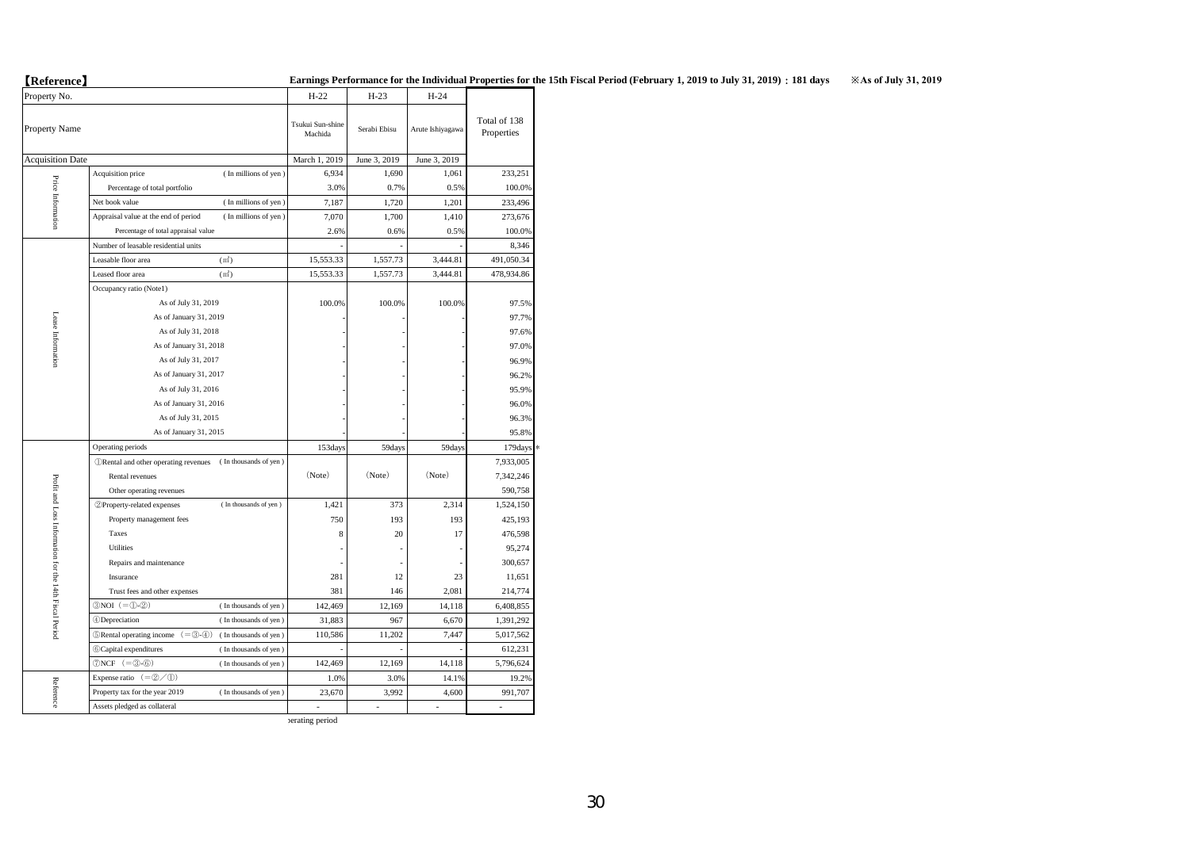【**Reference**】

| (                                                      |                                                                                                                                    | <b>Darmings &amp; Criorm</b> |              |                  |                            |
|--------------------------------------------------------|------------------------------------------------------------------------------------------------------------------------------------|------------------------------|--------------|------------------|----------------------------|
| Property No.                                           |                                                                                                                                    | $H-22$                       | $H-23$       | $H-24$           |                            |
| Property Name                                          |                                                                                                                                    | Tsukui Sun-shine<br>Machida  | Serabi Ebisu | Arute Ishiyagawa | Total of 138<br>Properties |
| <b>Acquisition Date</b>                                |                                                                                                                                    | March 1, 2019                | June 3, 2019 | June 3, 2019     |                            |
|                                                        | Acquisition price<br>(In millions of yen)                                                                                          | 6,934                        | 1,690        | 1,061            | 233,251                    |
|                                                        | Percentage of total portfolio                                                                                                      | 3.0%                         | 0.7%         | 0.5%             | 100.0%                     |
| Price Information                                      | (In millions of yen)<br>Net book value                                                                                             | 7,187                        | 1,720        | 1,201            | 233,496                    |
|                                                        | Appraisal value at the end of period<br>(In millions of yen)                                                                       | 7,070                        | 1,700        | 1,410            | 273,676                    |
|                                                        | Percentage of total appraisal value                                                                                                | 2.6%                         | 0.6%         | 0.5%             | 100.0%                     |
|                                                        | Number of leasable residential units                                                                                               |                              |              |                  | 8,346                      |
|                                                        | (m <sup>2</sup> )<br>Leasable floor area                                                                                           | 15,553.33                    | 1,557.73     | 3,444.81         | 491,050.34                 |
|                                                        | Leased floor area<br>(m <sup>2</sup> )                                                                                             | 15,553.33                    | 1,557.73     | 3,444.81         | 478,934.86                 |
|                                                        | Occupancy ratio (Note1)                                                                                                            |                              |              |                  |                            |
|                                                        | As of July 31, 2019                                                                                                                | 100.0%                       | 100.0%       | 100.0%           | 97.5%                      |
|                                                        | As of January 31, 2019                                                                                                             |                              |              |                  | 97.7%                      |
|                                                        | As of July 31, 2018                                                                                                                |                              |              |                  | 97.6%                      |
|                                                        | As of January 31, 2018                                                                                                             |                              |              |                  | 97.0%                      |
| Lease Information                                      | As of July 31, 2017                                                                                                                |                              |              |                  | 96.9%                      |
|                                                        | As of January 31, 2017                                                                                                             |                              |              |                  | 96.2%                      |
|                                                        | As of July 31, 2016                                                                                                                |                              |              |                  | 95.9%                      |
|                                                        | As of January 31, 2016                                                                                                             |                              |              |                  | 96.0%                      |
|                                                        | As of July 31, 2015                                                                                                                |                              |              |                  | 96.3%                      |
|                                                        | As of January 31, 2015                                                                                                             |                              |              |                  | 95.8%                      |
|                                                        | Operating periods                                                                                                                  | 153days                      | 59days       | 59days           | 179days                    |
|                                                        | <b>ORental</b> and other operating revenues<br>(In thousands of yen)                                                               |                              |              |                  | 7,933,005                  |
|                                                        | Rental revenues                                                                                                                    | (Note)                       | (Note)       | (Note)           | 7,342,246                  |
|                                                        | Other operating revenues                                                                                                           |                              |              |                  | 590,758                    |
| Profit and Loss Information for the 14th Fiscal Period | 2 Property-related expenses<br>(In thousands of yen)                                                                               | 1,421                        | 373          | 2,314            | 1,524,150                  |
|                                                        | Property management fees                                                                                                           | 750                          | 193          | 193              | 425,193                    |
|                                                        | Taxes                                                                                                                              | 8                            | 20           | 17               | 476,598                    |
|                                                        | Utilities                                                                                                                          |                              |              |                  | 95,274                     |
|                                                        | Repairs and maintenance                                                                                                            |                              |              |                  | 300,657                    |
|                                                        | Insurance                                                                                                                          | 281                          | 12           | 23               | 11,651                     |
|                                                        | Trust fees and other expenses                                                                                                      | 381                          | 146          | 2,081            | 214,774                    |
|                                                        | $\textcircled{\scriptsize{3NOI}}$ (= $\textcircled{\scriptsize{1-O}}$ - $\textcircled{\scriptsize{2)}}$ )<br>(In thousands of yen) | 142,469                      | 12,169       | 14,118           | 6,408,855                  |
|                                                        | 4)Depreciation<br>(In thousands of yen)                                                                                            | 31,883                       | 967          | 6,670            | 1,391,292                  |
|                                                        | $\mathcal{B}$ Rental operating income $(=\mathcal{B} - \mathcal{A})$<br>(In thousands of yen)                                      | 110,586                      | 11,202       | 7,447            | 5,017,562                  |
|                                                        | <b>6</b> Capital expenditures<br>(In thousands of yen)                                                                             |                              |              |                  | 612,231                    |
|                                                        | $\mathcal{D}NCF (= 3-6)$<br>(In thousands of yen)                                                                                  | 142,469                      | 12,169       | 14,118           | 5,796,624                  |
|                                                        | Expense ratio $(=\circledS/\mathbb{Q})$                                                                                            | 1.0%                         | 3.0%         | 14.1%            | 19.2%                      |
| Reference                                              | Property tax for the year 2019<br>(In thousands of yen)                                                                            | 23,670                       | 3,992        | 4,600            | 991,707                    |
|                                                        | Assets pledged as collateral                                                                                                       | Ĭ.                           | ×,           |                  | ä,                         |

\* Total:Cost-weighted average operating period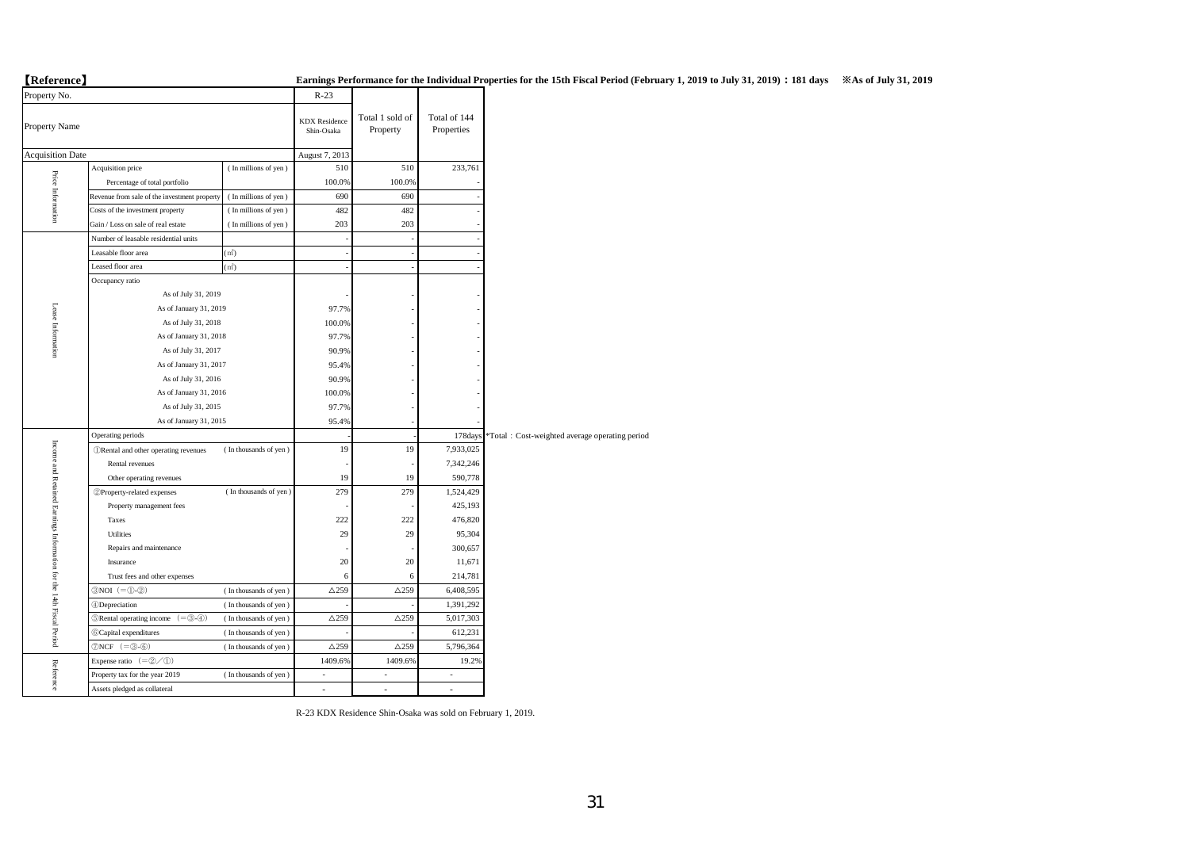# 【**Reference**】 **Earnings Performance for the Individual Properties for the 15th Fiscal Period (February 1, 2019 to July 31, 2019):181 days ※As of July 31, 2019**

| Property No.                                                        |                                                            |                       |                                    |                             |                            |                                                |
|---------------------------------------------------------------------|------------------------------------------------------------|-----------------------|------------------------------------|-----------------------------|----------------------------|------------------------------------------------|
| Property Name                                                       |                                                            |                       | <b>KDX</b> Residence<br>Shin-Osaka | Total 1 sold of<br>Property | Total of 144<br>Properties |                                                |
| <b>Acquisition Date</b>                                             |                                                            |                       | August 7, 2013                     |                             |                            |                                                |
|                                                                     | Acquisition price                                          | (In millions of yen)  | 510                                | 510                         | 233,761                    |                                                |
|                                                                     | Percentage of total portfolio                              |                       | 100.0%                             | 100.0%                      |                            |                                                |
| Price Information                                                   | Revenue from sale of the investment property               | (In millions of yen)  | 690                                | 690                         |                            |                                                |
|                                                                     | Costs of the investment property                           | (In millions of yen)  | 482                                | 482                         |                            |                                                |
|                                                                     | Gain / Loss on sale of real estate                         | (In millions of yen)  | 203                                | 203                         |                            |                                                |
|                                                                     | Number of leasable residential units                       |                       |                                    |                             |                            |                                                |
|                                                                     | Leasable floor area                                        | (m <sup>2</sup> )     | J.                                 |                             |                            |                                                |
|                                                                     | Leased floor area                                          | (m <sup>2</sup> )     |                                    |                             |                            |                                                |
|                                                                     | Occupancy ratio                                            |                       |                                    |                             |                            |                                                |
|                                                                     | As of July 31, 2019                                        |                       |                                    |                             |                            |                                                |
|                                                                     | As of January 31, 2019                                     |                       | 97.7%                              |                             |                            |                                                |
| Lease Information                                                   | As of July 31, 2018                                        |                       | 100.0%                             |                             |                            |                                                |
|                                                                     | As of January 31, 2018                                     |                       | 97.7%                              |                             |                            |                                                |
|                                                                     | As of July 31, 2017                                        | 90.9%                 |                                    |                             |                            |                                                |
|                                                                     | As of January 31, 2017                                     |                       | 95.4%                              |                             |                            |                                                |
|                                                                     | As of July 31, 2016                                        | 90.9%                 |                                    |                             |                            |                                                |
|                                                                     | As of January 31, 2016                                     | 100.0%                |                                    |                             |                            |                                                |
|                                                                     | As of July 31, 2015                                        | 97.7%                 |                                    |                             |                            |                                                |
|                                                                     | As of January 31, 2015                                     | 95.4%                 |                                    |                             |                            |                                                |
|                                                                     | Operating periods                                          |                       |                                    |                             | 178days                    | *Total: Cost-weighted average operating period |
|                                                                     | <b>ORental</b> and other operating revenues                | (In thousands of yen) | 19                                 | 19                          | 7,933,025                  |                                                |
|                                                                     | Rental revenues                                            |                       |                                    |                             | 7,342,246                  |                                                |
|                                                                     | Other operating revenues                                   |                       | 19                                 | 19                          | 590,778                    |                                                |
| Income and Retained Earnings Information for the 14th Fiscal Period | 2 Property-related expenses                                | (In thousands of yen) | 279                                | 279                         | 1,524,429                  |                                                |
|                                                                     | Property management fees                                   |                       |                                    |                             | 425,193                    |                                                |
|                                                                     | Taxes                                                      |                       | 222                                | 222                         | 476,820                    |                                                |
|                                                                     | Utilities                                                  |                       | 29                                 | 29                          | 95,304                     |                                                |
|                                                                     | Repairs and maintenance                                    |                       |                                    |                             | 300,657                    |                                                |
|                                                                     | Insurance                                                  |                       | 20                                 | 20                          | 11,671                     |                                                |
|                                                                     | Trust fees and other expenses                              |                       | 6                                  | 6                           | 214,781                    |                                                |
|                                                                     | $\mathcal{D}NOI$ (= $\mathbb{O}(\mathbb{C})$ )             | (In thousands of yen) | $\triangle$ 259                    | $\triangle$ 259             | 6,408,595                  |                                                |
|                                                                     | <b>4</b> Depreciation                                      | (In thousands of yen) |                                    |                             | 1,391,292                  |                                                |
|                                                                     | $(=\circled3\circled3)$<br><b>SRental operating income</b> | (In thousands of yen) | $\triangle$ 259                    | $\triangle$ 259             | 5,017,303                  |                                                |
|                                                                     | <b><i><u>Capital</u></i></b> expenditures                  | (In thousands of yen) |                                    |                             | 612,231                    |                                                |
|                                                                     | $\mathcal{D}NCF$ (= $\mathcal{B}$ - $\mathcal{B})$         | (In thousands of yen) | $\triangle$ 259                    | $\triangle$ 259             | 5,796,364                  |                                                |
|                                                                     | Expense ratio $(=\circled{2}/\circled{1})$                 |                       | 1409.6%                            | 1409.6%                     | 19.2%                      |                                                |
| Reference                                                           | Property tax for the year 2019                             | (In thousands of yen) | $\overline{a}$                     | $\sim$                      | $\sim$                     |                                                |
|                                                                     | Assets pledged as collateral                               |                       | L.                                 | ÷,                          | ÷,                         |                                                |
|                                                                     |                                                            |                       |                                    |                             |                            |                                                |

R-23 KDX Residence Shin-Osaka was sold on February 1, 2019.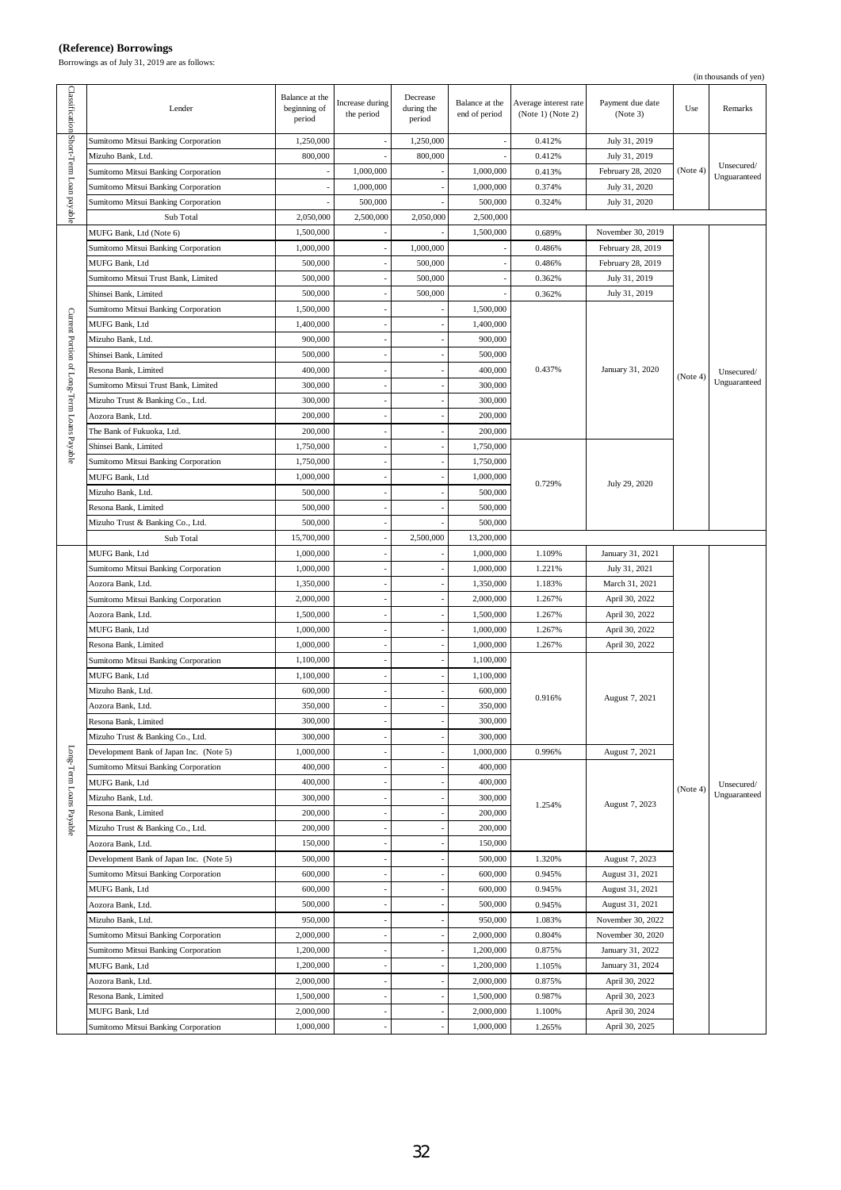## **(Reference) Borrowings**

Borrowings as of July 31, 2019 are as follows:

|                                            |                                                                                |                                          |                               |                                  |                                 |                                            |                              |          | (in thousands of yen)      |
|--------------------------------------------|--------------------------------------------------------------------------------|------------------------------------------|-------------------------------|----------------------------------|---------------------------------|--------------------------------------------|------------------------------|----------|----------------------------|
| Classification Short-Term Loan payable     | Lender                                                                         | Balance at the<br>beginning of<br>period | Increase during<br>the period | Decrease<br>during the<br>period | Balance at the<br>end of period | Average interest rate<br>(Note 1) (Note 2) | Payment due date<br>(Note 3) | Use      | Remarks                    |
|                                            | <b>Sumitomo Mitsui Banking Corporation</b>                                     | 1,250,000                                | ÷,                            | 1,250,000                        | ÷,                              | 0.412%                                     | July 31, 2019                |          |                            |
|                                            | Mizuho Bank, Ltd.                                                              | 800,000                                  |                               | 800,000                          |                                 | 0.412%                                     | July 31, 2019                |          |                            |
|                                            | Sumitomo Mitsui Banking Corporation                                            |                                          | 1,000,000                     |                                  | 1,000,000                       | 0.413%                                     | February 28, 2020            | (Note 4) | Unsecured/<br>Unguaranteed |
|                                            | Sumitomo Mitsui Banking Corporation                                            |                                          | 1,000,000                     |                                  | 1,000,000                       | 0.374%                                     | July 31, 2020                |          |                            |
|                                            | Sumitomo Mitsui Banking Corporation                                            |                                          | 500,000                       |                                  | 500,000                         | 0.324%                                     | July 31, 2020                |          |                            |
|                                            | Sub Total                                                                      | 2,050,000                                | 2,500,000                     | 2,050,000                        | 2,500,000                       |                                            |                              |          |                            |
|                                            | MUFG Bank, Ltd (Note 6)                                                        | 1,500,000                                |                               |                                  | 1,500,000                       | 0.689%                                     | November 30, 2019            |          |                            |
|                                            | Sumitomo Mitsui Banking Corporation                                            | 1,000,000                                |                               | 1,000,000                        |                                 | 0.486%                                     | February 28, 2019            |          |                            |
|                                            | MUFG Bank, Ltd                                                                 | 500,000                                  |                               | 500,000                          |                                 | 0.486%                                     | February 28, 2019            |          |                            |
|                                            | Sumitomo Mitsui Trust Bank, Limited                                            | 500,000                                  |                               | 500,000                          |                                 | 0.362%                                     | July 31, 2019                |          |                            |
|                                            | Shinsei Bank, Limited                                                          | 500,000                                  |                               | 500,000                          |                                 | 0.362%                                     | July 31, 2019                |          |                            |
|                                            | Sumitomo Mitsui Banking Corporation                                            | 1,500,000                                |                               |                                  | 1,500,000                       |                                            |                              |          |                            |
| Current Portion of Long-Term Loans Payable | MUFG Bank, Ltd                                                                 | 1,400,000                                |                               |                                  | 1,400,000                       |                                            |                              |          |                            |
|                                            | Mizuho Bank, Ltd.                                                              | 900,000                                  |                               |                                  | 900,000                         |                                            |                              |          |                            |
|                                            | Shinsei Bank, Limited                                                          | 500,000                                  |                               |                                  | 500,000                         |                                            |                              |          |                            |
|                                            | Resona Bank, Limited                                                           | 400,000                                  |                               |                                  | 400,000                         | 0.437%                                     | January 31, 2020             | (Note 4) | Unsecured/                 |
|                                            | Sumitomo Mitsui Trust Bank, Limited                                            | 300,000                                  |                               |                                  | 300,000                         |                                            |                              |          | Unguaranteed               |
|                                            | Mizuho Trust & Banking Co., Ltd.                                               | 300,000                                  |                               |                                  | 300,000                         |                                            |                              |          |                            |
|                                            | Aozora Bank, Ltd.                                                              | 200,000                                  |                               |                                  | 200,000                         |                                            |                              |          |                            |
|                                            | The Bank of Fukuoka, Ltd.                                                      | 200,000                                  |                               |                                  | 200,000                         |                                            |                              |          |                            |
|                                            | Shinsei Bank, Limited                                                          | 1,750,000                                |                               |                                  | 1,750,000                       |                                            |                              |          |                            |
|                                            | Sumitomo Mitsui Banking Corporation                                            | 1,750,000                                |                               |                                  | 1,750,000                       |                                            |                              |          |                            |
|                                            | MUFG Bank, Ltd                                                                 | 1,000,000                                |                               |                                  | 1,000,000                       | 0.729%                                     | July 29, 2020                |          |                            |
|                                            | Mizuho Bank, Ltd.                                                              | 500,000                                  |                               |                                  | 500,000                         |                                            |                              |          |                            |
|                                            | Resona Bank, Limited                                                           | 500,000                                  |                               |                                  | 500,000                         |                                            |                              |          |                            |
|                                            | Mizuho Trust & Banking Co., Ltd.                                               | 500,000                                  |                               |                                  | 500,000                         |                                            |                              |          |                            |
|                                            | Sub Total                                                                      | 15,700,000                               |                               | 2,500,000                        | 13,200,000                      |                                            |                              |          |                            |
|                                            | MUFG Bank, Ltd                                                                 | 1,000,000                                |                               |                                  | 1,000,000                       | 1.109%                                     | January 31, 2021             |          |                            |
|                                            | Sumitomo Mitsui Banking Corporation                                            | 1,000,000                                |                               |                                  | 1,000,000                       | 1.221%                                     | July 31, 2021                |          |                            |
|                                            | Aozora Bank, Ltd.                                                              | 1,350,000                                |                               |                                  | 1,350,000                       | 1.183%                                     | March 31, 2021               |          |                            |
|                                            | <b>Sumitomo Mitsui Banking Corporation</b>                                     | 2,000,000                                |                               | $\overline{\phantom{a}}$         | 2,000,000                       | 1.267%                                     | April 30, 2022               |          |                            |
|                                            | Aozora Bank, Ltd.                                                              | 1,500,000                                |                               |                                  | 1,500,000                       | 1.267%                                     | April 30, 2022               |          |                            |
|                                            | MUFG Bank, Ltd                                                                 | 1,000,000                                |                               |                                  | 1,000,000                       | 1.267%                                     | April 30, 2022               |          |                            |
|                                            | Resona Bank, Limited                                                           | 1,000,000                                |                               |                                  | 1,000,000                       | 1.267%                                     | April 30, 2022               |          |                            |
|                                            | Sumitomo Mitsui Banking Corporation                                            | 1,100,000                                |                               |                                  | 1,100,000                       |                                            |                              |          |                            |
|                                            | MUFG Bank, Ltd                                                                 | 1,100,000                                |                               |                                  | 1,100,000                       |                                            |                              |          |                            |
|                                            | Mizuho Bank, Ltd.                                                              | 600,000                                  |                               |                                  | 600,000                         | 0.916%                                     | August 7, 2021               |          |                            |
|                                            | Aozora Bank, Ltd.                                                              | 350,000                                  |                               |                                  | 350,000                         |                                            |                              |          |                            |
|                                            | Resona Bank, Limited                                                           | 300,000                                  |                               |                                  | 300,000                         |                                            |                              |          |                            |
|                                            | Mizuho Trust & Banking Co., Ltd.                                               | 300,000                                  |                               |                                  | 300,000                         |                                            | August 7, 2021               |          |                            |
| Long-Term Loans Payable                    | Development Bank of Japan Inc. (Note 5)<br>Sumitomo Mitsui Banking Corporation | 1,000,000<br>400,000                     |                               | $\overline{\phantom{a}}$         | 1,000,000<br>400,000            | 0.996%                                     |                              |          |                            |
|                                            | MUFG Bank, Ltd                                                                 | 400,000                                  |                               |                                  | 400,000                         |                                            |                              |          |                            |
|                                            | Mizuho Bank, Ltd.                                                              | 300,000                                  |                               |                                  | 300,000                         |                                            |                              | (Note 4) | Unsecured/<br>Unguaranteed |
|                                            | Resona Bank, Limited                                                           | 200,000                                  |                               |                                  | 200,000                         | 1.254%                                     | August 7, 2023               |          |                            |
|                                            | Mizuho Trust & Banking Co., Ltd.                                               | 200,000                                  |                               |                                  | 200,000                         |                                            |                              |          |                            |
|                                            | Aozora Bank, Ltd.                                                              | 150,000                                  |                               |                                  | 150,000                         |                                            |                              |          |                            |
|                                            | Development Bank of Japan Inc. (Note 5)                                        | 500,000                                  |                               |                                  | 500,000                         | 1.320%                                     | August 7, 2023               |          |                            |
|                                            | Sumitomo Mitsui Banking Corporation                                            | 600,000                                  |                               |                                  | 600,000                         | 0.945%                                     | August 31, 2021              |          |                            |
|                                            | MUFG Bank, Ltd                                                                 | 600,000                                  |                               |                                  | 600,000                         | 0.945%                                     | August 31, 2021              |          |                            |
|                                            | Aozora Bank, Ltd.                                                              | 500,000                                  |                               | $\overline{\phantom{a}}$         | 500,000                         | 0.945%                                     | August 31, 2021              |          |                            |
|                                            | Mizuho Bank, Ltd.                                                              | 950,000                                  |                               |                                  | 950,000                         | 1.083%                                     | November 30, 2022            |          |                            |
|                                            | Sumitomo Mitsui Banking Corporation                                            | 2,000,000                                |                               |                                  | 2,000,000                       | 0.804%                                     | November 30, 2020            |          |                            |
|                                            | Sumitomo Mitsui Banking Corporation                                            | 1,200,000                                |                               |                                  | 1,200,000                       | 0.875%                                     | January 31, 2022             |          |                            |
|                                            | MUFG Bank, Ltd                                                                 | 1,200,000                                |                               |                                  | 1,200,000                       | 1.105%                                     | January 31, 2024             |          |                            |
|                                            | Aozora Bank, Ltd.                                                              | 2,000,000                                |                               |                                  | 2,000,000                       | 0.875%                                     | April 30, 2022               |          |                            |
|                                            | Resona Bank, Limited                                                           | 1,500,000                                |                               |                                  | 1,500,000                       | 0.987%                                     | April 30, 2023               |          |                            |
|                                            | MUFG Bank, Ltd                                                                 | 2,000,000                                |                               |                                  | 2,000,000                       | 1.100%                                     | April 30, 2024               |          |                            |
|                                            | Sumitomo Mitsui Banking Corporation                                            | 1,000,000                                |                               |                                  | 1,000,000                       | 1.265%                                     | April 30, 2025               |          |                            |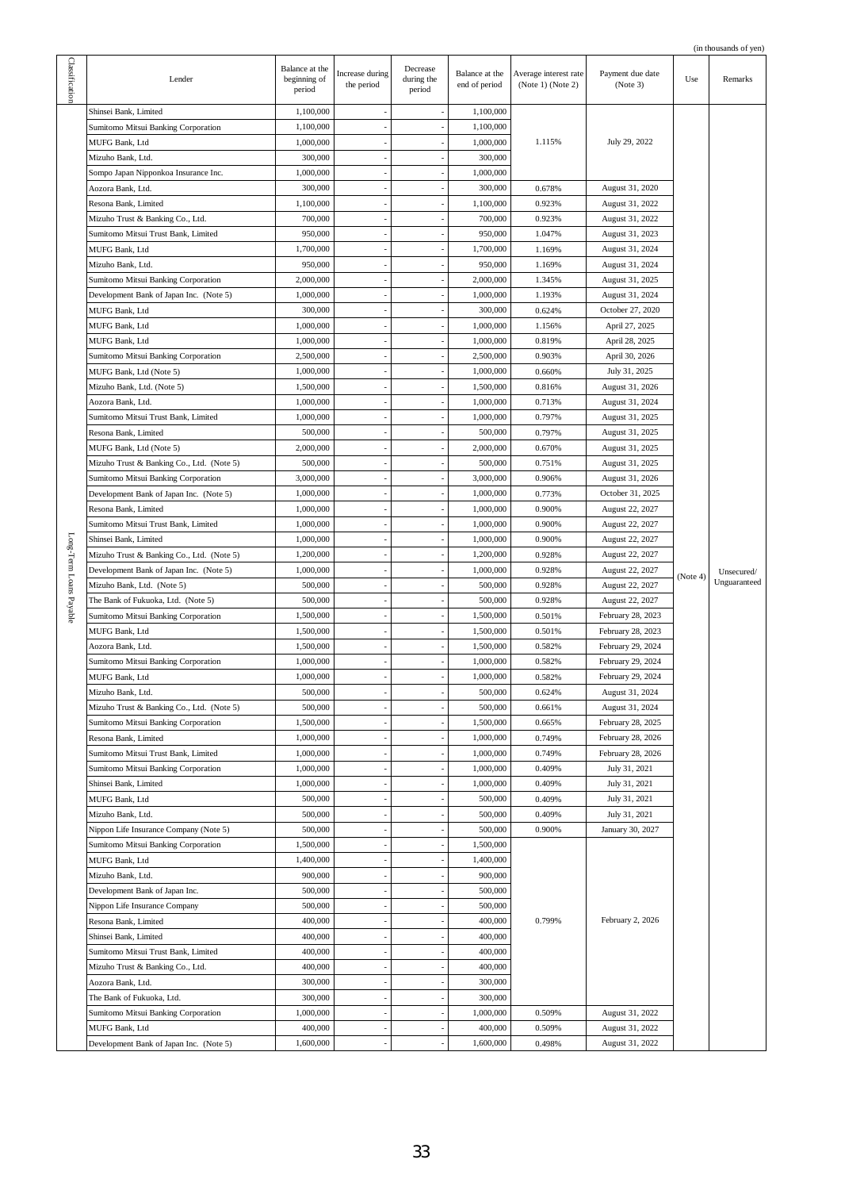|                         |                                           |                                          |                               |                                  |                                 |                                            |                              |          | (in thousands of yen) |
|-------------------------|-------------------------------------------|------------------------------------------|-------------------------------|----------------------------------|---------------------------------|--------------------------------------------|------------------------------|----------|-----------------------|
| Classification          | Lender                                    | Balance at the<br>beginning of<br>period | Increase during<br>the period | Decrease<br>during the<br>period | Balance at the<br>end of period | Average interest rate<br>(Note 1) (Note 2) | Payment due date<br>(Note 3) | Use      | Remarks               |
|                         | Shinsei Bank, Limited                     | 1,100,000                                |                               |                                  | 1,100,000                       |                                            |                              |          |                       |
|                         | Sumitomo Mitsui Banking Corporation       | 1,100,000                                |                               |                                  | 1,100,000                       |                                            |                              |          |                       |
|                         | MUFG Bank, Ltd                            | 1,000,000                                | $\overline{a}$                | $\overline{a}$                   | 1,000,000                       | 1.115%                                     | July 29, 2022                |          |                       |
|                         |                                           |                                          |                               |                                  |                                 |                                            |                              |          |                       |
|                         | Mizuho Bank, Ltd.                         | 300,000                                  |                               |                                  | 300,000                         |                                            |                              |          |                       |
|                         | Sompo Japan Nipponkoa Insurance Inc.      | 1,000,000                                |                               |                                  | 1,000,000                       |                                            |                              |          |                       |
|                         | Aozora Bank, Ltd.                         | 300,000                                  |                               |                                  | 300,000                         | 0.678%                                     | August 31, 2020              |          |                       |
|                         | Resona Bank, Limited                      | 1,100,000                                |                               |                                  | 1,100,000                       | 0.923%                                     | August 31, 2022              |          |                       |
|                         | Mizuho Trust & Banking Co., Ltd.          | 700,000                                  | ÷,                            | $\overline{a}$                   | 700,000                         | 0.923%                                     | August 31, 2022              |          |                       |
|                         | Sumitomo Mitsui Trust Bank, Limited       | 950,000                                  |                               |                                  | 950,000                         | 1.047%                                     | August 31, 2023              |          |                       |
|                         | MUFG Bank, Ltd                            | 1,700,000                                |                               |                                  | 1,700,000                       | 1.169%                                     | August 31, 2024              |          |                       |
|                         | Mizuho Bank, Ltd.                         | 950,000                                  |                               |                                  | 950,000                         | 1.169%                                     | August 31, 2024              |          |                       |
|                         | Sumitomo Mitsui Banking Corporation       | 2,000,000                                |                               |                                  | 2,000,000                       | 1.345%                                     | August 31, 2025              |          |                       |
|                         | Development Bank of Japan Inc. (Note 5)   | 1,000,000                                | ÷,                            | $\overline{\phantom{a}}$         | 1,000,000                       | 1.193%                                     | August 31, 2024              |          |                       |
|                         | MUFG Bank, Ltd                            | 300,000                                  |                               |                                  | 300,000                         | 0.624%                                     | October 27, 2020             |          |                       |
|                         | MUFG Bank, Ltd                            | 1,000,000                                |                               |                                  | 1,000,000                       | 1.156%                                     | April 27, 2025               |          |                       |
|                         | MUFG Bank, Ltd                            | 1,000,000                                |                               |                                  | 1,000,000                       | 0.819%                                     | April 28, 2025               |          |                       |
|                         | Sumitomo Mitsui Banking Corporation       | 2,500,000                                |                               |                                  | 2,500,000                       | 0.903%                                     | April 30, 2026               |          |                       |
|                         | MUFG Bank, Ltd (Note 5)                   | 1,000,000                                | ÷,                            | $\overline{\phantom{a}}$         | 1,000,000                       | 0.660%                                     | July 31, 2025                |          |                       |
|                         | Mizuho Bank, Ltd. (Note 5)                | 1,500,000                                |                               |                                  | 1,500,000                       | 0.816%                                     | August 31, 2026              |          |                       |
|                         | Aozora Bank, Ltd.                         | 1,000,000                                |                               |                                  | 1,000,000                       | 0.713%                                     | August 31, 2024              |          |                       |
|                         | Sumitomo Mitsui Trust Bank, Limited       |                                          |                               |                                  | 1,000,000                       | 0.797%                                     |                              |          |                       |
|                         |                                           | 1,000,000                                |                               |                                  |                                 |                                            | August 31, 2025              |          |                       |
|                         | Resona Bank, Limited                      | 500,000                                  |                               |                                  | 500,000                         | 0.797%                                     | August 31, 2025              |          |                       |
|                         | MUFG Bank, Ltd (Note 5)                   | 2,000,000                                | $\overline{\phantom{a}}$      | ÷                                | 2,000,000                       | 0.670%                                     | August 31, 2025              |          |                       |
|                         | Mizuho Trust & Banking Co., Ltd. (Note 5) | 500,000                                  |                               |                                  | 500,000                         | 0.751%                                     | August 31, 2025              |          |                       |
|                         | Sumitomo Mitsui Banking Corporation       | 3,000,000                                |                               |                                  | 3,000,000                       | 0.906%                                     | August 31, 2026              |          |                       |
|                         | Development Bank of Japan Inc. (Note 5)   | 1,000,000                                |                               |                                  | 1,000,000                       | 0.773%                                     | October 31, 2025             |          |                       |
|                         | Resona Bank, Limited                      | 1,000,000                                |                               |                                  | 1,000,000                       | 0.900%                                     | August 22, 2027              | (Note 4) |                       |
|                         | Sumitomo Mitsui Trust Bank, Limited       | 1,000,000                                | $\overline{\phantom{a}}$      | ÷                                | 1,000,000                       | 0.900%                                     | August 22, 2027              |          |                       |
|                         | Shinsei Bank, Limited                     | 1,000,000                                |                               |                                  | 1,000,000                       | 0.900%                                     | August 22, 2027              |          |                       |
| Long-Term Loans Payable | Mizuho Trust & Banking Co., Ltd. (Note 5) | 1,200,000                                |                               |                                  | 1,200,000                       | 0.928%                                     | August 22, 2027              |          |                       |
|                         | Development Bank of Japan Inc. (Note 5)   | 1,000,000                                |                               |                                  | 1,000,000                       | 0.928%                                     | August 22, 2027              |          | Unsecured/            |
|                         | Mizuho Bank, Ltd. (Note 5)                | 500,000                                  |                               |                                  | 500,000                         | 0.928%                                     | August 22, 2027              |          | Unguaranteed          |
|                         | The Bank of Fukuoka, Ltd. (Note 5)        | 500,000                                  | $\overline{\phantom{a}}$      | ÷                                | 500,000                         | 0.928%                                     | August 22, 2027              |          |                       |
|                         | Sumitomo Mitsui Banking Corporation       | 1,500,000                                |                               |                                  | 1,500,000                       | 0.501%                                     | February 28, 2023            |          |                       |
|                         | MUFG Bank, Ltd                            | 1,500,000                                |                               |                                  | 1,500,000                       | 0.501%                                     | February 28, 2023            |          |                       |
|                         | Aozora Bank, Ltd.                         | 1,500,000                                |                               |                                  | 1,500,000                       | 0.582%                                     | February 29, 2024            |          |                       |
|                         | Sumitomo Mitsui Banking Corporation       | 1,000,000                                |                               |                                  | 1,000,000                       | 0.582%                                     | February 29, 2024            |          |                       |
|                         | MUFG Bank, Ltd                            | 1,000,000                                |                               |                                  | 1,000,000                       | 0.582%                                     | February 29, 2024            |          |                       |
|                         | Mizuho Bank, Ltd.                         | 500,000                                  |                               |                                  | 500,000                         | 0.624%                                     | August 31, 2024              |          |                       |
|                         | Mizuho Trust & Banking Co., Ltd. (Note 5) | 500,000                                  |                               |                                  | 500,000                         | 0.661%                                     | August 31, 2024              |          |                       |
|                         | Sumitomo Mitsui Banking Corporation       | 1,500,000                                |                               |                                  | 1,500,000                       | 0.665%                                     | February 28, 2025            |          |                       |
|                         | Resona Bank, Limited                      | 1,000,000                                |                               |                                  | 1,000,000                       | 0.749%                                     | February 28, 2026            |          |                       |
|                         | Sumitomo Mitsui Trust Bank, Limited       | 1,000,000                                | $\overline{\phantom{a}}$      | ÷                                | 1,000,000                       | 0.749%                                     | February 28, 2026            |          |                       |
|                         |                                           | 1,000,000                                |                               |                                  | 1,000,000                       |                                            | July 31, 2021                |          |                       |
|                         | Sumitomo Mitsui Banking Corporation       |                                          |                               |                                  |                                 | 0.409%                                     |                              |          |                       |
|                         | Shinsei Bank, Limited                     | 1,000,000                                |                               |                                  | 1,000,000                       | 0.409%                                     | July 31, 2021                |          |                       |
|                         | MUFG Bank, Ltd                            | 500,000                                  |                               |                                  | 500,000                         | 0.409%                                     | July 31, 2021                |          |                       |
|                         | Mizuho Bank, Ltd.                         | 500,000                                  |                               |                                  | 500,000                         | 0.409%                                     | July 31, 2021                |          |                       |
|                         | Nippon Life Insurance Company (Note 5)    | 500,000                                  | $\overline{\phantom{a}}$      | $\overline{a}$                   | 500,000                         | 0.900%                                     | January 30, 2027             |          |                       |
|                         | Sumitomo Mitsui Banking Corporation       | 1,500,000                                |                               |                                  | 1,500,000                       |                                            |                              |          |                       |
|                         | MUFG Bank, Ltd                            | 1,400,000                                |                               |                                  | 1,400,000                       |                                            |                              |          |                       |
|                         | Mizuho Bank, Ltd.                         | 900,000                                  |                               |                                  | 900,000                         |                                            |                              |          |                       |
|                         | Development Bank of Japan Inc.            | 500,000                                  |                               |                                  | 500,000                         |                                            |                              |          |                       |
|                         | Nippon Life Insurance Company             | 500,000                                  | $\overline{\phantom{a}}$      | $\overline{a}$                   | 500,000                         |                                            |                              |          |                       |
|                         | Resona Bank, Limited                      | 400,000                                  |                               |                                  | 400,000                         | 0.799%                                     | February 2, 2026             |          |                       |
|                         | Shinsei Bank, Limited                     | 400,000                                  | ÷                             |                                  | 400,000                         |                                            |                              |          |                       |
|                         | Sumitomo Mitsui Trust Bank, Limited       | 400,000                                  |                               |                                  | 400,000                         |                                            |                              |          |                       |
|                         | Mizuho Trust & Banking Co., Ltd.          | 400,000                                  |                               |                                  | 400,000                         |                                            |                              |          |                       |
|                         | Aozora Bank, Ltd.                         | 300,000                                  | $\overline{\phantom{a}}$      | $\overline{a}$                   | 300,000                         |                                            |                              |          |                       |
|                         | The Bank of Fukuoka, Ltd.                 | 300,000                                  |                               |                                  | 300,000                         |                                            |                              |          |                       |
|                         | Sumitomo Mitsui Banking Corporation       | 1,000,000                                | ÷,                            |                                  | 1,000,000                       | 0.509%                                     | August 31, 2022              |          |                       |
|                         | MUFG Bank, Ltd                            | 400,000                                  |                               |                                  | 400,000                         | 0.509%                                     | August 31, 2022              |          |                       |
|                         | Development Bank of Japan Inc. (Note 5)   | 1,600,000                                |                               |                                  | 1,600,000                       | 0.498%                                     | August 31, 2022              |          |                       |
|                         |                                           |                                          |                               |                                  |                                 |                                            |                              |          |                       |